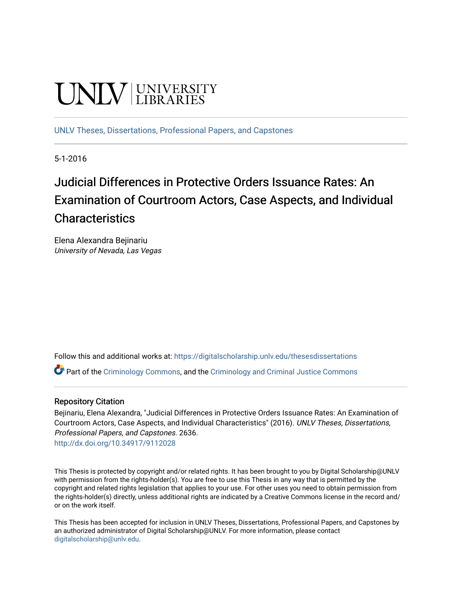# **UNIVERSITY**

[UNLV Theses, Dissertations, Professional Papers, and Capstones](https://digitalscholarship.unlv.edu/thesesdissertations)

5-1-2016

# Judicial Differences in Protective Orders Issuance Rates: An Examination of Courtroom Actors, Case Aspects, and Individual **Characteristics**

Elena Alexandra Bejinariu University of Nevada, Las Vegas

Follow this and additional works at: [https://digitalscholarship.unlv.edu/thesesdissertations](https://digitalscholarship.unlv.edu/thesesdissertations?utm_source=digitalscholarship.unlv.edu%2Fthesesdissertations%2F2636&utm_medium=PDF&utm_campaign=PDFCoverPages)

 $\bullet$  Part of the [Criminology Commons](http://network.bepress.com/hgg/discipline/417?utm_source=digitalscholarship.unlv.edu%2Fthesesdissertations%2F2636&utm_medium=PDF&utm_campaign=PDFCoverPages), and the [Criminology and Criminal Justice Commons](http://network.bepress.com/hgg/discipline/367?utm_source=digitalscholarship.unlv.edu%2Fthesesdissertations%2F2636&utm_medium=PDF&utm_campaign=PDFCoverPages)

#### Repository Citation

Bejinariu, Elena Alexandra, "Judicial Differences in Protective Orders Issuance Rates: An Examination of Courtroom Actors, Case Aspects, and Individual Characteristics" (2016). UNLV Theses, Dissertations, Professional Papers, and Capstones. 2636.

<http://dx.doi.org/10.34917/9112028>

This Thesis is protected by copyright and/or related rights. It has been brought to you by Digital Scholarship@UNLV with permission from the rights-holder(s). You are free to use this Thesis in any way that is permitted by the copyright and related rights legislation that applies to your use. For other uses you need to obtain permission from the rights-holder(s) directly, unless additional rights are indicated by a Creative Commons license in the record and/ or on the work itself.

This Thesis has been accepted for inclusion in UNLV Theses, Dissertations, Professional Papers, and Capstones by an authorized administrator of Digital Scholarship@UNLV. For more information, please contact [digitalscholarship@unlv.edu](mailto:digitalscholarship@unlv.edu).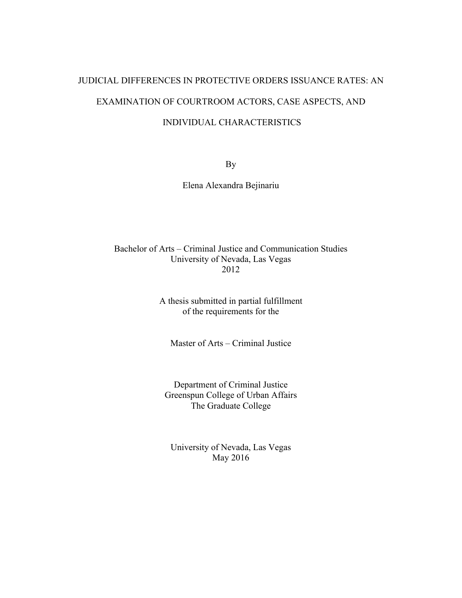# JUDICIAL DIFFERENCES IN PROTECTIVE ORDERS ISSUANCE RATES: AN EXAMINATION OF COURTROOM ACTORS, CASE ASPECTS, AND

## INDIVIDUAL CHARACTERISTICS

By

Elena Alexandra Bejinariu

### Bachelor of Arts – Criminal Justice and Communication Studies University of Nevada, Las Vegas 2012

A thesis submitted in partial fulfillment of the requirements for the

Master of Arts – Criminal Justice

Department of Criminal Justice Greenspun College of Urban Affairs The Graduate College

University of Nevada, Las Vegas May 2016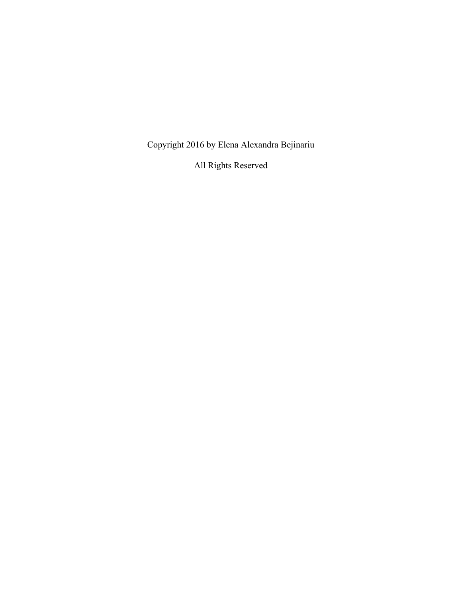Copyright 2016 by Elena Alexandra Bejinariu

All Rights Reserved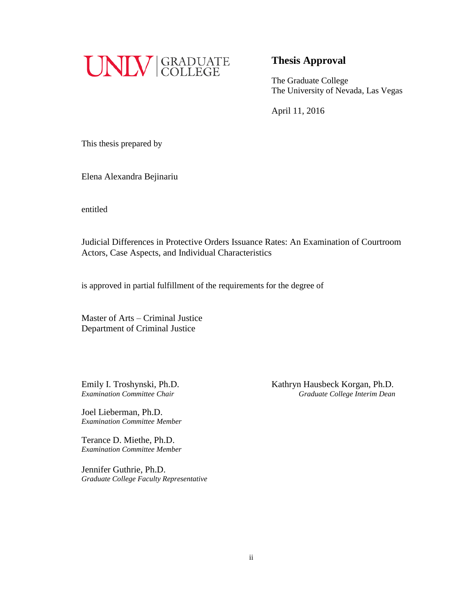

## **Thesis Approval**

The Graduate College The University of Nevada, Las Vegas

April 11, 2016

This thesis prepared by

Elena Alexandra Bejinariu

entitled

Judicial Differences in Protective Orders Issuance Rates: An Examination of Courtroom Actors, Case Aspects, and Individual Characteristics

is approved in partial fulfillment of the requirements for the degree of

Master of Arts – Criminal Justice Department of Criminal Justice

Joel Lieberman, Ph.D. *Examination Committee Member*

Terance D. Miethe, Ph.D. *Examination Committee Member*

Jennifer Guthrie, Ph.D. *Graduate College Faculty Representative*

Emily I. Troshynski, Ph.D. Kathryn Hausbeck Korgan, Ph.D. *Examination Committee Chair Graduate College Interim Dean*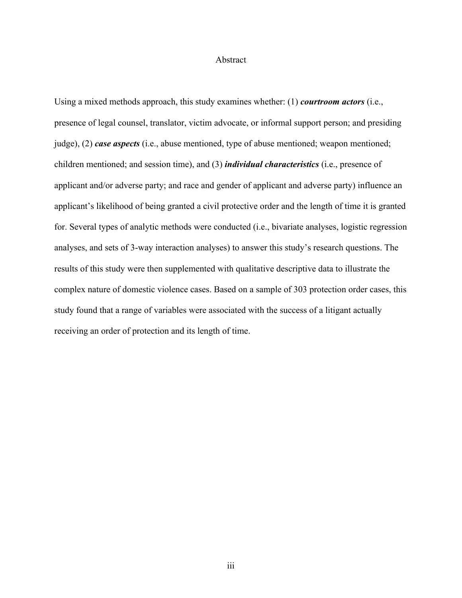#### Abstract

Using a mixed methods approach, this study examines whether: (1) *courtroom actors* (i.e., presence of legal counsel, translator, victim advocate, or informal support person; and presiding judge), (2) *case aspects* (i.e., abuse mentioned, type of abuse mentioned; weapon mentioned; children mentioned; and session time), and (3) *individual characteristics* (i.e., presence of applicant and/or adverse party; and race and gender of applicant and adverse party) influence an applicant's likelihood of being granted a civil protective order and the length of time it is granted for. Several types of analytic methods were conducted (i.e., bivariate analyses, logistic regression analyses, and sets of 3-way interaction analyses) to answer this study's research questions. The results of this study were then supplemented with qualitative descriptive data to illustrate the complex nature of domestic violence cases. Based on a sample of 303 protection order cases, this study found that a range of variables were associated with the success of a litigant actually receiving an order of protection and its length of time.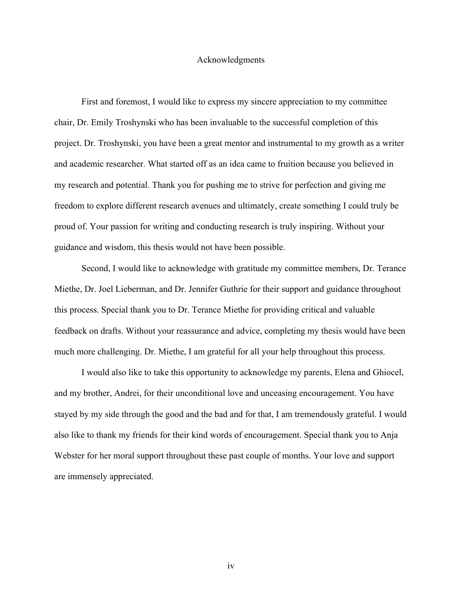#### Acknowledgments

First and foremost, I would like to express my sincere appreciation to my committee chair, Dr. Emily Troshynski who has been invaluable to the successful completion of this project. Dr. Troshynski, you have been a great mentor and instrumental to my growth as a writer and academic researcher. What started off as an idea came to fruition because you believed in my research and potential. Thank you for pushing me to strive for perfection and giving me freedom to explore different research avenues and ultimately, create something I could truly be proud of. Your passion for writing and conducting research is truly inspiring. Without your guidance and wisdom, this thesis would not have been possible.

Second, I would like to acknowledge with gratitude my committee members, Dr. Terance Miethe, Dr. Joel Lieberman, and Dr. Jennifer Guthrie for their support and guidance throughout this process. Special thank you to Dr. Terance Miethe for providing critical and valuable feedback on drafts. Without your reassurance and advice, completing my thesis would have been much more challenging. Dr. Miethe, I am grateful for all your help throughout this process.

I would also like to take this opportunity to acknowledge my parents, Elena and Ghiocel, and my brother, Andrei, for their unconditional love and unceasing encouragement. You have stayed by my side through the good and the bad and for that, I am tremendously grateful. I would also like to thank my friends for their kind words of encouragement. Special thank you to Anja Webster for her moral support throughout these past couple of months. Your love and support are immensely appreciated.

iv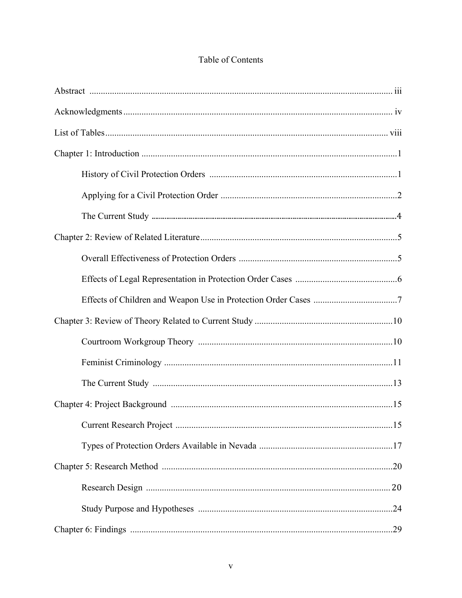# Table of Contents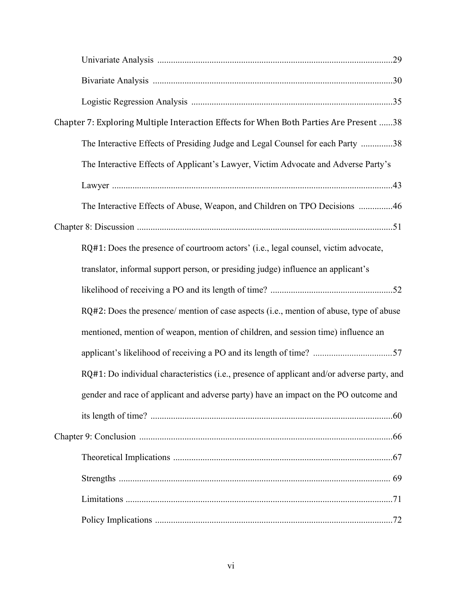| Chapter 7: Exploring Multiple Interaction Effects for When Both Parties Are Present 38     |
|--------------------------------------------------------------------------------------------|
| The Interactive Effects of Presiding Judge and Legal Counsel for each Party 38             |
| The Interactive Effects of Applicant's Lawyer, Victim Advocate and Adverse Party's         |
|                                                                                            |
| The Interactive Effects of Abuse, Weapon, and Children on TPO Decisions 46                 |
|                                                                                            |
| RQ#1: Does the presence of courtroom actors' (i.e., legal counsel, victim advocate,        |
| translator, informal support person, or presiding judge) influence an applicant's          |
|                                                                                            |
| RQ#2: Does the presence/ mention of case aspects (i.e., mention of abuse, type of abuse    |
| mentioned, mention of weapon, mention of children, and session time) influence an          |
|                                                                                            |
| RQ#1: Do individual characteristics (i.e., presence of applicant and/or adverse party, and |
| gender and race of applicant and adverse party) have an impact on the PO outcome and       |
|                                                                                            |
|                                                                                            |
|                                                                                            |
|                                                                                            |
|                                                                                            |
|                                                                                            |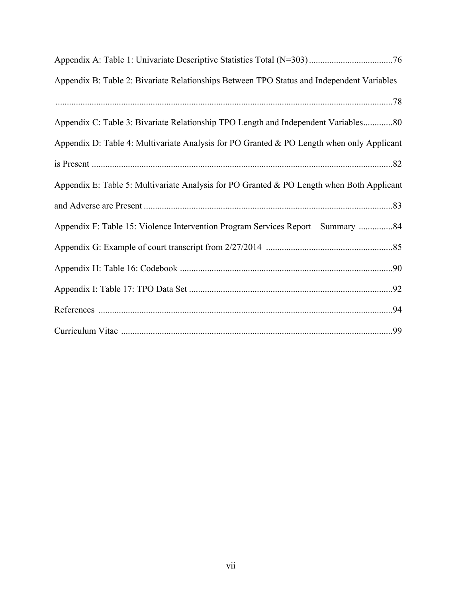| Appendix B: Table 2: Bivariate Relationships Between TPO Status and Independent Variables |
|-------------------------------------------------------------------------------------------|
|                                                                                           |
| Appendix C: Table 3: Bivariate Relationship TPO Length and Independent Variables80        |
| Appendix D: Table 4: Multivariate Analysis for PO Granted & PO Length when only Applicant |
|                                                                                           |
| Appendix E: Table 5: Multivariate Analysis for PO Granted & PO Length when Both Applicant |
|                                                                                           |
| Appendix F: Table 15: Violence Intervention Program Services Report – Summary 84          |
|                                                                                           |
|                                                                                           |
|                                                                                           |
|                                                                                           |
|                                                                                           |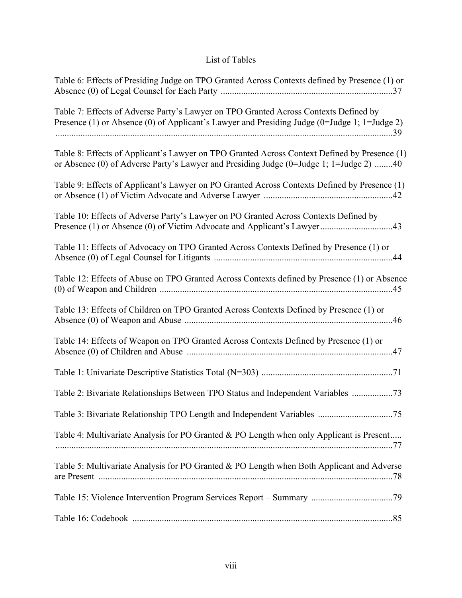# List of Tables

| Table 6: Effects of Presiding Judge on TPO Granted Across Contexts defined by Presence (1) or                                                                                          |
|----------------------------------------------------------------------------------------------------------------------------------------------------------------------------------------|
| Table 7: Effects of Adverse Party's Lawyer on TPO Granted Across Contexts Defined by<br>Presence (1) or Absence (0) of Applicant's Lawyer and Presiding Judge (0=Judge 1; 1=Judge 2)   |
| Table 8: Effects of Applicant's Lawyer on TPO Granted Across Context Defined by Presence (1)<br>or Absence (0) of Adverse Party's Lawyer and Presiding Judge (0=Judge 1; 1=Judge 2) 40 |
| Table 9: Effects of Applicant's Lawyer on PO Granted Across Contexts Defined by Presence (1)                                                                                           |
| Table 10: Effects of Adverse Party's Lawyer on PO Granted Across Contexts Defined by                                                                                                   |
| Table 11: Effects of Advocacy on TPO Granted Across Contexts Defined by Presence (1) or                                                                                                |
| Table 12: Effects of Abuse on TPO Granted Across Contexts defined by Presence (1) or Absence                                                                                           |
| Table 13: Effects of Children on TPO Granted Across Contexts Defined by Presence (1) or                                                                                                |
| Table 14: Effects of Weapon on TPO Granted Across Contexts Defined by Presence (1) or                                                                                                  |
|                                                                                                                                                                                        |
| Table 2: Bivariate Relationships Between TPO Status and Independent Variables 73                                                                                                       |
|                                                                                                                                                                                        |
| Table 4: Multivariate Analysis for PO Granted & PO Length when only Applicant is Present                                                                                               |
| Table 5: Multivariate Analysis for PO Granted & PO Length when Both Applicant and Adverse                                                                                              |
|                                                                                                                                                                                        |
|                                                                                                                                                                                        |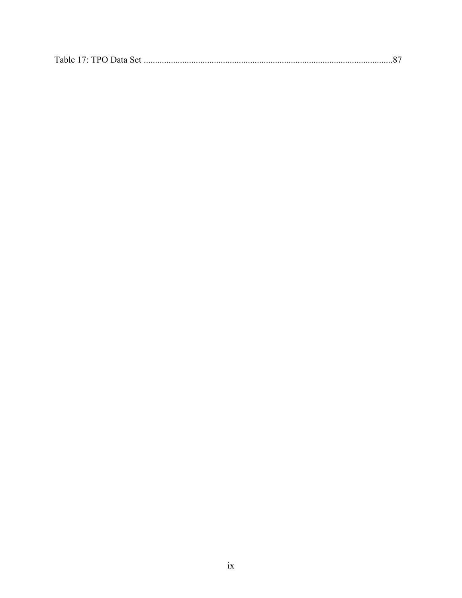|--|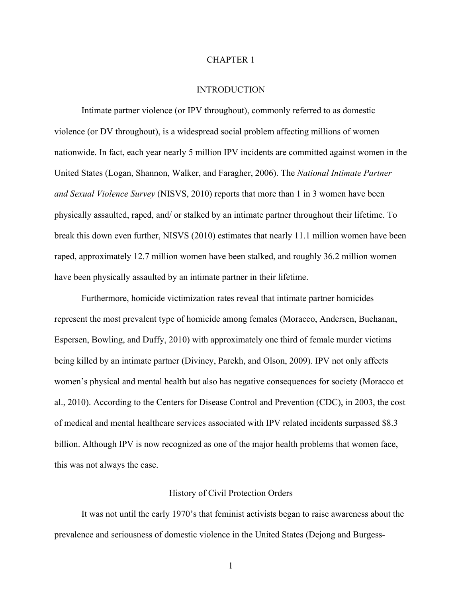#### CHAPTER 1

#### INTRODUCTION

Intimate partner violence (or IPV throughout), commonly referred to as domestic violence (or DV throughout), is a widespread social problem affecting millions of women nationwide. In fact, each year nearly 5 million IPV incidents are committed against women in the United States (Logan, Shannon, Walker, and Faragher, 2006). The *National Intimate Partner and Sexual Violence Survey* (NISVS, 2010) reports that more than 1 in 3 women have been physically assaulted, raped, and/ or stalked by an intimate partner throughout their lifetime. To break this down even further, NISVS (2010) estimates that nearly 11.1 million women have been raped, approximately 12.7 million women have been stalked, and roughly 36.2 million women have been physically assaulted by an intimate partner in their lifetime.

Furthermore, homicide victimization rates reveal that intimate partner homicides represent the most prevalent type of homicide among females (Moracco, Andersen, Buchanan, Espersen, Bowling, and Duffy, 2010) with approximately one third of female murder victims being killed by an intimate partner (Diviney, Parekh, and Olson, 2009). IPV not only affects women's physical and mental health but also has negative consequences for society (Moracco et al., 2010). According to the Centers for Disease Control and Prevention (CDC), in 2003, the cost of medical and mental healthcare services associated with IPV related incidents surpassed \$8.3 billion. Although IPV is now recognized as one of the major health problems that women face, this was not always the case.

#### History of Civil Protection Orders

It was not until the early 1970's that feminist activists began to raise awareness about the prevalence and seriousness of domestic violence in the United States (Dejong and Burgess-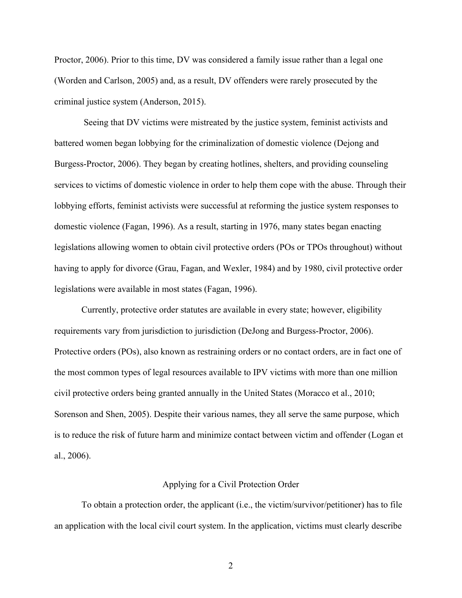Proctor, 2006). Prior to this time, DV was considered a family issue rather than a legal one (Worden and Carlson, 2005) and, as a result, DV offenders were rarely prosecuted by the criminal justice system (Anderson, 2015).

 Seeing that DV victims were mistreated by the justice system, feminist activists and battered women began lobbying for the criminalization of domestic violence (Dejong and Burgess-Proctor, 2006). They began by creating hotlines, shelters, and providing counseling services to victims of domestic violence in order to help them cope with the abuse. Through their lobbying efforts, feminist activists were successful at reforming the justice system responses to domestic violence (Fagan, 1996). As a result, starting in 1976, many states began enacting legislations allowing women to obtain civil protective orders (POs or TPOs throughout) without having to apply for divorce (Grau, Fagan, and Wexler, 1984) and by 1980, civil protective order legislations were available in most states (Fagan, 1996).

Currently, protective order statutes are available in every state; however, eligibility requirements vary from jurisdiction to jurisdiction (DeJong and Burgess-Proctor, 2006). Protective orders (POs), also known as restraining orders or no contact orders, are in fact one of the most common types of legal resources available to IPV victims with more than one million civil protective orders being granted annually in the United States (Moracco et al., 2010; Sorenson and Shen, 2005). Despite their various names, they all serve the same purpose, which is to reduce the risk of future harm and minimize contact between victim and offender (Logan et al., 2006).

#### Applying for a Civil Protection Order

To obtain a protection order, the applicant (i.e., the victim/survivor/petitioner) has to file an application with the local civil court system. In the application, victims must clearly describe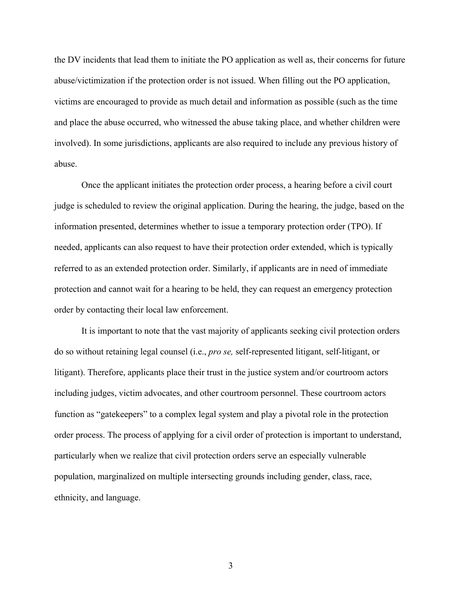the DV incidents that lead them to initiate the PO application as well as, their concerns for future abuse/victimization if the protection order is not issued. When filling out the PO application, victims are encouraged to provide as much detail and information as possible (such as the time and place the abuse occurred, who witnessed the abuse taking place, and whether children were involved). In some jurisdictions, applicants are also required to include any previous history of abuse.

Once the applicant initiates the protection order process, a hearing before a civil court judge is scheduled to review the original application. During the hearing, the judge, based on the information presented, determines whether to issue a temporary protection order (TPO). If needed, applicants can also request to have their protection order extended, which is typically referred to as an extended protection order. Similarly, if applicants are in need of immediate protection and cannot wait for a hearing to be held, they can request an emergency protection order by contacting their local law enforcement.

It is important to note that the vast majority of applicants seeking civil protection orders do so without retaining legal counsel (i.e., *pro se,* self-represented litigant, self-litigant, or litigant). Therefore, applicants place their trust in the justice system and/or courtroom actors including judges, victim advocates, and other courtroom personnel. These courtroom actors function as "gatekeepers" to a complex legal system and play a pivotal role in the protection order process. The process of applying for a civil order of protection is important to understand, particularly when we realize that civil protection orders serve an especially vulnerable population, marginalized on multiple intersecting grounds including gender, class, race, ethnicity, and language.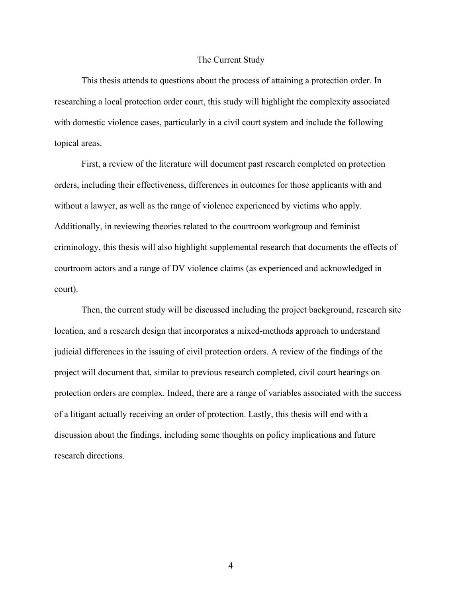#### The Current Study

This thesis attends to questions about the process of attaining a protection order. In researching a local protection order court, this study will highlight the complexity associated with domestic violence cases, particularly in a civil court system and include the following topical areas.

First, a review of the literature will document past research completed on protection orders, including their effectiveness, differences in outcomes for those applicants with and without a lawyer, as well as the range of violence experienced by victims who apply. Additionally, in reviewing theories related to the courtroom workgroup and feminist criminology, this thesis will also highlight supplemental research that documents the effects of courtroom actors and a range of DV violence claims (as experienced and acknowledged in court).

Then, the current study will be discussed including the project background, research site location, and a research design that incorporates a mixed-methods approach to understand judicial differences in the issuing of civil protection orders. A review of the findings of the project will document that, similar to previous research completed, civil court hearings on protection orders are complex. Indeed, there are a range of variables associated with the success of a litigant actually receiving an order of protection. Lastly, this thesis will end with a discussion about the findings, including some thoughts on policy implications and future research directions.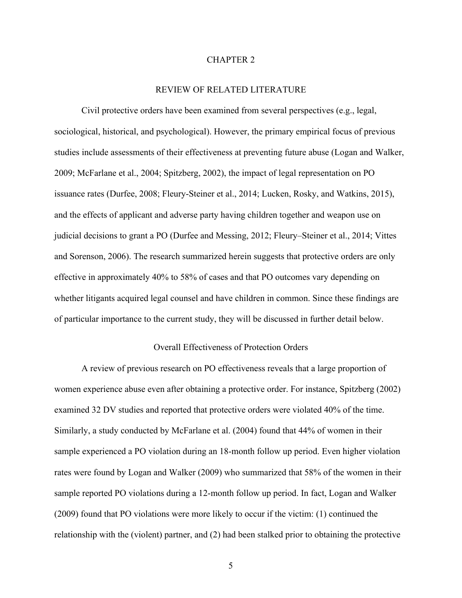#### CHAPTER 2

#### REVIEW OF RELATED LITERATURE

Civil protective orders have been examined from several perspectives (e.g., legal, sociological, historical, and psychological). However, the primary empirical focus of previous studies include assessments of their effectiveness at preventing future abuse (Logan and Walker, 2009; McFarlane et al., 2004; Spitzberg, 2002), the impact of legal representation on PO issuance rates (Durfee, 2008; Fleury-Steiner et al., 2014; Lucken, Rosky, and Watkins, 2015), and the effects of applicant and adverse party having children together and weapon use on judicial decisions to grant a PO (Durfee and Messing, 2012; Fleury–Steiner et al., 2014; Vittes and Sorenson, 2006). The research summarized herein suggests that protective orders are only effective in approximately 40% to 58% of cases and that PO outcomes vary depending on whether litigants acquired legal counsel and have children in common. Since these findings are of particular importance to the current study, they will be discussed in further detail below.

#### Overall Effectiveness of Protection Orders

A review of previous research on PO effectiveness reveals that a large proportion of women experience abuse even after obtaining a protective order. For instance, Spitzberg (2002) examined 32 DV studies and reported that protective orders were violated 40% of the time. Similarly, a study conducted by McFarlane et al. (2004) found that 44% of women in their sample experienced a PO violation during an 18-month follow up period. Even higher violation rates were found by Logan and Walker (2009) who summarized that 58% of the women in their sample reported PO violations during a 12-month follow up period. In fact, Logan and Walker (2009) found that PO violations were more likely to occur if the victim: (1) continued the relationship with the (violent) partner, and (2) had been stalked prior to obtaining the protective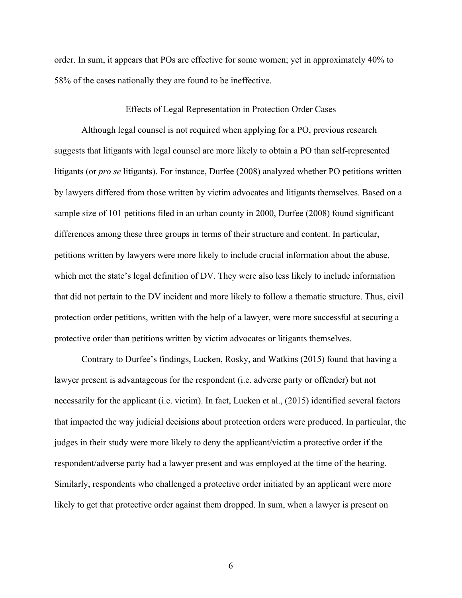order. In sum, it appears that POs are effective for some women; yet in approximately 40% to 58% of the cases nationally they are found to be ineffective.

#### Effects of Legal Representation in Protection Order Cases

Although legal counsel is not required when applying for a PO, previous research suggests that litigants with legal counsel are more likely to obtain a PO than self-represented litigants (or *pro se* litigants). For instance, Durfee (2008) analyzed whether PO petitions written by lawyers differed from those written by victim advocates and litigants themselves. Based on a sample size of 101 petitions filed in an urban county in 2000, Durfee (2008) found significant differences among these three groups in terms of their structure and content. In particular, petitions written by lawyers were more likely to include crucial information about the abuse, which met the state's legal definition of DV. They were also less likely to include information that did not pertain to the DV incident and more likely to follow a thematic structure. Thus, civil protection order petitions, written with the help of a lawyer, were more successful at securing a protective order than petitions written by victim advocates or litigants themselves.

Contrary to Durfee's findings, Lucken, Rosky, and Watkins (2015) found that having a lawyer present is advantageous for the respondent (i.e. adverse party or offender) but not necessarily for the applicant (i.e. victim). In fact, Lucken et al., (2015) identified several factors that impacted the way judicial decisions about protection orders were produced. In particular, the judges in their study were more likely to deny the applicant/victim a protective order if the respondent/adverse party had a lawyer present and was employed at the time of the hearing. Similarly, respondents who challenged a protective order initiated by an applicant were more likely to get that protective order against them dropped. In sum, when a lawyer is present on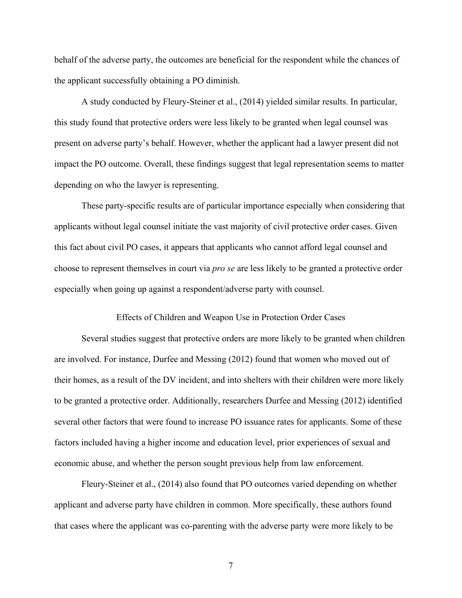behalf of the adverse party, the outcomes are beneficial for the respondent while the chances of the applicant successfully obtaining a PO diminish.

A study conducted by Fleury-Steiner et al., (2014) yielded similar results. In particular, this study found that protective orders were less likely to be granted when legal counsel was present on adverse party's behalf. However, whether the applicant had a lawyer present did not impact the PO outcome. Overall, these findings suggest that legal representation seems to matter depending on who the lawyer is representing.

These party-specific results are of particular importance especially when considering that applicants without legal counsel initiate the vast majority of civil protective order cases. Given this fact about civil PO cases, it appears that applicants who cannot afford legal counsel and choose to represent themselves in court via *pro se* are less likely to be granted a protective order especially when going up against a respondent/adverse party with counsel.

#### Effects of Children and Weapon Use in Protection Order Cases

Several studies suggest that protective orders are more likely to be granted when children are involved. For instance, Durfee and Messing (2012) found that women who moved out of their homes, as a result of the DV incident, and into shelters with their children were more likely to be granted a protective order. Additionally, researchers Durfee and Messing (2012) identified several other factors that were found to increase PO issuance rates for applicants. Some of these factors included having a higher income and education level, prior experiences of sexual and economic abuse, and whether the person sought previous help from law enforcement.

Fleury-Steiner et al., (2014) also found that PO outcomes varied depending on whether applicant and adverse party have children in common. More specifically, these authors found that cases where the applicant was co-parenting with the adverse party were more likely to be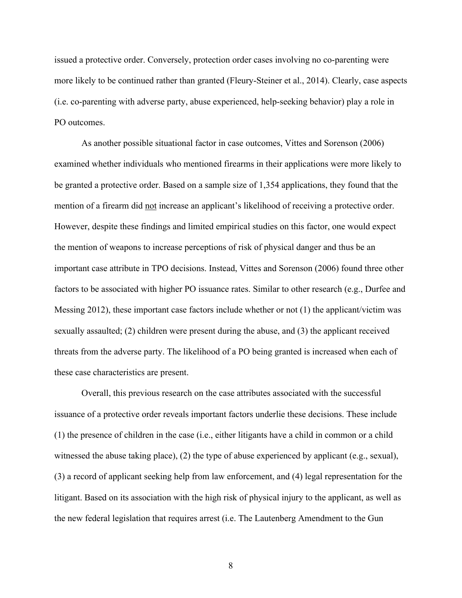issued a protective order. Conversely, protection order cases involving no co-parenting were more likely to be continued rather than granted (Fleury-Steiner et al., 2014). Clearly, case aspects (i.e. co-parenting with adverse party, abuse experienced, help-seeking behavior) play a role in PO outcomes.

As another possible situational factor in case outcomes, Vittes and Sorenson (2006) examined whether individuals who mentioned firearms in their applications were more likely to be granted a protective order. Based on a sample size of 1,354 applications, they found that the mention of a firearm did not increase an applicant's likelihood of receiving a protective order. However, despite these findings and limited empirical studies on this factor, one would expect the mention of weapons to increase perceptions of risk of physical danger and thus be an important case attribute in TPO decisions. Instead, Vittes and Sorenson (2006) found three other factors to be associated with higher PO issuance rates. Similar to other research (e.g., Durfee and Messing 2012), these important case factors include whether or not (1) the applicant/victim was sexually assaulted; (2) children were present during the abuse, and (3) the applicant received threats from the adverse party. The likelihood of a PO being granted is increased when each of these case characteristics are present.

Overall, this previous research on the case attributes associated with the successful issuance of a protective order reveals important factors underlie these decisions. These include (1) the presence of children in the case (i.e., either litigants have a child in common or a child witnessed the abuse taking place), (2) the type of abuse experienced by applicant (e.g., sexual), (3) a record of applicant seeking help from law enforcement, and (4) legal representation for the litigant. Based on its association with the high risk of physical injury to the applicant, as well as the new federal legislation that requires arrest (i.e. The Lautenberg Amendment to the Gun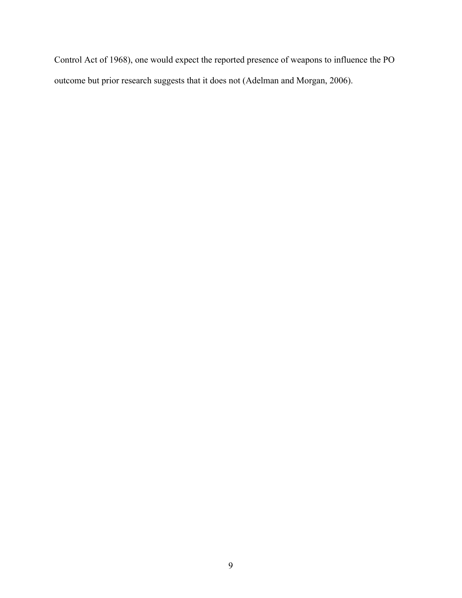Control Act of 1968), one would expect the reported presence of weapons to influence the PO outcome but prior research suggests that it does not (Adelman and Morgan, 2006).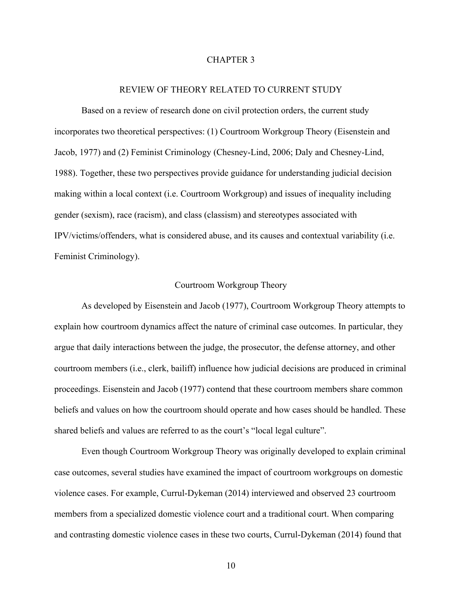#### CHAPTER 3

#### REVIEW OF THEORY RELATED TO CURRENT STUDY

Based on a review of research done on civil protection orders, the current study incorporates two theoretical perspectives: (1) Courtroom Workgroup Theory (Eisenstein and Jacob, 1977) and (2) Feminist Criminology (Chesney-Lind, 2006; Daly and Chesney-Lind, 1988). Together, these two perspectives provide guidance for understanding judicial decision making within a local context (i.e. Courtroom Workgroup) and issues of inequality including gender (sexism), race (racism), and class (classism) and stereotypes associated with IPV/victims/offenders, what is considered abuse, and its causes and contextual variability (i.e. Feminist Criminology).

#### Courtroom Workgroup Theory

As developed by Eisenstein and Jacob (1977), Courtroom Workgroup Theory attempts to explain how courtroom dynamics affect the nature of criminal case outcomes. In particular, they argue that daily interactions between the judge, the prosecutor, the defense attorney, and other courtroom members (i.e., clerk, bailiff) influence how judicial decisions are produced in criminal proceedings. Eisenstein and Jacob (1977) contend that these courtroom members share common beliefs and values on how the courtroom should operate and how cases should be handled. These shared beliefs and values are referred to as the court's "local legal culture".

Even though Courtroom Workgroup Theory was originally developed to explain criminal case outcomes, several studies have examined the impact of courtroom workgroups on domestic violence cases. For example, Currul-Dykeman (2014) interviewed and observed 23 courtroom members from a specialized domestic violence court and a traditional court. When comparing and contrasting domestic violence cases in these two courts, Currul-Dykeman (2014) found that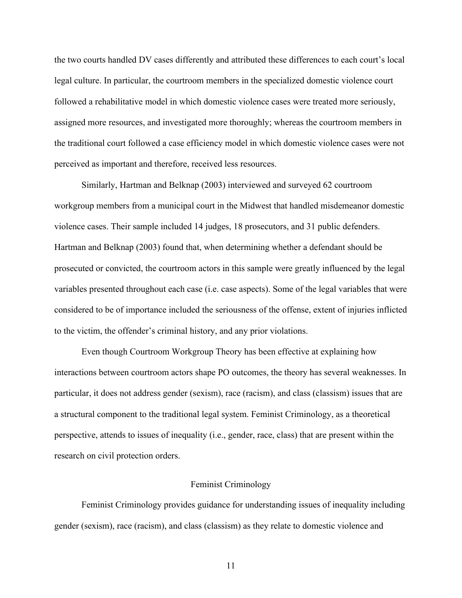the two courts handled DV cases differently and attributed these differences to each court's local legal culture. In particular, the courtroom members in the specialized domestic violence court followed a rehabilitative model in which domestic violence cases were treated more seriously, assigned more resources, and investigated more thoroughly; whereas the courtroom members in the traditional court followed a case efficiency model in which domestic violence cases were not perceived as important and therefore, received less resources.

Similarly, Hartman and Belknap (2003) interviewed and surveyed 62 courtroom workgroup members from a municipal court in the Midwest that handled misdemeanor domestic violence cases. Their sample included 14 judges, 18 prosecutors, and 31 public defenders. Hartman and Belknap (2003) found that, when determining whether a defendant should be prosecuted or convicted, the courtroom actors in this sample were greatly influenced by the legal variables presented throughout each case (i.e. case aspects). Some of the legal variables that were considered to be of importance included the seriousness of the offense, extent of injuries inflicted to the victim, the offender's criminal history, and any prior violations.

Even though Courtroom Workgroup Theory has been effective at explaining how interactions between courtroom actors shape PO outcomes, the theory has several weaknesses. In particular, it does not address gender (sexism), race (racism), and class (classism) issues that are a structural component to the traditional legal system. Feminist Criminology, as a theoretical perspective, attends to issues of inequality (i.e., gender, race, class) that are present within the research on civil protection orders.

#### Feminist Criminology

Feminist Criminology provides guidance for understanding issues of inequality including gender (sexism), race (racism), and class (classism) as they relate to domestic violence and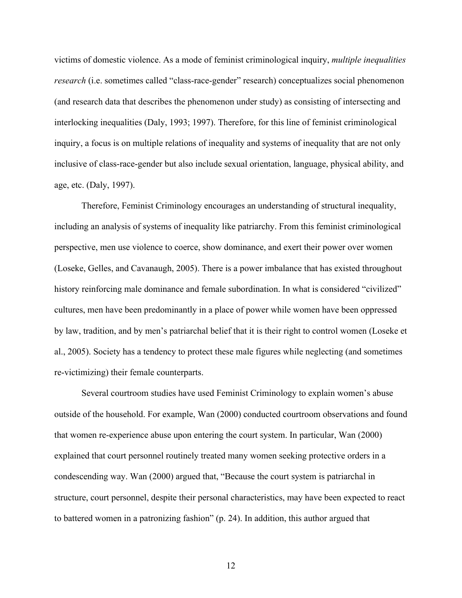victims of domestic violence. As a mode of feminist criminological inquiry, *multiple inequalities research* (i.e. sometimes called "class-race-gender" research) conceptualizes social phenomenon (and research data that describes the phenomenon under study) as consisting of intersecting and interlocking inequalities (Daly, 1993; 1997). Therefore, for this line of feminist criminological inquiry, a focus is on multiple relations of inequality and systems of inequality that are not only inclusive of class-race-gender but also include sexual orientation, language, physical ability, and age, etc. (Daly, 1997).

Therefore, Feminist Criminology encourages an understanding of structural inequality, including an analysis of systems of inequality like patriarchy. From this feminist criminological perspective, men use violence to coerce, show dominance, and exert their power over women (Loseke, Gelles, and Cavanaugh, 2005). There is a power imbalance that has existed throughout history reinforcing male dominance and female subordination. In what is considered "civilized" cultures, men have been predominantly in a place of power while women have been oppressed by law, tradition, and by men's patriarchal belief that it is their right to control women (Loseke et al., 2005). Society has a tendency to protect these male figures while neglecting (and sometimes re-victimizing) their female counterparts.

Several courtroom studies have used Feminist Criminology to explain women's abuse outside of the household. For example, Wan (2000) conducted courtroom observations and found that women re-experience abuse upon entering the court system. In particular, Wan (2000) explained that court personnel routinely treated many women seeking protective orders in a condescending way. Wan (2000) argued that, "Because the court system is patriarchal in structure, court personnel, despite their personal characteristics, may have been expected to react to battered women in a patronizing fashion" (p. 24). In addition, this author argued that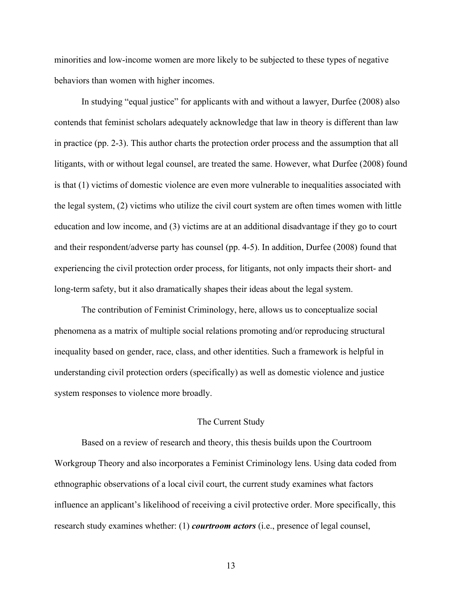minorities and low-income women are more likely to be subjected to these types of negative behaviors than women with higher incomes.

In studying "equal justice" for applicants with and without a lawyer, Durfee (2008) also contends that feminist scholars adequately acknowledge that law in theory is different than law in practice (pp. 2-3). This author charts the protection order process and the assumption that all litigants, with or without legal counsel, are treated the same. However, what Durfee (2008) found is that (1) victims of domestic violence are even more vulnerable to inequalities associated with the legal system, (2) victims who utilize the civil court system are often times women with little education and low income, and (3) victims are at an additional disadvantage if they go to court and their respondent/adverse party has counsel (pp. 4-5). In addition, Durfee (2008) found that experiencing the civil protection order process, for litigants, not only impacts their short- and long-term safety, but it also dramatically shapes their ideas about the legal system.

The contribution of Feminist Criminology, here, allows us to conceptualize social phenomena as a matrix of multiple social relations promoting and/or reproducing structural inequality based on gender, race, class, and other identities. Such a framework is helpful in understanding civil protection orders (specifically) as well as domestic violence and justice system responses to violence more broadly.

#### The Current Study

Based on a review of research and theory, this thesis builds upon the Courtroom Workgroup Theory and also incorporates a Feminist Criminology lens. Using data coded from ethnographic observations of a local civil court, the current study examines what factors influence an applicant's likelihood of receiving a civil protective order. More specifically, this research study examines whether: (1) *courtroom actors* (i.e., presence of legal counsel,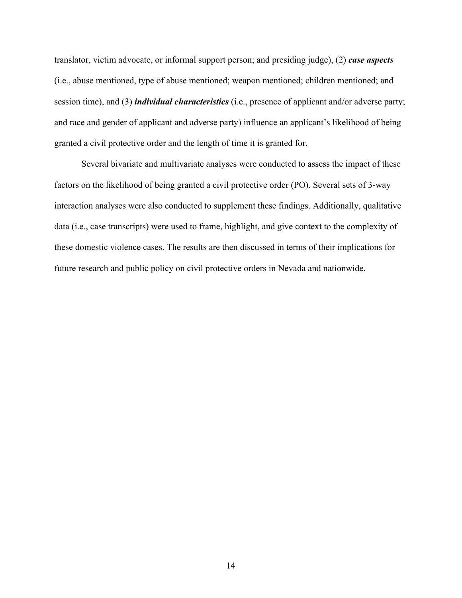translator, victim advocate, or informal support person; and presiding judge), (2) *case aspects* (i.e., abuse mentioned, type of abuse mentioned; weapon mentioned; children mentioned; and session time), and (3) *individual characteristics* (i.e., presence of applicant and/or adverse party; and race and gender of applicant and adverse party) influence an applicant's likelihood of being granted a civil protective order and the length of time it is granted for.

Several bivariate and multivariate analyses were conducted to assess the impact of these factors on the likelihood of being granted a civil protective order (PO). Several sets of 3-way interaction analyses were also conducted to supplement these findings. Additionally, qualitative data (i.e., case transcripts) were used to frame, highlight, and give context to the complexity of these domestic violence cases. The results are then discussed in terms of their implications for future research and public policy on civil protective orders in Nevada and nationwide.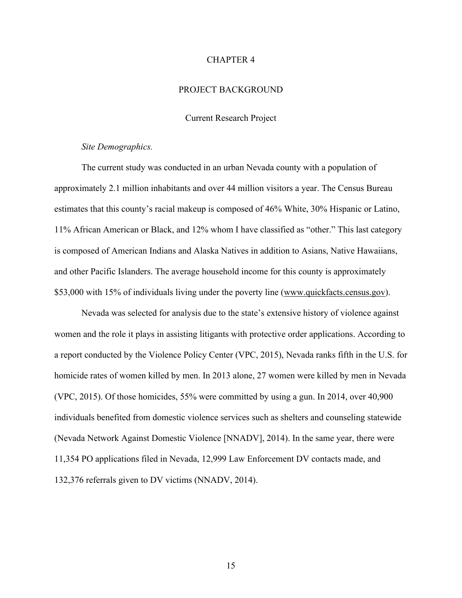#### CHAPTER 4

#### PROJECT BACKGROUND

#### Current Research Project

#### *Site Demographics.*

The current study was conducted in an urban Nevada county with a population of approximately 2.1 million inhabitants and over 44 million visitors a year. The Census Bureau estimates that this county's racial makeup is composed of 46% White, 30% Hispanic or Latino, 11% African American or Black, and 12% whom I have classified as "other." This last category is composed of American Indians and Alaska Natives in addition to Asians, Native Hawaiians, and other Pacific Islanders. The average household income for this county is approximately \$53,000 with 15% of individuals living under the poverty line (www.quickfacts.census.gov).

Nevada was selected for analysis due to the state's extensive history of violence against women and the role it plays in assisting litigants with protective order applications. According to a report conducted by the Violence Policy Center (VPC, 2015), Nevada ranks fifth in the U.S. for homicide rates of women killed by men. In 2013 alone, 27 women were killed by men in Nevada (VPC, 2015). Of those homicides, 55% were committed by using a gun. In 2014, over 40,900 individuals benefited from domestic violence services such as shelters and counseling statewide (Nevada Network Against Domestic Violence [NNADV], 2014). In the same year, there were 11,354 PO applications filed in Nevada, 12,999 Law Enforcement DV contacts made, and 132,376 referrals given to DV victims (NNADV, 2014).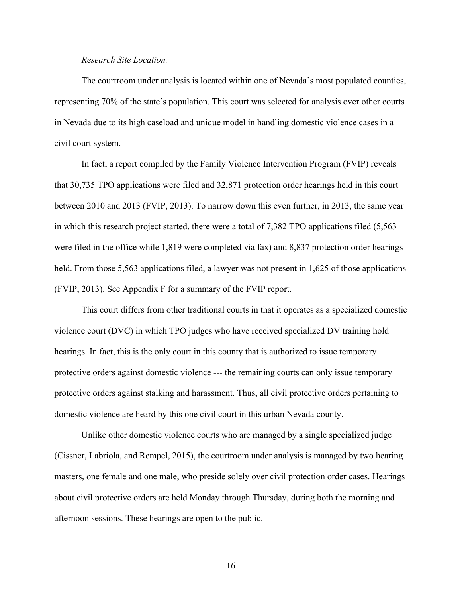#### *Research Site Location.*

The courtroom under analysis is located within one of Nevada's most populated counties, representing 70% of the state's population. This court was selected for analysis over other courts in Nevada due to its high caseload and unique model in handling domestic violence cases in a civil court system.

In fact, a report compiled by the Family Violence Intervention Program (FVIP) reveals that 30,735 TPO applications were filed and 32,871 protection order hearings held in this court between 2010 and 2013 (FVIP, 2013). To narrow down this even further, in 2013, the same year in which this research project started, there were a total of 7,382 TPO applications filed (5,563 were filed in the office while 1,819 were completed via fax) and 8,837 protection order hearings held. From those 5,563 applications filed, a lawyer was not present in 1,625 of those applications (FVIP, 2013). See Appendix F for a summary of the FVIP report.

This court differs from other traditional courts in that it operates as a specialized domestic violence court (DVC) in which TPO judges who have received specialized DV training hold hearings. In fact, this is the only court in this county that is authorized to issue temporary protective orders against domestic violence --- the remaining courts can only issue temporary protective orders against stalking and harassment. Thus, all civil protective orders pertaining to domestic violence are heard by this one civil court in this urban Nevada county.

Unlike other domestic violence courts who are managed by a single specialized judge (Cissner, Labriola, and Rempel, 2015), the courtroom under analysis is managed by two hearing masters, one female and one male, who preside solely over civil protection order cases. Hearings about civil protective orders are held Monday through Thursday, during both the morning and afternoon sessions. These hearings are open to the public.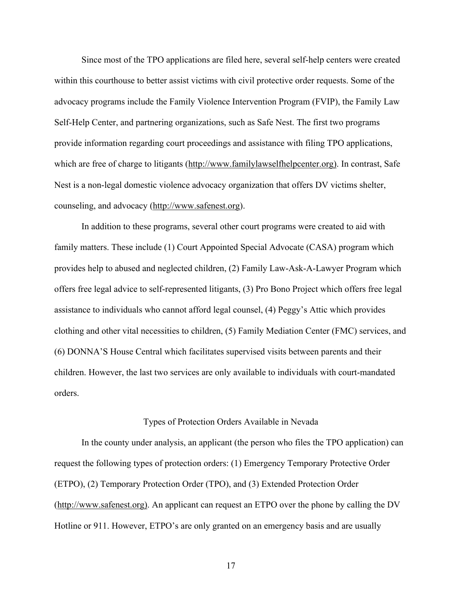Since most of the TPO applications are filed here, several self-help centers were created within this courthouse to better assist victims with civil protective order requests. Some of the advocacy programs include the Family Violence Intervention Program (FVIP), the Family Law Self-Help Center, and partnering organizations, such as Safe Nest. The first two programs provide information regarding court proceedings and assistance with filing TPO applications, which are free of charge to litigants (http://www.familylawselfhelpcenter.org). In contrast, Safe Nest is a non-legal domestic violence advocacy organization that offers DV victims shelter, counseling, and advocacy (http://www.safenest.org).

In addition to these programs, several other court programs were created to aid with family matters. These include (1) Court Appointed Special Advocate (CASA) program which provides help to abused and neglected children, (2) Family Law-Ask-A-Lawyer Program which offers free legal advice to self-represented litigants, (3) Pro Bono Project which offers free legal assistance to individuals who cannot afford legal counsel, (4) Peggy's Attic which provides clothing and other vital necessities to children, (5) Family Mediation Center (FMC) services, and (6) DONNA'S House Central which facilitates supervised visits between parents and their children. However, the last two services are only available to individuals with court-mandated orders.

#### Types of Protection Orders Available in Nevada

In the county under analysis, an applicant (the person who files the TPO application) can request the following types of protection orders: (1) Emergency Temporary Protective Order (ETPO), (2) Temporary Protection Order (TPO), and (3) Extended Protection Order (http://www.safenest.org). An applicant can request an ETPO over the phone by calling the DV Hotline or 911. However, ETPO's are only granted on an emergency basis and are usually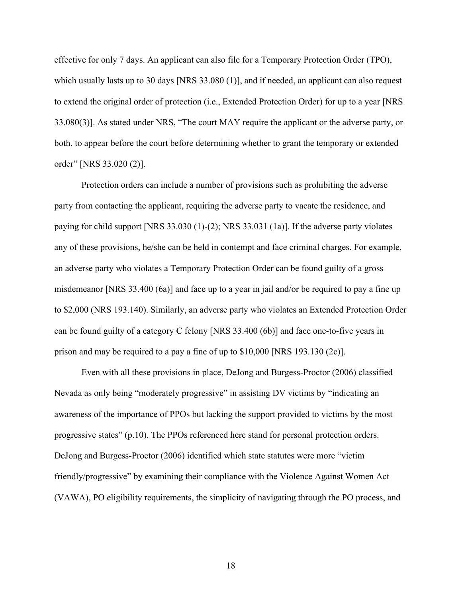effective for only 7 days. An applicant can also file for a Temporary Protection Order (TPO), which usually lasts up to 30 days [NRS 33.080 (1)], and if needed, an applicant can also request to extend the original order of protection (i.e., Extended Protection Order) for up to a year [NRS 33.080(3)]. As stated under NRS, "The court MAY require the applicant or the adverse party, or both, to appear before the court before determining whether to grant the temporary or extended order" [NRS 33.020 (2)].

Protection orders can include a number of provisions such as prohibiting the adverse party from contacting the applicant, requiring the adverse party to vacate the residence, and paying for child support [NRS 33.030 (1)-(2); NRS 33.031 (1a)]. If the adverse party violates any of these provisions, he/she can be held in contempt and face criminal charges. For example, an adverse party who violates a Temporary Protection Order can be found guilty of a gross misdemeanor [NRS 33.400 (6a)] and face up to a year in jail and/or be required to pay a fine up to \$2,000 (NRS 193.140). Similarly, an adverse party who violates an Extended Protection Order can be found guilty of a category C felony [NRS 33.400 (6b)] and face one-to-five years in prison and may be required to a pay a fine of up to \$10,000 [NRS 193.130 (2c)].

Even with all these provisions in place, DeJong and Burgess-Proctor (2006) classified Nevada as only being "moderately progressive" in assisting DV victims by "indicating an awareness of the importance of PPOs but lacking the support provided to victims by the most progressive states" (p.10). The PPOs referenced here stand for personal protection orders. DeJong and Burgess-Proctor (2006) identified which state statutes were more "victim friendly/progressive" by examining their compliance with the Violence Against Women Act (VAWA), PO eligibility requirements, the simplicity of navigating through the PO process, and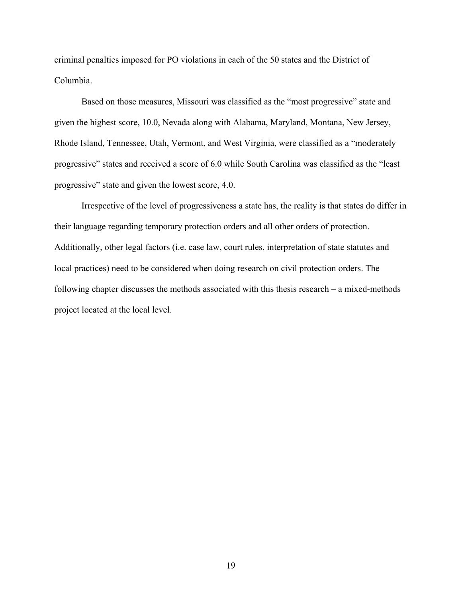criminal penalties imposed for PO violations in each of the 50 states and the District of Columbia.

Based on those measures, Missouri was classified as the "most progressive" state and given the highest score, 10.0, Nevada along with Alabama, Maryland, Montana, New Jersey, Rhode Island, Tennessee, Utah, Vermont, and West Virginia, were classified as a "moderately progressive" states and received a score of 6.0 while South Carolina was classified as the "least progressive" state and given the lowest score, 4.0.

Irrespective of the level of progressiveness a state has, the reality is that states do differ in their language regarding temporary protection orders and all other orders of protection. Additionally, other legal factors (i.e. case law, court rules, interpretation of state statutes and local practices) need to be considered when doing research on civil protection orders. The following chapter discusses the methods associated with this thesis research – a mixed-methods project located at the local level.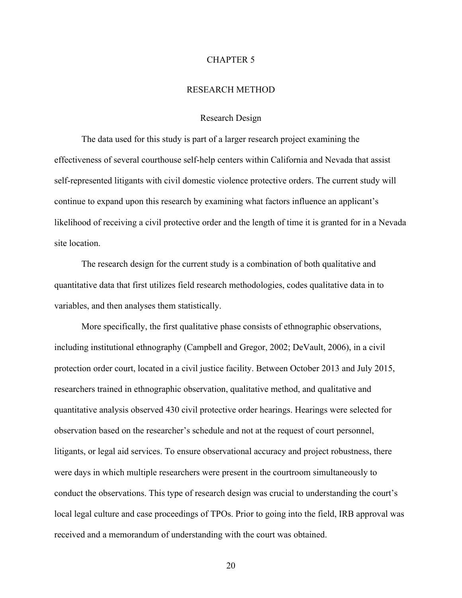#### CHAPTER 5

#### RESEARCH METHOD

#### Research Design

The data used for this study is part of a larger research project examining the effectiveness of several courthouse self-help centers within California and Nevada that assist self-represented litigants with civil domestic violence protective orders. The current study will continue to expand upon this research by examining what factors influence an applicant's likelihood of receiving a civil protective order and the length of time it is granted for in a Nevada site location.

The research design for the current study is a combination of both qualitative and quantitative data that first utilizes field research methodologies, codes qualitative data in to variables, and then analyses them statistically.

More specifically, the first qualitative phase consists of ethnographic observations, including institutional ethnography (Campbell and Gregor, 2002; DeVault, 2006), in a civil protection order court, located in a civil justice facility. Between October 2013 and July 2015, researchers trained in ethnographic observation, qualitative method, and qualitative and quantitative analysis observed 430 civil protective order hearings. Hearings were selected for observation based on the researcher's schedule and not at the request of court personnel, litigants, or legal aid services. To ensure observational accuracy and project robustness, there were days in which multiple researchers were present in the courtroom simultaneously to conduct the observations. This type of research design was crucial to understanding the court's local legal culture and case proceedings of TPOs. Prior to going into the field, IRB approval was received and a memorandum of understanding with the court was obtained.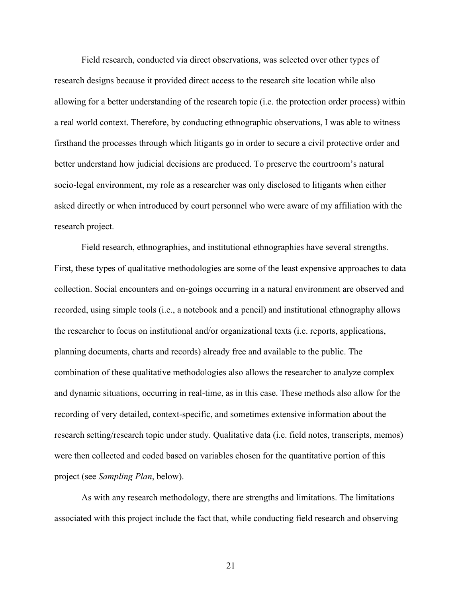Field research, conducted via direct observations, was selected over other types of research designs because it provided direct access to the research site location while also allowing for a better understanding of the research topic (i.e. the protection order process) within a real world context. Therefore, by conducting ethnographic observations, I was able to witness firsthand the processes through which litigants go in order to secure a civil protective order and better understand how judicial decisions are produced. To preserve the courtroom's natural socio-legal environment, my role as a researcher was only disclosed to litigants when either asked directly or when introduced by court personnel who were aware of my affiliation with the research project.

Field research, ethnographies, and institutional ethnographies have several strengths. First, these types of qualitative methodologies are some of the least expensive approaches to data collection. Social encounters and on-goings occurring in a natural environment are observed and recorded, using simple tools (i.e., a notebook and a pencil) and institutional ethnography allows the researcher to focus on institutional and/or organizational texts (i.e. reports, applications, planning documents, charts and records) already free and available to the public. The combination of these qualitative methodologies also allows the researcher to analyze complex and dynamic situations, occurring in real-time, as in this case. These methods also allow for the recording of very detailed, context-specific, and sometimes extensive information about the research setting/research topic under study. Qualitative data (i.e. field notes, transcripts, memos) were then collected and coded based on variables chosen for the quantitative portion of this project (see *Sampling Plan*, below).

As with any research methodology, there are strengths and limitations. The limitations associated with this project include the fact that, while conducting field research and observing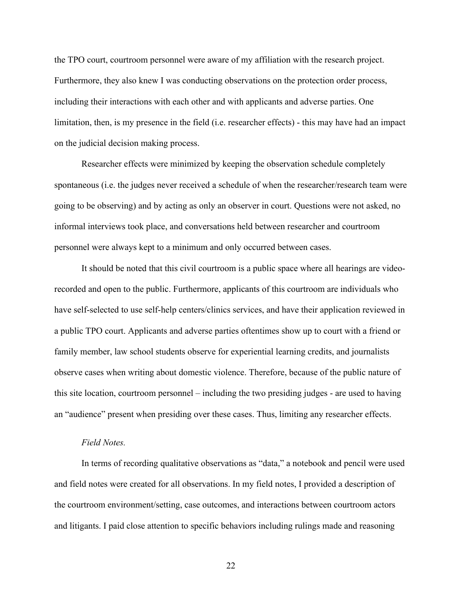the TPO court, courtroom personnel were aware of my affiliation with the research project. Furthermore, they also knew I was conducting observations on the protection order process, including their interactions with each other and with applicants and adverse parties. One limitation, then, is my presence in the field (i.e. researcher effects) - this may have had an impact on the judicial decision making process.

Researcher effects were minimized by keeping the observation schedule completely spontaneous (i.e. the judges never received a schedule of when the researcher/research team were going to be observing) and by acting as only an observer in court. Questions were not asked, no informal interviews took place, and conversations held between researcher and courtroom personnel were always kept to a minimum and only occurred between cases.

It should be noted that this civil courtroom is a public space where all hearings are videorecorded and open to the public. Furthermore, applicants of this courtroom are individuals who have self-selected to use self-help centers/clinics services, and have their application reviewed in a public TPO court. Applicants and adverse parties oftentimes show up to court with a friend or family member, law school students observe for experiential learning credits, and journalists observe cases when writing about domestic violence. Therefore, because of the public nature of this site location, courtroom personnel – including the two presiding judges - are used to having an "audience" present when presiding over these cases. Thus, limiting any researcher effects.

#### *Field Notes.*

In terms of recording qualitative observations as "data," a notebook and pencil were used and field notes were created for all observations. In my field notes, I provided a description of the courtroom environment/setting, case outcomes, and interactions between courtroom actors and litigants. I paid close attention to specific behaviors including rulings made and reasoning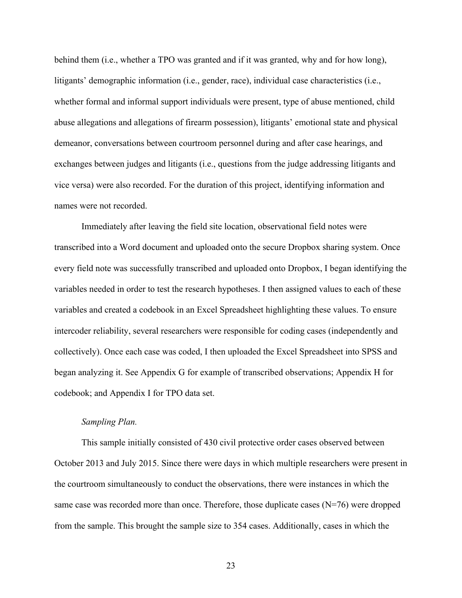behind them (i.e., whether a TPO was granted and if it was granted, why and for how long), litigants' demographic information (i.e., gender, race), individual case characteristics (i.e., whether formal and informal support individuals were present, type of abuse mentioned, child abuse allegations and allegations of firearm possession), litigants' emotional state and physical demeanor, conversations between courtroom personnel during and after case hearings, and exchanges between judges and litigants (i.e., questions from the judge addressing litigants and vice versa) were also recorded. For the duration of this project, identifying information and names were not recorded.

Immediately after leaving the field site location, observational field notes were transcribed into a Word document and uploaded onto the secure Dropbox sharing system. Once every field note was successfully transcribed and uploaded onto Dropbox, I began identifying the variables needed in order to test the research hypotheses. I then assigned values to each of these variables and created a codebook in an Excel Spreadsheet highlighting these values. To ensure intercoder reliability, several researchers were responsible for coding cases (independently and collectively). Once each case was coded, I then uploaded the Excel Spreadsheet into SPSS and began analyzing it. See Appendix G for example of transcribed observations; Appendix H for codebook; and Appendix I for TPO data set.

#### *Sampling Plan.*

This sample initially consisted of 430 civil protective order cases observed between October 2013 and July 2015. Since there were days in which multiple researchers were present in the courtroom simultaneously to conduct the observations, there were instances in which the same case was recorded more than once. Therefore, those duplicate cases  $(N=76)$  were dropped from the sample. This brought the sample size to 354 cases. Additionally, cases in which the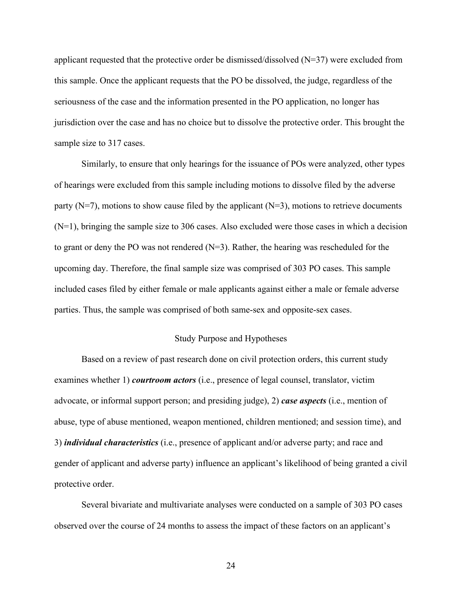applicant requested that the protective order be dismissed/dissolved  $(N=37)$  were excluded from this sample. Once the applicant requests that the PO be dissolved, the judge, regardless of the seriousness of the case and the information presented in the PO application, no longer has jurisdiction over the case and has no choice but to dissolve the protective order. This brought the sample size to 317 cases.

Similarly, to ensure that only hearings for the issuance of POs were analyzed, other types of hearings were excluded from this sample including motions to dissolve filed by the adverse party ( $N=7$ ), motions to show cause filed by the applicant ( $N=3$ ), motions to retrieve documents (N=1), bringing the sample size to 306 cases. Also excluded were those cases in which a decision to grant or deny the PO was not rendered (N=3). Rather, the hearing was rescheduled for the upcoming day. Therefore, the final sample size was comprised of 303 PO cases. This sample included cases filed by either female or male applicants against either a male or female adverse parties. Thus, the sample was comprised of both same-sex and opposite-sex cases.

#### Study Purpose and Hypotheses

Based on a review of past research done on civil protection orders, this current study examines whether 1) *courtroom actors* (i.e., presence of legal counsel, translator, victim advocate, or informal support person; and presiding judge), 2) *case aspects* (i.e., mention of abuse, type of abuse mentioned, weapon mentioned, children mentioned; and session time), and 3) *individual characteristics* (i.e., presence of applicant and/or adverse party; and race and gender of applicant and adverse party) influence an applicant's likelihood of being granted a civil protective order.

Several bivariate and multivariate analyses were conducted on a sample of 303 PO cases observed over the course of 24 months to assess the impact of these factors on an applicant's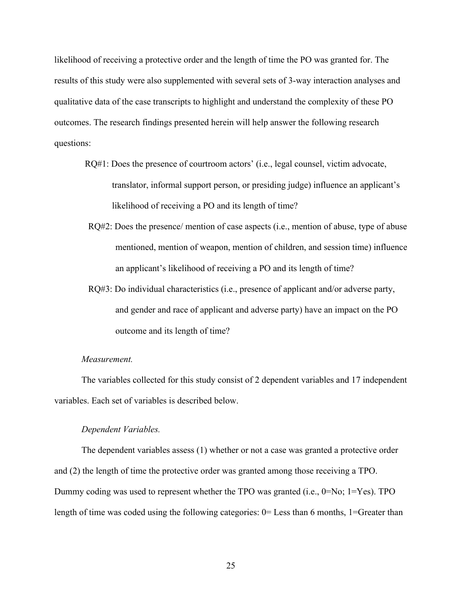likelihood of receiving a protective order and the length of time the PO was granted for. The results of this study were also supplemented with several sets of 3-way interaction analyses and qualitative data of the case transcripts to highlight and understand the complexity of these PO outcomes. The research findings presented herein will help answer the following research questions:

- RQ#1: Does the presence of courtroom actors' (i.e., legal counsel, victim advocate, translator, informal support person, or presiding judge) influence an applicant's likelihood of receiving a PO and its length of time?
- RQ#2: Does the presence/ mention of case aspects (i.e., mention of abuse, type of abuse mentioned, mention of weapon, mention of children, and session time) influence an applicant's likelihood of receiving a PO and its length of time?
- RQ#3: Do individual characteristics (i.e., presence of applicant and/or adverse party, and gender and race of applicant and adverse party) have an impact on the PO outcome and its length of time?

#### *Measurement.*

The variables collected for this study consist of 2 dependent variables and 17 independent variables. Each set of variables is described below.

#### *Dependent Variables.*

The dependent variables assess (1) whether or not a case was granted a protective order and (2) the length of time the protective order was granted among those receiving a TPO. Dummy coding was used to represent whether the TPO was granted (i.e., 0=No; 1=Yes). TPO length of time was coded using the following categories: 0= Less than 6 months, 1=Greater than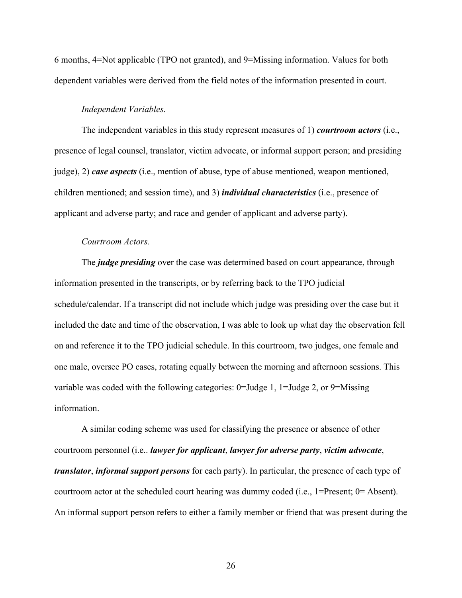6 months, 4=Not applicable (TPO not granted), and 9=Missing information. Values for both dependent variables were derived from the field notes of the information presented in court.

### *Independent Variables.*

The independent variables in this study represent measures of 1) *courtroom actors* (i.e., presence of legal counsel, translator, victim advocate, or informal support person; and presiding judge), 2) *case aspects* (i.e., mention of abuse, type of abuse mentioned, weapon mentioned, children mentioned; and session time), and 3) *individual characteristics* (i.e., presence of applicant and adverse party; and race and gender of applicant and adverse party).

# *Courtroom Actors.*

The *judge presiding* over the case was determined based on court appearance, through information presented in the transcripts, or by referring back to the TPO judicial schedule/calendar. If a transcript did not include which judge was presiding over the case but it included the date and time of the observation, I was able to look up what day the observation fell on and reference it to the TPO judicial schedule. In this courtroom, two judges, one female and one male, oversee PO cases, rotating equally between the morning and afternoon sessions. This variable was coded with the following categories: 0=Judge 1, 1=Judge 2, or 9=Missing information.

A similar coding scheme was used for classifying the presence or absence of other courtroom personnel (i.e.. *lawyer for applicant*, *lawyer for adverse party*, *victim advocate*, *translator*, *informal support persons* for each party). In particular, the presence of each type of courtroom actor at the scheduled court hearing was dummy coded (i.e., 1=Present; 0= Absent). An informal support person refers to either a family member or friend that was present during the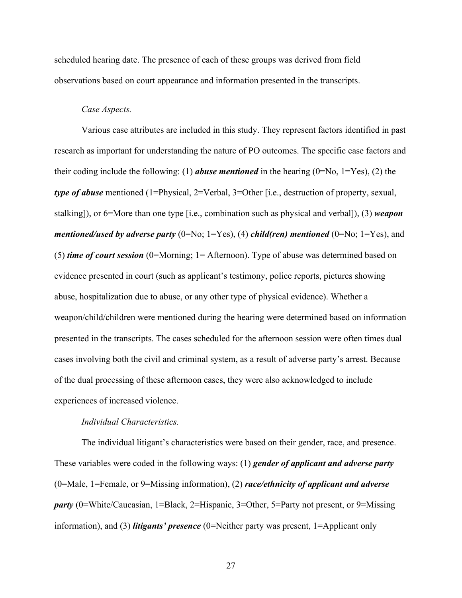scheduled hearing date. The presence of each of these groups was derived from field observations based on court appearance and information presented in the transcripts.

# *Case Aspects.*

Various case attributes are included in this study. They represent factors identified in past research as important for understanding the nature of PO outcomes. The specific case factors and their coding include the following: (1) *abuse mentioned* in the hearing  $(0=N_0, 1=Y_{\text{es}})$ , (2) the *type of abuse* mentioned (1=Physical, 2=Verbal, 3=Other [i.e., destruction of property, sexual, stalking]), or 6=More than one type [i.e., combination such as physical and verbal]), (3) *weapon mentioned/used by adverse party* (0=No; 1=Yes), (4) *child(ren)* mentioned (0=No; 1=Yes), and (5) *time of court session* (0=Morning; 1= Afternoon). Type of abuse was determined based on evidence presented in court (such as applicant's testimony, police reports, pictures showing abuse, hospitalization due to abuse, or any other type of physical evidence). Whether a weapon/child/children were mentioned during the hearing were determined based on information presented in the transcripts. The cases scheduled for the afternoon session were often times dual cases involving both the civil and criminal system, as a result of adverse party's arrest. Because of the dual processing of these afternoon cases, they were also acknowledged to include experiences of increased violence.

# *Individual Characteristics.*

The individual litigant's characteristics were based on their gender, race, and presence. These variables were coded in the following ways: (1) *gender of applicant and adverse party* (0=Male, 1=Female, or 9=Missing information), (2) *race/ethnicity of applicant and adverse party* (0=White/Caucasian, 1=Black, 2=Hispanic, 3=Other, 5=Party not present, or 9=Missing information), and (3) *litigants' presence* (0=Neither party was present, 1=Applicant only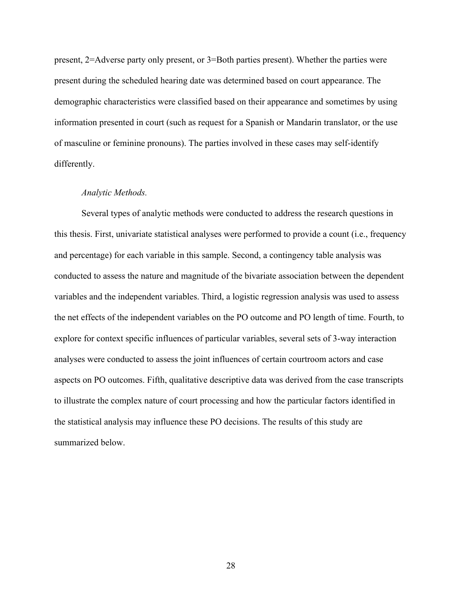present, 2=Adverse party only present, or 3=Both parties present). Whether the parties were present during the scheduled hearing date was determined based on court appearance. The demographic characteristics were classified based on their appearance and sometimes by using information presented in court (such as request for a Spanish or Mandarin translator, or the use of masculine or feminine pronouns). The parties involved in these cases may self-identify differently.

### *Analytic Methods.*

Several types of analytic methods were conducted to address the research questions in this thesis. First, univariate statistical analyses were performed to provide a count (i.e., frequency and percentage) for each variable in this sample. Second, a contingency table analysis was conducted to assess the nature and magnitude of the bivariate association between the dependent variables and the independent variables. Third, a logistic regression analysis was used to assess the net effects of the independent variables on the PO outcome and PO length of time. Fourth, to explore for context specific influences of particular variables, several sets of 3-way interaction analyses were conducted to assess the joint influences of certain courtroom actors and case aspects on PO outcomes. Fifth, qualitative descriptive data was derived from the case transcripts to illustrate the complex nature of court processing and how the particular factors identified in the statistical analysis may influence these PO decisions. The results of this study are summarized below.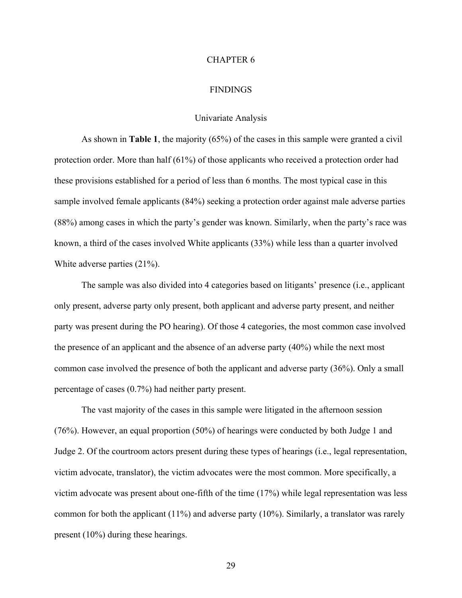### CHAPTER 6

### FINDINGS

### Univariate Analysis

As shown in **Table 1**, the majority (65%) of the cases in this sample were granted a civil protection order. More than half (61%) of those applicants who received a protection order had these provisions established for a period of less than 6 months. The most typical case in this sample involved female applicants (84%) seeking a protection order against male adverse parties (88%) among cases in which the party's gender was known. Similarly, when the party's race was known, a third of the cases involved White applicants (33%) while less than a quarter involved White adverse parties (21%).

The sample was also divided into 4 categories based on litigants' presence (i.e., applicant only present, adverse party only present, both applicant and adverse party present, and neither party was present during the PO hearing). Of those 4 categories, the most common case involved the presence of an applicant and the absence of an adverse party (40%) while the next most common case involved the presence of both the applicant and adverse party (36%). Only a small percentage of cases (0.7%) had neither party present.

 The vast majority of the cases in this sample were litigated in the afternoon session (76%). However, an equal proportion (50%) of hearings were conducted by both Judge 1 and Judge 2. Of the courtroom actors present during these types of hearings (i.e., legal representation, victim advocate, translator), the victim advocates were the most common. More specifically, a victim advocate was present about one-fifth of the time (17%) while legal representation was less common for both the applicant (11%) and adverse party (10%). Similarly, a translator was rarely present (10%) during these hearings.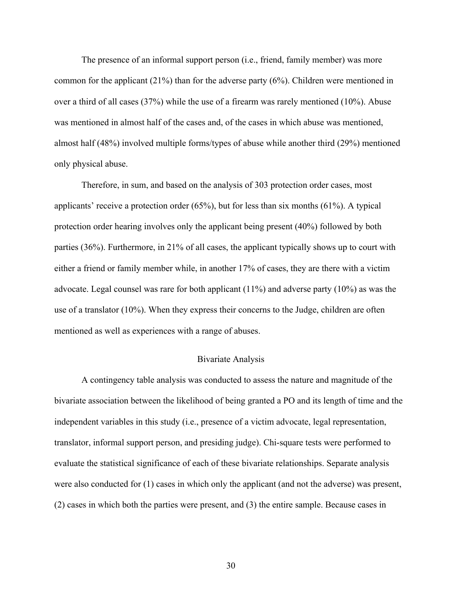The presence of an informal support person (i.e., friend, family member) was more common for the applicant (21%) than for the adverse party (6%). Children were mentioned in over a third of all cases (37%) while the use of a firearm was rarely mentioned (10%). Abuse was mentioned in almost half of the cases and, of the cases in which abuse was mentioned, almost half (48%) involved multiple forms/types of abuse while another third (29%) mentioned only physical abuse.

Therefore, in sum, and based on the analysis of 303 protection order cases, most applicants' receive a protection order (65%), but for less than six months (61%). A typical protection order hearing involves only the applicant being present (40%) followed by both parties (36%). Furthermore, in 21% of all cases, the applicant typically shows up to court with either a friend or family member while, in another 17% of cases, they are there with a victim advocate. Legal counsel was rare for both applicant (11%) and adverse party (10%) as was the use of a translator (10%). When they express their concerns to the Judge, children are often mentioned as well as experiences with a range of abuses.

### Bivariate Analysis

A contingency table analysis was conducted to assess the nature and magnitude of the bivariate association between the likelihood of being granted a PO and its length of time and the independent variables in this study (i.e., presence of a victim advocate, legal representation, translator, informal support person, and presiding judge). Chi-square tests were performed to evaluate the statistical significance of each of these bivariate relationships. Separate analysis were also conducted for (1) cases in which only the applicant (and not the adverse) was present, (2) cases in which both the parties were present, and (3) the entire sample. Because cases in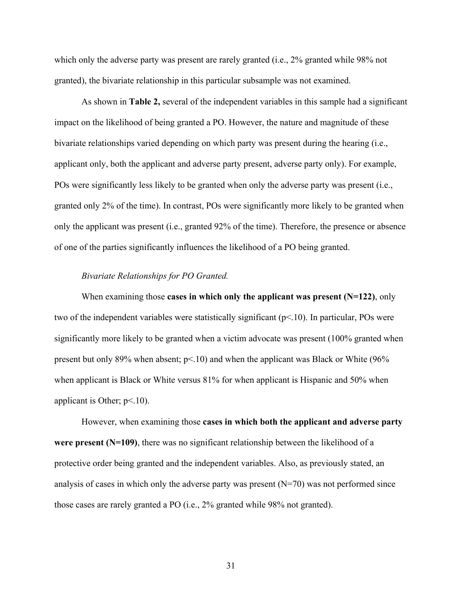which only the adverse party was present are rarely granted (i.e., 2% granted while 98% not granted), the bivariate relationship in this particular subsample was not examined.

As shown in **Table 2,** several of the independent variables in this sample had a significant impact on the likelihood of being granted a PO. However, the nature and magnitude of these bivariate relationships varied depending on which party was present during the hearing (i.e., applicant only, both the applicant and adverse party present, adverse party only). For example, POs were significantly less likely to be granted when only the adverse party was present (i.e., granted only 2% of the time). In contrast, POs were significantly more likely to be granted when only the applicant was present (i.e., granted 92% of the time). Therefore, the presence or absence of one of the parties significantly influences the likelihood of a PO being granted.

# *Bivariate Relationships for PO Granted.*

When examining those **cases in which only the applicant was present (N=122)**, only two of the independent variables were statistically significant  $(p<10)$ . In particular, POs were significantly more likely to be granted when a victim advocate was present (100% granted when present but only 89% when absent; p<.10) and when the applicant was Black or White (96% when applicant is Black or White versus 81% for when applicant is Hispanic and 50% when applicant is Other;  $p<10$ ).

However, when examining those **cases in which both the applicant and adverse party were present (N=109)**, there was no significant relationship between the likelihood of a protective order being granted and the independent variables. Also, as previously stated, an analysis of cases in which only the adverse party was present (N=70) was not performed since those cases are rarely granted a PO (i.e., 2% granted while 98% not granted).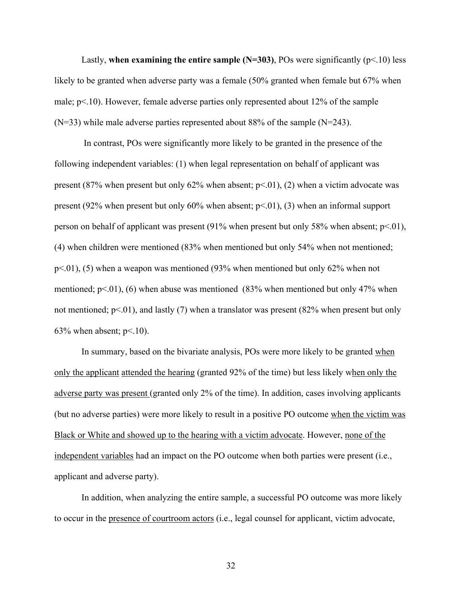Lastly, **when examining the entire sample (N=303)**, POs were significantly ( $p<10$ ) less likely to be granted when adverse party was a female (50% granted when female but 67% when male;  $p<10$ ). However, female adverse parties only represented about 12% of the sample  $(N=33)$  while male adverse parties represented about 88% of the sample  $(N=243)$ .

 In contrast, POs were significantly more likely to be granted in the presence of the following independent variables: (1) when legal representation on behalf of applicant was present (87% when present but only 62% when absent;  $p<0$ 1), (2) when a victim advocate was present (92% when present but only 60% when absent;  $p<0$ 1), (3) when an informal support person on behalf of applicant was present  $(91\%$  when present but only 58% when absent; p<.01), (4) when children were mentioned (83% when mentioned but only 54% when not mentioned;  $p<01$ , (5) when a weapon was mentioned (93% when mentioned but only 62% when not mentioned;  $p<0$ , (6) when abuse was mentioned (83% when mentioned but only 47% when not mentioned;  $p<01$ ), and lastly (7) when a translator was present (82% when present but only 63% when absent;  $p<10$ ).

In summary, based on the bivariate analysis, POs were more likely to be granted when only the applicant attended the hearing (granted 92% of the time) but less likely when only the adverse party was present (granted only 2% of the time). In addition, cases involving applicants (but no adverse parties) were more likely to result in a positive PO outcome when the victim was Black or White and showed up to the hearing with a victim advocate. However, none of the independent variables had an impact on the PO outcome when both parties were present (i.e., applicant and adverse party).

In addition, when analyzing the entire sample, a successful PO outcome was more likely to occur in the presence of courtroom actors (i.e., legal counsel for applicant, victim advocate,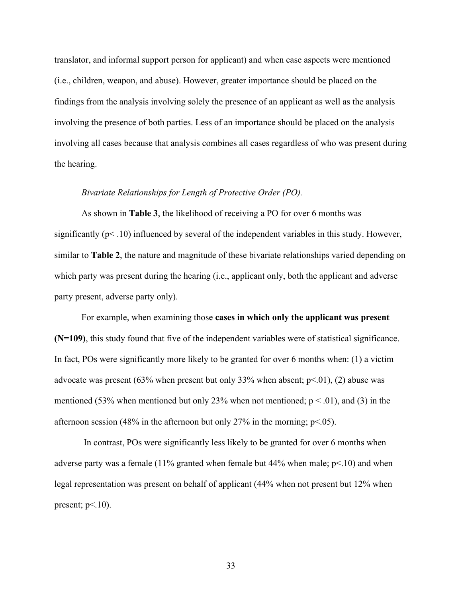translator, and informal support person for applicant) and when case aspects were mentioned (i.e., children, weapon, and abuse). However, greater importance should be placed on the findings from the analysis involving solely the presence of an applicant as well as the analysis involving the presence of both parties. Less of an importance should be placed on the analysis involving all cases because that analysis combines all cases regardless of who was present during the hearing.

# *Bivariate Relationships for Length of Protective Order (PO).*

As shown in **Table 3**, the likelihood of receiving a PO for over 6 months was significantly (p< .10) influenced by several of the independent variables in this study. However, similar to **Table 2**, the nature and magnitude of these bivariate relationships varied depending on which party was present during the hearing (i.e., applicant only, both the applicant and adverse party present, adverse party only).

For example, when examining those **cases in which only the applicant was present (N=109)**, this study found that five of the independent variables were of statistical significance. In fact, POs were significantly more likely to be granted for over 6 months when: (1) a victim advocate was present (63% when present but only 33% when absent;  $p<0$ 1), (2) abuse was mentioned (53% when mentioned but only 23% when not mentioned;  $p < .01$ ), and (3) in the afternoon session (48% in the afternoon but only 27% in the morning;  $p<0.05$ ).

 In contrast, POs were significantly less likely to be granted for over 6 months when adverse party was a female (11% granted when female but 44% when male;  $p<10$ ) and when legal representation was present on behalf of applicant (44% when not present but 12% when present;  $p<10$ ).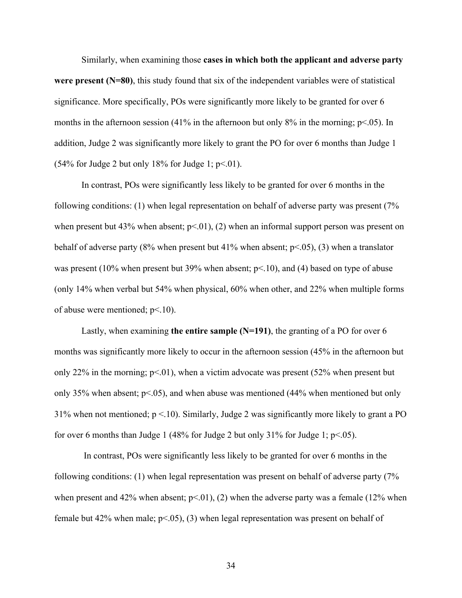Similarly, when examining those **cases in which both the applicant and adverse party were present (N=80)**, this study found that six of the independent variables were of statistical significance. More specifically, POs were significantly more likely to be granted for over 6 months in the afternoon session (41% in the afternoon but only  $8\%$  in the morning; p<.05). In addition, Judge 2 was significantly more likely to grant the PO for over 6 months than Judge 1  $(54\%$  for Judge 2 but only 18% for Judge 1; p<.01).

In contrast, POs were significantly less likely to be granted for over 6 months in the following conditions: (1) when legal representation on behalf of adverse party was present (7% when present but 43% when absent;  $p<01$ , (2) when an informal support person was present on behalf of adverse party (8% when present but 41% when absent;  $p<.05$ ), (3) when a translator was present (10% when present but 39% when absent;  $p<10$ ), and (4) based on type of abuse (only 14% when verbal but 54% when physical, 60% when other, and 22% when multiple forms of abuse were mentioned; p<.10).

Lastly, when examining **the entire sample (N=191)**, the granting of a PO for over 6 months was significantly more likely to occur in the afternoon session (45% in the afternoon but only 22% in the morning;  $p<0.01$ , when a victim advocate was present (52% when present but only 35% when absent;  $p<05$ ), and when abuse was mentioned (44% when mentioned but only 31% when not mentioned;  $p < 10$ ). Similarly, Judge 2 was significantly more likely to grant a PO for over 6 months than Judge 1 (48% for Judge 2 but only 31% for Judge 1;  $p<.05$ ).

 In contrast, POs were significantly less likely to be granted for over 6 months in the following conditions: (1) when legal representation was present on behalf of adverse party (7% when present and 42% when absent;  $p<01$ ), (2) when the adverse party was a female (12% when female but 42% when male;  $p<05$ ), (3) when legal representation was present on behalf of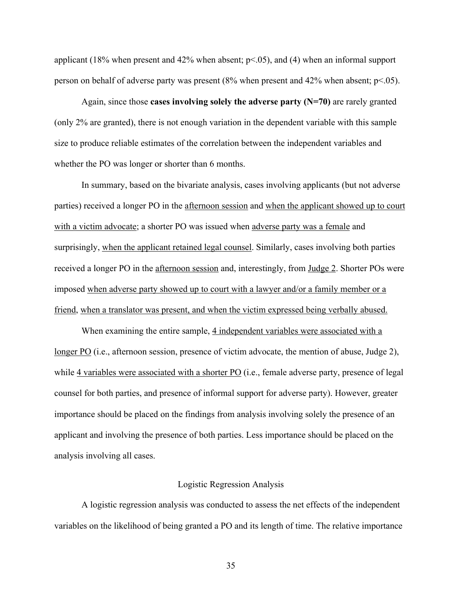applicant (18% when present and 42% when absent;  $p<0.05$ ), and (4) when an informal support person on behalf of adverse party was present  $(8\%$  when present and  $42\%$  when absent; p<.05).

Again, since those **cases involving solely the adverse party (N=70)** are rarely granted (only 2% are granted), there is not enough variation in the dependent variable with this sample size to produce reliable estimates of the correlation between the independent variables and whether the PO was longer or shorter than 6 months.

In summary, based on the bivariate analysis, cases involving applicants (but not adverse parties) received a longer PO in the afternoon session and when the applicant showed up to court with a victim advocate; a shorter PO was issued when adverse party was a female and surprisingly, when the applicant retained legal counsel. Similarly, cases involving both parties received a longer PO in the afternoon session and, interestingly, from Judge 2. Shorter POs were imposed when adverse party showed up to court with a lawyer and/or a family member or a friend, when a translator was present, and when the victim expressed being verbally abused.

When examining the entire sample, 4 independent variables were associated with a longer PO (i.e., afternoon session, presence of victim advocate, the mention of abuse, Judge 2), while 4 variables were associated with a shorter PO (i.e., female adverse party, presence of legal counsel for both parties, and presence of informal support for adverse party). However, greater importance should be placed on the findings from analysis involving solely the presence of an applicant and involving the presence of both parties. Less importance should be placed on the analysis involving all cases.

# Logistic Regression Analysis

A logistic regression analysis was conducted to assess the net effects of the independent variables on the likelihood of being granted a PO and its length of time. The relative importance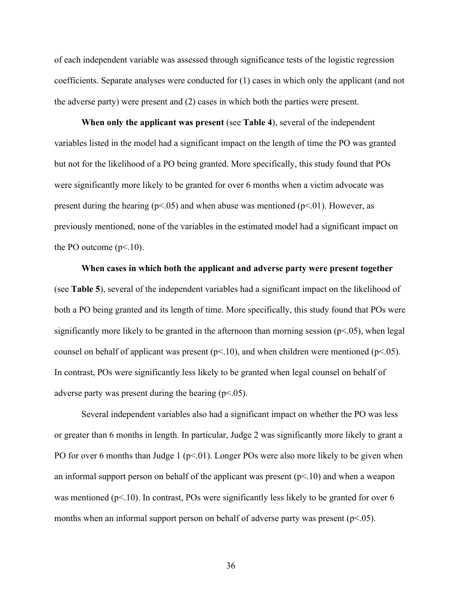of each independent variable was assessed through significance tests of the logistic regression coefficients. Separate analyses were conducted for (1) cases in which only the applicant (and not the adverse party) were present and (2) cases in which both the parties were present.

**When only the applicant was present** (see **Table 4**), several of the independent variables listed in the model had a significant impact on the length of time the PO was granted but not for the likelihood of a PO being granted. More specifically, this study found that POs were significantly more likely to be granted for over 6 months when a victim advocate was present during the hearing ( $p<05$ ) and when abuse was mentioned ( $p<01$ ). However, as previously mentioned, none of the variables in the estimated model had a significant impact on the PO outcome  $(p<.10)$ .

**When cases in which both the applicant and adverse party were present together** (see **Table 5**), several of the independent variables had a significant impact on the likelihood of both a PO being granted and its length of time. More specifically, this study found that POs were significantly more likely to be granted in the afternoon than morning session  $(p< 0.05)$ , when legal counsel on behalf of applicant was present ( $p<10$ ), and when children were mentioned ( $p<05$ ). In contrast, POs were significantly less likely to be granted when legal counsel on behalf of adverse party was present during the hearing  $(p<.05)$ .

Several independent variables also had a significant impact on whether the PO was less or greater than 6 months in length. In particular, Judge 2 was significantly more likely to grant a PO for over 6 months than Judge 1 ( $p<01$ ). Longer POs were also more likely to be given when an informal support person on behalf of the applicant was present  $(p<10)$  and when a weapon was mentioned ( $p<10$ ). In contrast, POs were significantly less likely to be granted for over 6 months when an informal support person on behalf of adverse party was present ( $p<05$ ).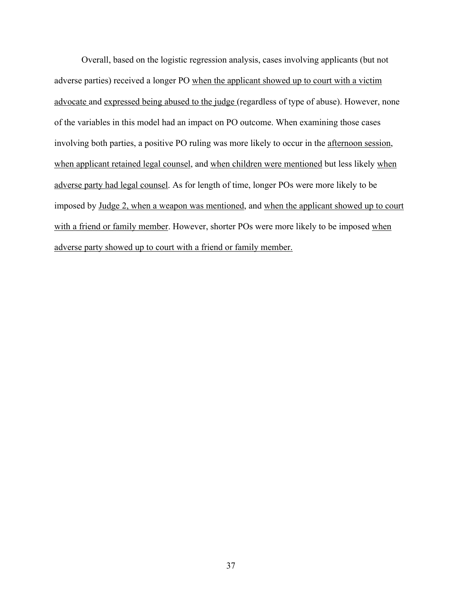Overall, based on the logistic regression analysis, cases involving applicants (but not adverse parties) received a longer PO when the applicant showed up to court with a victim advocate and expressed being abused to the judge (regardless of type of abuse). However, none of the variables in this model had an impact on PO outcome. When examining those cases involving both parties, a positive PO ruling was more likely to occur in the afternoon session, when applicant retained legal counsel, and when children were mentioned but less likely when adverse party had legal counsel. As for length of time, longer POs were more likely to be imposed by Judge 2, when a weapon was mentioned, and when the applicant showed up to court with a friend or family member. However, shorter POs were more likely to be imposed when adverse party showed up to court with a friend or family member.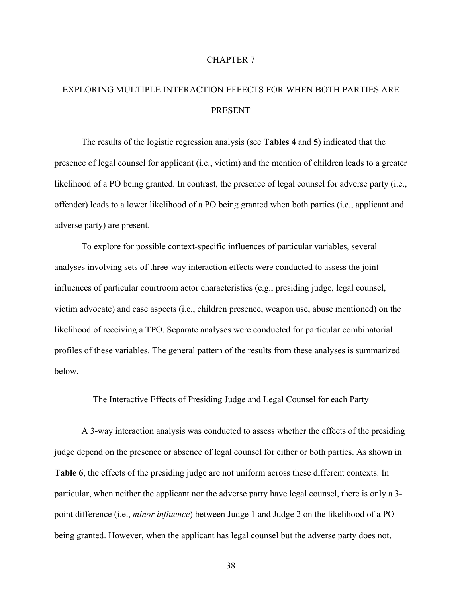### CHAPTER 7

# EXPLORING MULTIPLE INTERACTION EFFECTS FOR WHEN BOTH PARTIES ARE PRESENT

The results of the logistic regression analysis (see **Tables 4** and **5**) indicated that the presence of legal counsel for applicant (i.e., victim) and the mention of children leads to a greater likelihood of a PO being granted. In contrast, the presence of legal counsel for adverse party (i.e., offender) leads to a lower likelihood of a PO being granted when both parties (i.e., applicant and adverse party) are present.

To explore for possible context-specific influences of particular variables, several analyses involving sets of three-way interaction effects were conducted to assess the joint influences of particular courtroom actor characteristics (e.g., presiding judge, legal counsel, victim advocate) and case aspects (i.e., children presence, weapon use, abuse mentioned) on the likelihood of receiving a TPO. Separate analyses were conducted for particular combinatorial profiles of these variables. The general pattern of the results from these analyses is summarized below.

The Interactive Effects of Presiding Judge and Legal Counsel for each Party

A 3-way interaction analysis was conducted to assess whether the effects of the presiding judge depend on the presence or absence of legal counsel for either or both parties. As shown in **Table 6**, the effects of the presiding judge are not uniform across these different contexts. In particular, when neither the applicant nor the adverse party have legal counsel, there is only a 3 point difference (i.e., *minor influence*) between Judge 1 and Judge 2 on the likelihood of a PO being granted. However, when the applicant has legal counsel but the adverse party does not,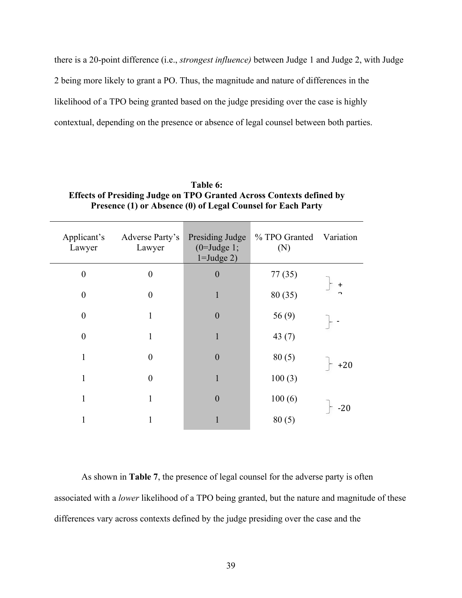there is a 20-point difference (i.e., *strongest influence)* between Judge 1 and Judge 2, with Judge 2 being more likely to grant a PO. Thus, the magnitude and nature of differences in the likelihood of a TPO being granted based on the judge presiding over the case is highly contextual, depending on the presence or absence of legal counsel between both parties.

| Table 6:                                                                    |
|-----------------------------------------------------------------------------|
| <b>Effects of Presiding Judge on TPO Granted Across Contexts defined by</b> |
| Presence (1) or Absence (0) of Legal Counsel for Each Party                 |

| Applicant's<br>Lawyer | Adverse Party's<br>Lawyer | Presiding Judge<br>$(0=$ Judge 1;<br>$1 =$ Judge 2) | % TPO Granted<br>(N) | Variation       |
|-----------------------|---------------------------|-----------------------------------------------------|----------------------|-----------------|
| $\boldsymbol{0}$      | $\boldsymbol{0}$          | $\boldsymbol{0}$                                    | 77(35)               |                 |
| $\boldsymbol{0}$      | $\boldsymbol{0}$          | 1                                                   | 80 (35)              | $\ddagger$<br>n |
| $\overline{0}$        | 1                         | $\left( \right)$                                    | 56(9)                |                 |
| $\boldsymbol{0}$      | 1                         | 1                                                   | 43(7)                |                 |
| 1                     | $\boldsymbol{0}$          | $\theta$                                            | 80(5)                | $+20$           |
| 1                     | $\overline{0}$            | 1                                                   | 100(3)               |                 |
| $\mathbf{1}$          | 1                         | 0                                                   | 100(6)               |                 |
| 1                     |                           |                                                     | 80(5)                | $-20$           |

As shown in **Table 7**, the presence of legal counsel for the adverse party is often associated with a *lower* likelihood of a TPO being granted, but the nature and magnitude of these differences vary across contexts defined by the judge presiding over the case and the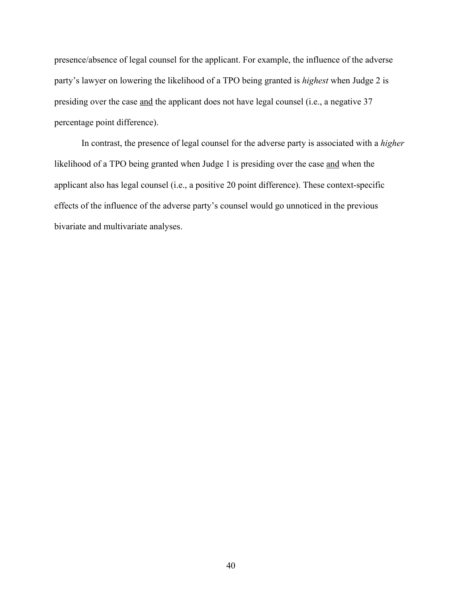presence/absence of legal counsel for the applicant. For example, the influence of the adverse party's lawyer on lowering the likelihood of a TPO being granted is *highest* when Judge 2 is presiding over the case and the applicant does not have legal counsel (i.e., a negative 37 percentage point difference).

In contrast, the presence of legal counsel for the adverse party is associated with a *higher* likelihood of a TPO being granted when Judge 1 is presiding over the case and when the applicant also has legal counsel (i.e., a positive 20 point difference). These context-specific effects of the influence of the adverse party's counsel would go unnoticed in the previous bivariate and multivariate analyses.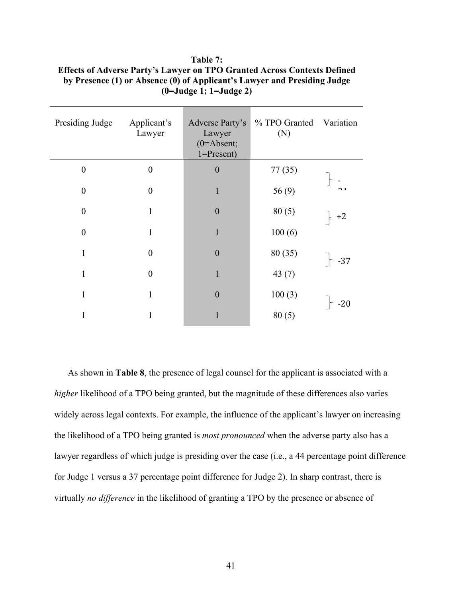| Presiding Judge  | Applicant's<br>Lawyer | Adverse Party's<br>Lawyer<br>$(0=$ Absent;<br>$1 =$ Present) | % TPO Granted<br>(N) | Variation |
|------------------|-----------------------|--------------------------------------------------------------|----------------------|-----------|
| $\boldsymbol{0}$ | $\theta$              | $\boldsymbol{0}$                                             | 77(35)               |           |
| $\boldsymbol{0}$ | $\theta$              | $\mathbf{1}$                                                 | 56(9)                | 71        |
| $\boldsymbol{0}$ | 1                     | $\boldsymbol{0}$                                             | 80(5)                | $+2$      |
| $\boldsymbol{0}$ | 1                     |                                                              | 100(6)               |           |
| 1                | $\theta$              | $\overline{0}$                                               | 80 (35)              | $-37$     |
| 1                | $\theta$              | 1                                                            | 43 $(7)$             |           |
| 1                | 1                     | $\boldsymbol{0}$                                             | 100(3)               |           |
|                  |                       |                                                              | 80(5)                | $-20$     |

**Table 7: Effects of Adverse Party's Lawyer on TPO Granted Across Contexts Defined by Presence (1) or Absence (0) of Applicant's Lawyer and Presiding Judge (0=Judge 1; 1=Judge 2)**

As shown in **Table 8**, the presence of legal counsel for the applicant is associated with a *higher* likelihood of a TPO being granted, but the magnitude of these differences also varies widely across legal contexts. For example, the influence of the applicant's lawyer on increasing the likelihood of a TPO being granted is *most pronounced* when the adverse party also has a lawyer regardless of which judge is presiding over the case (i.e., a 44 percentage point difference for Judge 1 versus a 37 percentage point difference for Judge 2). In sharp contrast, there is virtually *no difference* in the likelihood of granting a TPO by the presence or absence of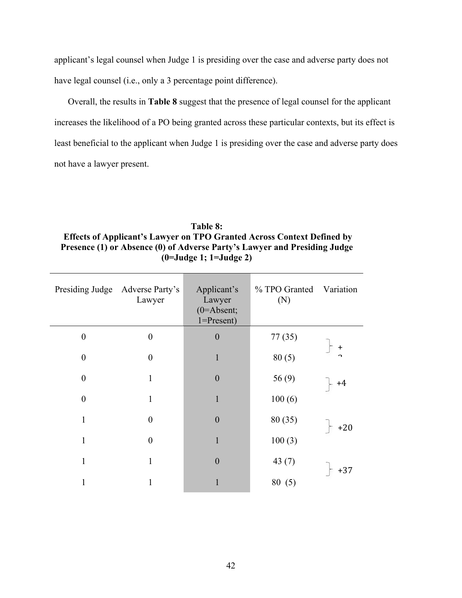applicant's legal counsel when Judge 1 is presiding over the case and adverse party does not have legal counsel (i.e., only a 3 percentage point difference).

Overall, the results in **Table 8** suggest that the presence of legal counsel for the applicant increases the likelihood of a PO being granted across these particular contexts, but its effect is least beneficial to the applicant when Judge 1 is presiding over the case and adverse party does not have a lawyer present.

# **Table 8: Effects of Applicant's Lawyer on TPO Granted Across Context Defined by Presence (1) or Absence (0) of Adverse Party's Lawyer and Presiding Judge (0=Judge 1; 1=Judge 2)**

|                  | Presiding Judge Adverse Party's<br>Lawyer | Applicant's<br>Lawyer<br>$(0=$ Absent;<br>$1 =$ Present) | % TPO Granted<br>(N) | Variation |
|------------------|-------------------------------------------|----------------------------------------------------------|----------------------|-----------|
| $\boldsymbol{0}$ | $\boldsymbol{0}$                          | $\boldsymbol{0}$                                         | 77 (35)              |           |
| $\boldsymbol{0}$ | $\boldsymbol{0}$                          | 1                                                        | 80(5)                | +<br>n    |
| $\boldsymbol{0}$ | $\mathbf{1}$                              | $\boldsymbol{0}$                                         | 56(9)                | +4        |
| $\boldsymbol{0}$ | $\mathbf{1}$                              | $\mathbf{1}$                                             | 100(6)               |           |
| $\mathbf{1}$     | $\boldsymbol{0}$                          | $\boldsymbol{0}$                                         | 80 (35)              | $+20$     |
| 1                | $\boldsymbol{0}$                          | 1                                                        | 100(3)               |           |
| 1                | $\mathbf{1}$                              | $\boldsymbol{0}$                                         | 43 $(7)$             | $+37$     |
| 1                | 1                                         |                                                          | 80(5)                |           |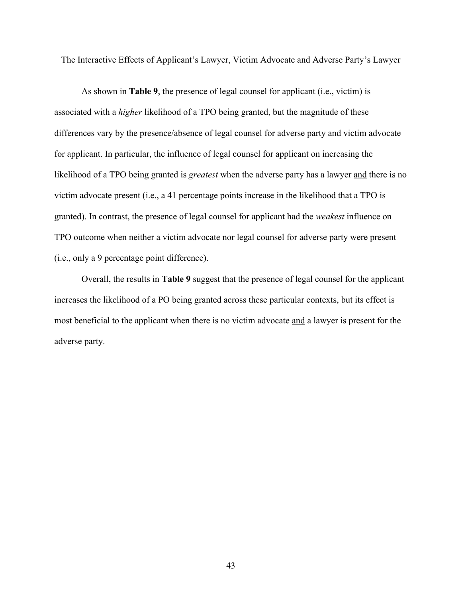The Interactive Effects of Applicant's Lawyer, Victim Advocate and Adverse Party's Lawyer

As shown in **Table 9**, the presence of legal counsel for applicant (i.e., victim) is associated with a *higher* likelihood of a TPO being granted, but the magnitude of these differences vary by the presence/absence of legal counsel for adverse party and victim advocate for applicant. In particular, the influence of legal counsel for applicant on increasing the likelihood of a TPO being granted is *greatest* when the adverse party has a lawyer and there is no victim advocate present (i.e., a 41 percentage points increase in the likelihood that a TPO is granted). In contrast, the presence of legal counsel for applicant had the *weakest* influence on TPO outcome when neither a victim advocate nor legal counsel for adverse party were present (i.e., only a 9 percentage point difference).

Overall, the results in **Table 9** suggest that the presence of legal counsel for the applicant increases the likelihood of a PO being granted across these particular contexts, but its effect is most beneficial to the applicant when there is no victim advocate and a lawyer is present for the adverse party.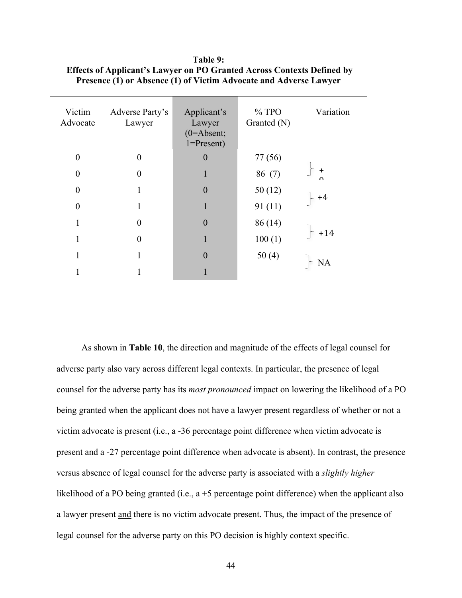| Victim<br>Advocate | Adverse Party's<br>Lawyer | Applicant's<br>Lawyer<br>$(0=Absent;$<br>$1 =$ Present) | $%$ TPO<br>Granted (N) | Variation              |
|--------------------|---------------------------|---------------------------------------------------------|------------------------|------------------------|
| 0                  | $\Omega$                  | $\boldsymbol{0}$                                        | 77 (56)                |                        |
| 0                  | $\theta$                  |                                                         | 86 (7)                 | $\ddagger$<br>$\Omega$ |
| $\theta$           |                           | $\theta$                                                | 50(12)                 |                        |
| $\theta$           |                           |                                                         | 91(11)                 | $+4$                   |
| 1                  | $\theta$                  | $\overline{0}$                                          | 86(14)                 |                        |
| 1                  | 0                         |                                                         | 100(1)                 | $+14$                  |
| 1                  |                           | $\overline{0}$                                          | 50(4)                  |                        |
|                    |                           |                                                         |                        | NΑ                     |

**Table 9: Effects of Applicant's Lawyer on PO Granted Across Contexts Defined by Presence (1) or Absence (1) of Victim Advocate and Adverse Lawyer**

As shown in **Table 10**, the direction and magnitude of the effects of legal counsel for adverse party also vary across different legal contexts. In particular, the presence of legal counsel for the adverse party has its *most pronounced* impact on lowering the likelihood of a PO being granted when the applicant does not have a lawyer present regardless of whether or not a victim advocate is present (i.e., a -36 percentage point difference when victim advocate is present and a -27 percentage point difference when advocate is absent). In contrast, the presence versus absence of legal counsel for the adverse party is associated with a *slightly higher* likelihood of a PO being granted (i.e., a +5 percentage point difference) when the applicant also a lawyer present and there is no victim advocate present. Thus, the impact of the presence of legal counsel for the adverse party on this PO decision is highly context specific.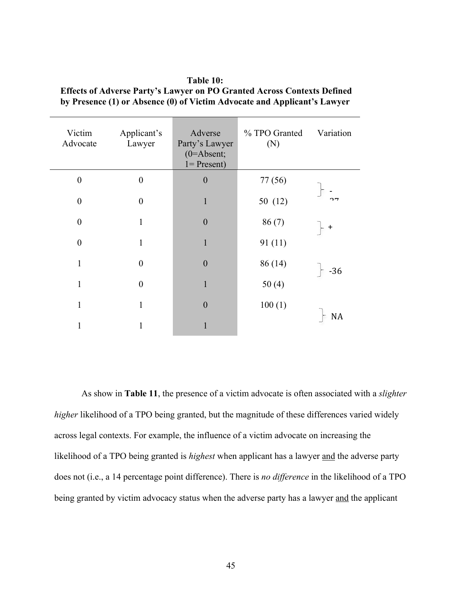| Victim<br>Advocate | Applicant's<br>Lawyer | Adverse<br>Party's Lawyer<br>$(0=Absent;$<br>$1 =$ Present) | % TPO Granted<br>(N) | Variation    |
|--------------------|-----------------------|-------------------------------------------------------------|----------------------|--------------|
| $\overline{0}$     | $\boldsymbol{0}$      | $\boldsymbol{0}$                                            | 77 (56)              |              |
| $\overline{0}$     | $\boldsymbol{0}$      | 1                                                           | 50 (12)              | $\mathbf{a}$ |
| $\overline{0}$     | 1                     | $\boldsymbol{0}$                                            | 86(7)                | $\pm$        |
| $\overline{0}$     | 1                     | $\mathbf{1}$                                                | 91(11)               |              |
| $\mathbf{1}$       | $\boldsymbol{0}$      | $\overline{0}$                                              | 86(14)               | $-36$        |
| $\mathbf{1}$       | $\theta$              | $\mathbf{1}$                                                | 50(4)                |              |
| $\mathbf{1}$       | 1                     | $\boldsymbol{0}$                                            | 100(1)               |              |
| 1                  |                       |                                                             |                      | <b>NA</b>    |

**Table 10: Effects of Adverse Party's Lawyer on PO Granted Across Contexts Defined by Presence (1) or Absence (0) of Victim Advocate and Applicant's Lawyer** 

As show in **Table 11**, the presence of a victim advocate is often associated with a *slighter higher* likelihood of a TPO being granted, but the magnitude of these differences varied widely across legal contexts. For example, the influence of a victim advocate on increasing the likelihood of a TPO being granted is *highest* when applicant has a lawyer and the adverse party does not (i.e., a 14 percentage point difference). There is *no difference* in the likelihood of a TPO being granted by victim advocacy status when the adverse party has a lawyer and the applicant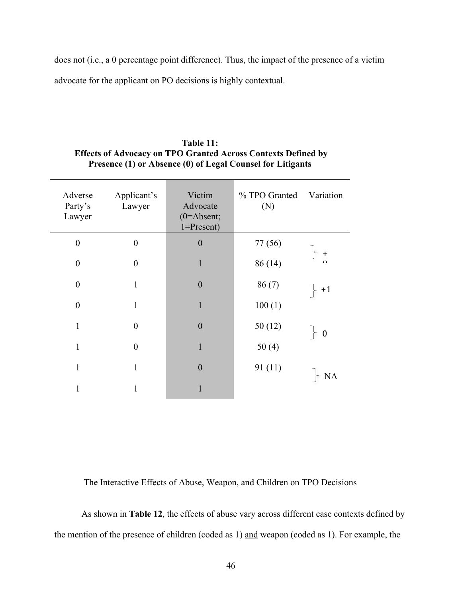does not (i.e., a 0 percentage point difference). Thus, the impact of the presence of a victim advocate for the applicant on PO decisions is highly contextual.

| Adverse<br>Party's<br>Lawyer | Applicant's<br>Lawyer | Victim<br>Advocate<br>$(0=$ Absent;<br>$1 =$ Present) | % TPO Granted<br>(N) | Variation             |
|------------------------------|-----------------------|-------------------------------------------------------|----------------------|-----------------------|
| $\overline{0}$               | $\theta$              | $\overline{0}$                                        | 77 (56)              |                       |
| $\overline{0}$               | $\theta$              | 1                                                     | 86(14)               | $\ddot{}$<br>$\Omega$ |
| $\overline{0}$               | 1                     | $\theta$                                              | 86(7)                | $+1$                  |
| $\overline{0}$               | 1                     | 1                                                     | 100(1)               |                       |
| 1                            | $\Omega$              | $\theta$                                              | 50(12)               | $\boldsymbol{0}$      |
| 1                            | $\theta$              | 1                                                     | 50(4)                |                       |
| $\mathbf{1}$                 | 1                     | $\theta$                                              | 91(11)               |                       |
| 1                            |                       |                                                       |                      | NA                    |

| Table 11:                                                            |
|----------------------------------------------------------------------|
| <b>Effects of Advocacy on TPO Granted Across Contexts Defined by</b> |
| Presence (1) or Absence (0) of Legal Counsel for Litigants           |

The Interactive Effects of Abuse, Weapon, and Children on TPO Decisions

As shown in **Table 12**, the effects of abuse vary across different case contexts defined by the mention of the presence of children (coded as 1) and weapon (coded as 1). For example, the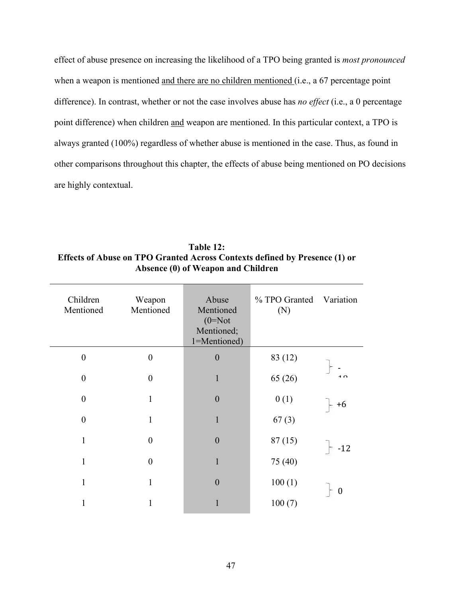effect of abuse presence on increasing the likelihood of a TPO being granted is *most pronounced* when a weapon is mentioned and there are no children mentioned (i.e., a 67 percentage point difference). In contrast, whether or not the case involves abuse has *no effect* (i.e., a 0 percentage point difference) when children and weapon are mentioned. In this particular context, a TPO is always granted (100%) regardless of whether abuse is mentioned in the case. Thus, as found in other comparisons throughout this chapter, the effects of abuse being mentioned on PO decisions are highly contextual.

| Children<br>Mentioned | Weapon<br>Mentioned | Abuse<br>Mentioned<br>$(0=Not$<br>Mentioned;<br>1=Mentioned) | % TPO Granted<br>(N) | Variation      |
|-----------------------|---------------------|--------------------------------------------------------------|----------------------|----------------|
| $\boldsymbol{0}$      | $\boldsymbol{0}$    | $\boldsymbol{0}$                                             | 83 (12)              |                |
| $\boldsymbol{0}$      | $\boldsymbol{0}$    | 1                                                            | 65(26)               | $\overline{1}$ |
| $\boldsymbol{0}$      | $\mathbf{1}$        | $\boldsymbol{0}$                                             | 0(1)                 | $+6$           |
| $\overline{0}$        | 1                   | $\mathbf{1}$                                                 | 67(3)                |                |
| $\mathbf{1}$          | $\boldsymbol{0}$    | $\boldsymbol{0}$                                             | 87(15)               | $-12$          |
| $\mathbf{1}$          | $\mathbf{0}$        | $\mathbf{1}$                                                 | 75 (40)              |                |
| $\mathbf{1}$          | $\mathbf{1}$        | $\boldsymbol{0}$                                             | 100(1)               |                |
| $\mathbf{1}$          | 1                   |                                                              | 100(7)               | 0              |

**Table 12: Effects of Abuse on TPO Granted Across Contexts defined by Presence (1) or Absence (0) of Weapon and Children**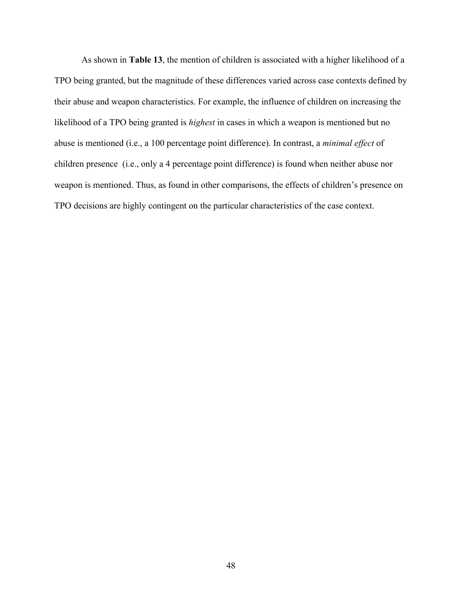As shown in **Table 13**, the mention of children is associated with a higher likelihood of a TPO being granted, but the magnitude of these differences varied across case contexts defined by their abuse and weapon characteristics. For example, the influence of children on increasing the likelihood of a TPO being granted is *highest* in cases in which a weapon is mentioned but no abuse is mentioned (i.e., a 100 percentage point difference). In contrast, a *minimal effect* of children presence (i.e., only a 4 percentage point difference) is found when neither abuse nor weapon is mentioned. Thus, as found in other comparisons, the effects of children's presence on TPO decisions are highly contingent on the particular characteristics of the case context.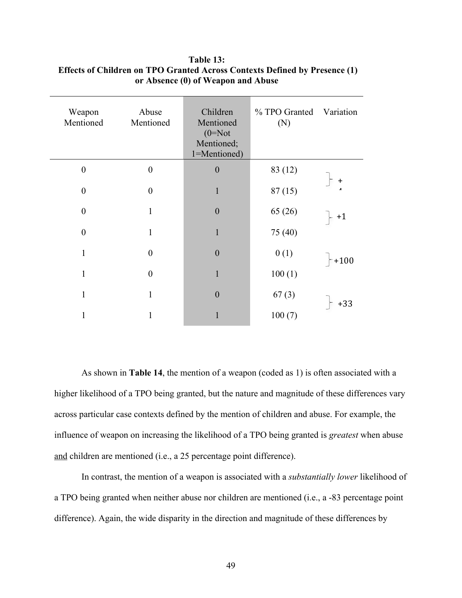| Weapon<br>Mentioned | Abuse<br>Mentioned | Children<br>Mentioned<br>$(0=Not)$<br>Mentioned;<br>1=Mentioned) | % TPO Granted<br>(N) | Variation              |
|---------------------|--------------------|------------------------------------------------------------------|----------------------|------------------------|
| $\boldsymbol{0}$    | $\boldsymbol{0}$   | $\boldsymbol{0}$                                                 | 83 (12)              |                        |
| $\overline{0}$      | $\overline{0}$     | 1                                                                | 87(15)               | $\ddot{}$<br>$\lambda$ |
| $\boldsymbol{0}$    | 1                  | $\boldsymbol{0}$                                                 | 65(26)               | $+1$                   |
| $\overline{0}$      | 1                  | $\mathbf{1}$                                                     | 75 (40)              |                        |
| 1                   | $\boldsymbol{0}$   | $\boldsymbol{0}$                                                 | 0(1)                 | $+100$                 |
| $\mathbf{1}$        | $\boldsymbol{0}$   | 1                                                                | 100(1)               |                        |
| 1                   | 1                  | $\boldsymbol{0}$                                                 | 67(3)                |                        |
| 1                   |                    |                                                                  | 100(7)               | $+33$                  |

# **Table 13: Effects of Children on TPO Granted Across Contexts Defined by Presence (1) or Absence (0) of Weapon and Abuse**

As shown in **Table 14**, the mention of a weapon (coded as 1) is often associated with a higher likelihood of a TPO being granted, but the nature and magnitude of these differences vary across particular case contexts defined by the mention of children and abuse. For example, the influence of weapon on increasing the likelihood of a TPO being granted is *greatest* when abuse and children are mentioned (i.e., a 25 percentage point difference).

In contrast, the mention of a weapon is associated with a *substantially lower* likelihood of a TPO being granted when neither abuse nor children are mentioned (i.e., a -83 percentage point difference). Again, the wide disparity in the direction and magnitude of these differences by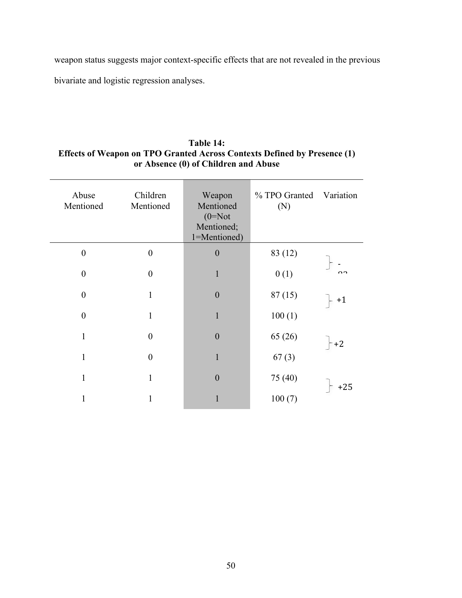weapon status suggests major context-specific effects that are not revealed in the previous bivariate and logistic regression analyses.

# **Table 14: Effects of Weapon on TPO Granted Across Contexts Defined by Presence (1) or Absence (0) of Children and Abuse**

| Abuse<br>Mentioned | Children<br>Mentioned | Weapon<br>Mentioned<br>$(0=Not)$<br>Mentioned;<br>1=Mentioned) | % TPO Granted<br>(N) | Variation |
|--------------------|-----------------------|----------------------------------------------------------------|----------------------|-----------|
| $\boldsymbol{0}$   | $\boldsymbol{0}$      | $\boldsymbol{0}$                                               | 83 (12)              |           |
| $\boldsymbol{0}$   | $\boldsymbol{0}$      |                                                                | 0(1)                 | $\Omega$  |
| $\boldsymbol{0}$   | 1                     | $\theta$                                                       | 87(15)               | $+1$      |
| $\boldsymbol{0}$   | 1                     |                                                                | 100(1)               |           |
| 1                  | $\boldsymbol{0}$      | $\boldsymbol{0}$                                               | 65 (26)              | $-+2$     |
| 1                  | $\theta$              | 1                                                              | 67(3)                |           |
| 1                  | 1                     | $\overline{0}$                                                 | 75 (40)              |           |
| 1                  |                       |                                                                | 100(7)               | $+25$     |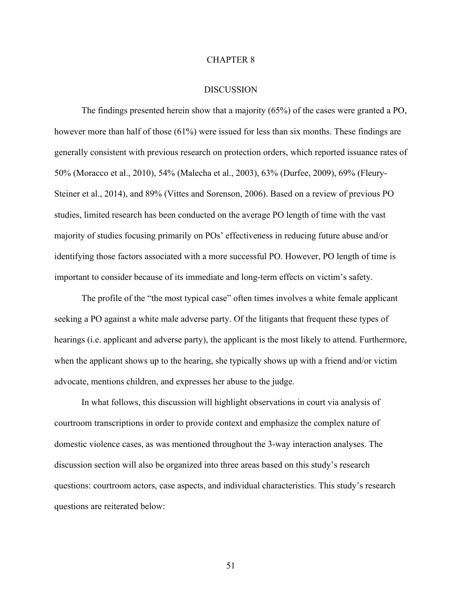### CHAPTER 8

#### DISCUSSION

The findings presented herein show that a majority (65%) of the cases were granted a PO, however more than half of those (61%) were issued for less than six months. These findings are generally consistent with previous research on protection orders, which reported issuance rates of 50% (Moracco et al., 2010), 54% (Malecha et al., 2003), 63% (Durfee, 2009), 69% (Fleury-Steiner et al., 2014), and 89% (Vittes and Sorenson, 2006). Based on a review of previous PO studies, limited research has been conducted on the average PO length of time with the vast majority of studies focusing primarily on POs' effectiveness in reducing future abuse and/or identifying those factors associated with a more successful PO. However, PO length of time is important to consider because of its immediate and long-term effects on victim's safety.

The profile of the "the most typical case" often times involves a white female applicant seeking a PO against a white male adverse party. Of the litigants that frequent these types of hearings (i.e. applicant and adverse party), the applicant is the most likely to attend. Furthermore, when the applicant shows up to the hearing, she typically shows up with a friend and/or victim advocate, mentions children, and expresses her abuse to the judge.

In what follows, this discussion will highlight observations in court via analysis of courtroom transcriptions in order to provide context and emphasize the complex nature of domestic violence cases, as was mentioned throughout the 3-way interaction analyses. The discussion section will also be organized into three areas based on this study's research questions: courtroom actors, case aspects, and individual characteristics. This study's research questions are reiterated below: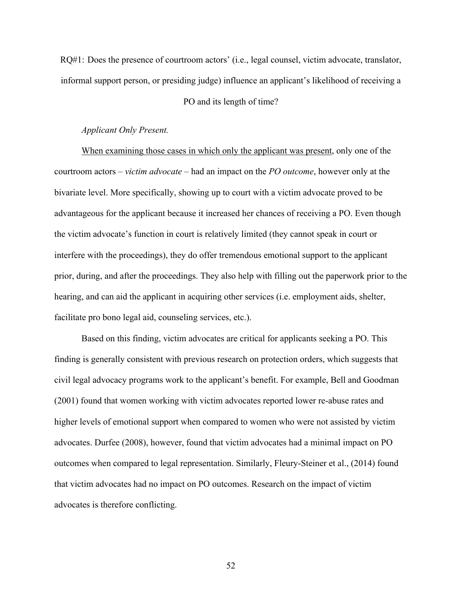RQ#1: Does the presence of courtroom actors' (i.e., legal counsel, victim advocate, translator, informal support person, or presiding judge) influence an applicant's likelihood of receiving a

## PO and its length of time?

## *Applicant Only Present.*

When examining those cases in which only the applicant was present, only one of the courtroom actors – *victim advocate* – had an impact on the *PO outcome*, however only at the bivariate level. More specifically, showing up to court with a victim advocate proved to be advantageous for the applicant because it increased her chances of receiving a PO. Even though the victim advocate's function in court is relatively limited (they cannot speak in court or interfere with the proceedings), they do offer tremendous emotional support to the applicant prior, during, and after the proceedings. They also help with filling out the paperwork prior to the hearing, and can aid the applicant in acquiring other services (i.e. employment aids, shelter, facilitate pro bono legal aid, counseling services, etc.).

Based on this finding, victim advocates are critical for applicants seeking a PO. This finding is generally consistent with previous research on protection orders, which suggests that civil legal advocacy programs work to the applicant's benefit. For example, Bell and Goodman (2001) found that women working with victim advocates reported lower re-abuse rates and higher levels of emotional support when compared to women who were not assisted by victim advocates. Durfee (2008), however, found that victim advocates had a minimal impact on PO outcomes when compared to legal representation. Similarly, Fleury-Steiner et al., (2014) found that victim advocates had no impact on PO outcomes. Research on the impact of victim advocates is therefore conflicting.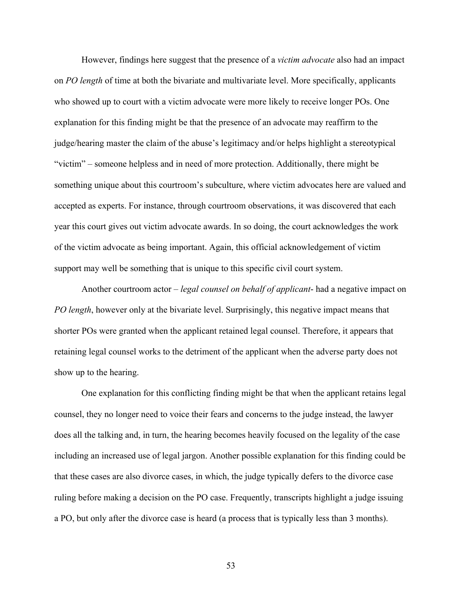However, findings here suggest that the presence of a *victim advocate* also had an impact on *PO length* of time at both the bivariate and multivariate level. More specifically, applicants who showed up to court with a victim advocate were more likely to receive longer POs. One explanation for this finding might be that the presence of an advocate may reaffirm to the judge/hearing master the claim of the abuse's legitimacy and/or helps highlight a stereotypical "victim" – someone helpless and in need of more protection. Additionally, there might be something unique about this courtroom's subculture, where victim advocates here are valued and accepted as experts. For instance, through courtroom observations, it was discovered that each year this court gives out victim advocate awards. In so doing, the court acknowledges the work of the victim advocate as being important. Again, this official acknowledgement of victim support may well be something that is unique to this specific civil court system.

Another courtroom actor – *legal counsel on behalf of applicant*- had a negative impact on *PO length*, however only at the bivariate level. Surprisingly, this negative impact means that shorter POs were granted when the applicant retained legal counsel. Therefore, it appears that retaining legal counsel works to the detriment of the applicant when the adverse party does not show up to the hearing.

One explanation for this conflicting finding might be that when the applicant retains legal counsel, they no longer need to voice their fears and concerns to the judge instead, the lawyer does all the talking and, in turn, the hearing becomes heavily focused on the legality of the case including an increased use of legal jargon. Another possible explanation for this finding could be that these cases are also divorce cases, in which, the judge typically defers to the divorce case ruling before making a decision on the PO case. Frequently, transcripts highlight a judge issuing a PO, but only after the divorce case is heard (a process that is typically less than 3 months).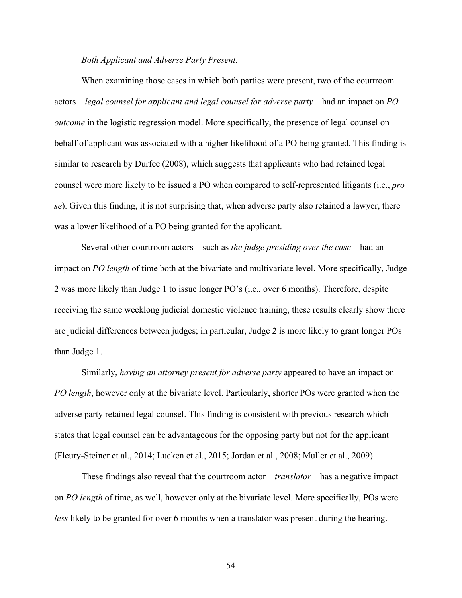*Both Applicant and Adverse Party Present.*

When examining those cases in which both parties were present, two of the courtroom actors – *legal counsel for applicant and legal counsel for adverse party* – had an impact on *PO outcome* in the logistic regression model. More specifically, the presence of legal counsel on behalf of applicant was associated with a higher likelihood of a PO being granted. This finding is similar to research by Durfee (2008), which suggests that applicants who had retained legal counsel were more likely to be issued a PO when compared to self-represented litigants (i.e., *pro se*). Given this finding, it is not surprising that, when adverse party also retained a lawyer, there was a lower likelihood of a PO being granted for the applicant.

Several other courtroom actors – such as *the judge presiding over the case* – had an impact on *PO length* of time both at the bivariate and multivariate level. More specifically, Judge 2 was more likely than Judge 1 to issue longer PO's (i.e., over 6 months). Therefore, despite receiving the same weeklong judicial domestic violence training, these results clearly show there are judicial differences between judges; in particular, Judge 2 is more likely to grant longer POs than Judge 1.

Similarly, *having an attorney present for adverse party* appeared to have an impact on *PO length*, however only at the bivariate level. Particularly, shorter POs were granted when the adverse party retained legal counsel. This finding is consistent with previous research which states that legal counsel can be advantageous for the opposing party but not for the applicant (Fleury-Steiner et al., 2014; Lucken et al., 2015; Jordan et al., 2008; Muller et al., 2009).

These findings also reveal that the courtroom actor – *translator* – has a negative impact on *PO length* of time, as well, however only at the bivariate level. More specifically, POs were *less* likely to be granted for over 6 months when a translator was present during the hearing.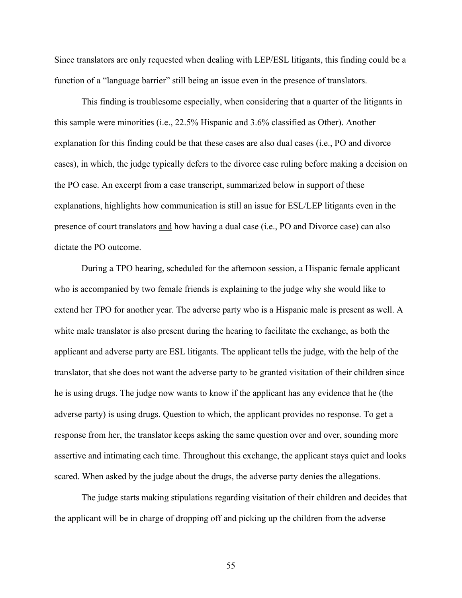Since translators are only requested when dealing with LEP/ESL litigants, this finding could be a function of a "language barrier" still being an issue even in the presence of translators.

This finding is troublesome especially, when considering that a quarter of the litigants in this sample were minorities (i.e., 22.5% Hispanic and 3.6% classified as Other). Another explanation for this finding could be that these cases are also dual cases (i.e., PO and divorce cases), in which, the judge typically defers to the divorce case ruling before making a decision on the PO case. An excerpt from a case transcript, summarized below in support of these explanations, highlights how communication is still an issue for ESL/LEP litigants even in the presence of court translators and how having a dual case (i.e., PO and Divorce case) can also dictate the PO outcome.

During a TPO hearing, scheduled for the afternoon session, a Hispanic female applicant who is accompanied by two female friends is explaining to the judge why she would like to extend her TPO for another year. The adverse party who is a Hispanic male is present as well. A white male translator is also present during the hearing to facilitate the exchange, as both the applicant and adverse party are ESL litigants. The applicant tells the judge, with the help of the translator, that she does not want the adverse party to be granted visitation of their children since he is using drugs. The judge now wants to know if the applicant has any evidence that he (the adverse party) is using drugs. Question to which, the applicant provides no response. To get a response from her, the translator keeps asking the same question over and over, sounding more assertive and intimating each time. Throughout this exchange, the applicant stays quiet and looks scared. When asked by the judge about the drugs, the adverse party denies the allegations.

The judge starts making stipulations regarding visitation of their children and decides that the applicant will be in charge of dropping off and picking up the children from the adverse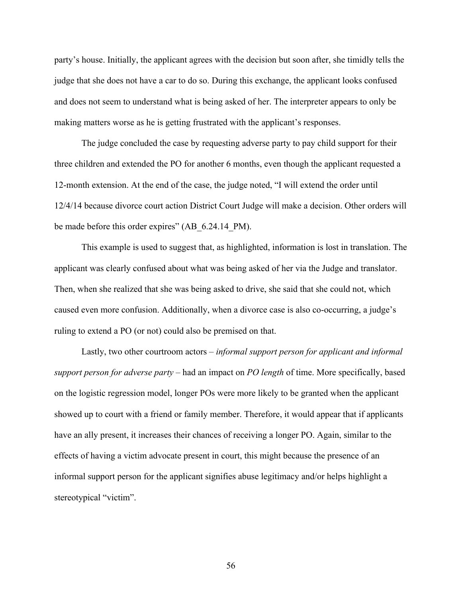party's house. Initially, the applicant agrees with the decision but soon after, she timidly tells the judge that she does not have a car to do so. During this exchange, the applicant looks confused and does not seem to understand what is being asked of her. The interpreter appears to only be making matters worse as he is getting frustrated with the applicant's responses.

The judge concluded the case by requesting adverse party to pay child support for their three children and extended the PO for another 6 months, even though the applicant requested a 12-month extension. At the end of the case, the judge noted, "I will extend the order until 12/4/14 because divorce court action District Court Judge will make a decision. Other orders will be made before this order expires" (AB\_6.24.14\_PM).

This example is used to suggest that, as highlighted, information is lost in translation. The applicant was clearly confused about what was being asked of her via the Judge and translator. Then, when she realized that she was being asked to drive, she said that she could not, which caused even more confusion. Additionally, when a divorce case is also co-occurring, a judge's ruling to extend a PO (or not) could also be premised on that.

Lastly, two other courtroom actors – *informal support person for applicant and informal support person for adverse party* – had an impact on *PO length* of time. More specifically, based on the logistic regression model, longer POs were more likely to be granted when the applicant showed up to court with a friend or family member. Therefore, it would appear that if applicants have an ally present, it increases their chances of receiving a longer PO. Again, similar to the effects of having a victim advocate present in court, this might because the presence of an informal support person for the applicant signifies abuse legitimacy and/or helps highlight a stereotypical "victim".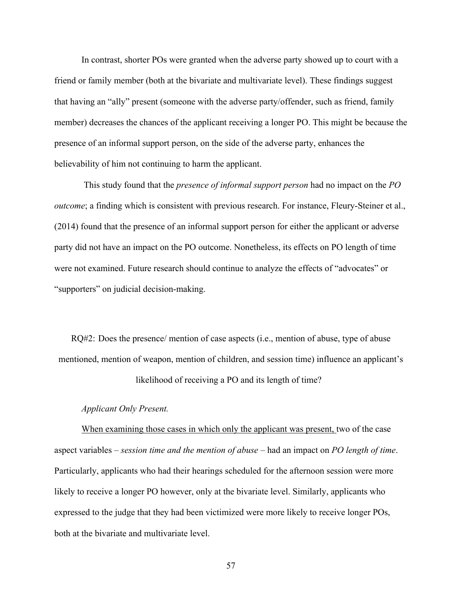In contrast, shorter POs were granted when the adverse party showed up to court with a friend or family member (both at the bivariate and multivariate level). These findings suggest that having an "ally" present (someone with the adverse party/offender, such as friend, family member) decreases the chances of the applicant receiving a longer PO. This might be because the presence of an informal support person, on the side of the adverse party, enhances the believability of him not continuing to harm the applicant.

This study found that the *presence of informal support person* had no impact on the *PO outcome*; a finding which is consistent with previous research. For instance, Fleury-Steiner et al., (2014) found that the presence of an informal support person for either the applicant or adverse party did not have an impact on the PO outcome. Nonetheless, its effects on PO length of time were not examined. Future research should continue to analyze the effects of "advocates" or "supporters" on judicial decision-making.

RQ#2: Does the presence/ mention of case aspects (i.e., mention of abuse, type of abuse mentioned, mention of weapon, mention of children, and session time) influence an applicant's likelihood of receiving a PO and its length of time?

# *Applicant Only Present.*

When examining those cases in which only the applicant was present, two of the case aspect variables – *session time and the mention of abuse* – had an impact on *PO length of time*. Particularly, applicants who had their hearings scheduled for the afternoon session were more likely to receive a longer PO however, only at the bivariate level. Similarly, applicants who expressed to the judge that they had been victimized were more likely to receive longer POs, both at the bivariate and multivariate level.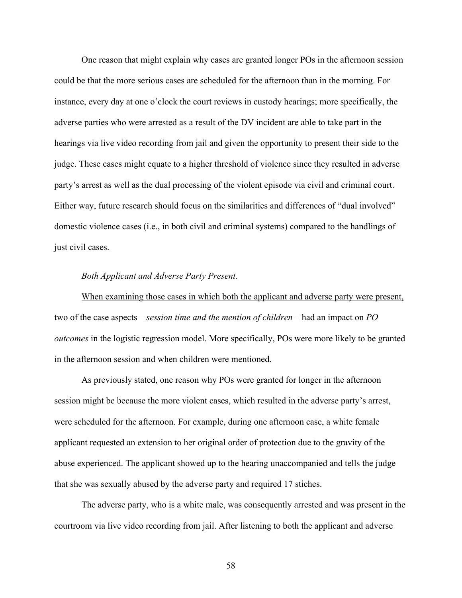One reason that might explain why cases are granted longer POs in the afternoon session could be that the more serious cases are scheduled for the afternoon than in the morning. For instance, every day at one o'clock the court reviews in custody hearings; more specifically, the adverse parties who were arrested as a result of the DV incident are able to take part in the hearings via live video recording from jail and given the opportunity to present their side to the judge. These cases might equate to a higher threshold of violence since they resulted in adverse party's arrest as well as the dual processing of the violent episode via civil and criminal court. Either way, future research should focus on the similarities and differences of "dual involved" domestic violence cases (i.e., in both civil and criminal systems) compared to the handlings of just civil cases.

# *Both Applicant and Adverse Party Present.*

When examining those cases in which both the applicant and adverse party were present, two of the case aspects – *session time and the mention of children* – had an impact on *PO outcomes* in the logistic regression model. More specifically, POs were more likely to be granted in the afternoon session and when children were mentioned.

As previously stated, one reason why POs were granted for longer in the afternoon session might be because the more violent cases, which resulted in the adverse party's arrest, were scheduled for the afternoon. For example, during one afternoon case, a white female applicant requested an extension to her original order of protection due to the gravity of the abuse experienced. The applicant showed up to the hearing unaccompanied and tells the judge that she was sexually abused by the adverse party and required 17 stiches.

The adverse party, who is a white male, was consequently arrested and was present in the courtroom via live video recording from jail. After listening to both the applicant and adverse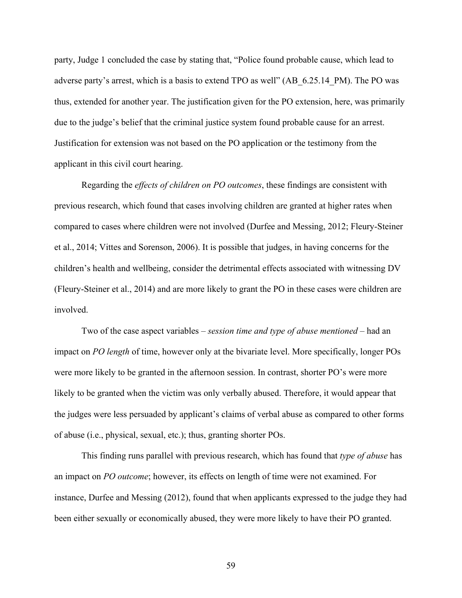party, Judge 1 concluded the case by stating that, "Police found probable cause, which lead to adverse party's arrest, which is a basis to extend TPO as well" (AB\_6.25.14\_PM). The PO was thus, extended for another year. The justification given for the PO extension, here, was primarily due to the judge's belief that the criminal justice system found probable cause for an arrest. Justification for extension was not based on the PO application or the testimony from the applicant in this civil court hearing.

Regarding the *effects of children on PO outcomes*, these findings are consistent with previous research, which found that cases involving children are granted at higher rates when compared to cases where children were not involved (Durfee and Messing, 2012; Fleury-Steiner et al., 2014; Vittes and Sorenson, 2006). It is possible that judges, in having concerns for the children's health and wellbeing, consider the detrimental effects associated with witnessing DV (Fleury-Steiner et al., 2014) and are more likely to grant the PO in these cases were children are involved.

Two of the case aspect variables – *session time and type of abuse mentioned* – had an impact on *PO length* of time, however only at the bivariate level. More specifically, longer POs were more likely to be granted in the afternoon session. In contrast, shorter PO's were more likely to be granted when the victim was only verbally abused. Therefore, it would appear that the judges were less persuaded by applicant's claims of verbal abuse as compared to other forms of abuse (i.e., physical, sexual, etc.); thus, granting shorter POs.

This finding runs parallel with previous research, which has found that *type of abuse* has an impact on *PO outcome*; however, its effects on length of time were not examined. For instance, Durfee and Messing (2012), found that when applicants expressed to the judge they had been either sexually or economically abused, they were more likely to have their PO granted.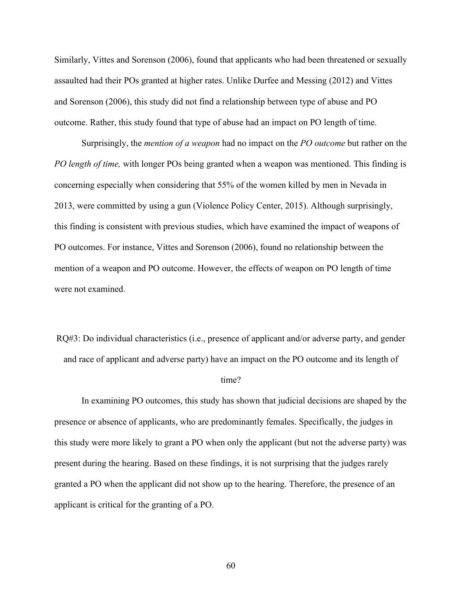Similarly, Vittes and Sorenson (2006), found that applicants who had been threatened or sexually assaulted had their POs granted at higher rates. Unlike Durfee and Messing (2012) and Vittes and Sorenson (2006), this study did not find a relationship between type of abuse and PO outcome. Rather, this study found that type of abuse had an impact on PO length of time.

Surprisingly, the *mention of a weapon* had no impact on the *PO outcome* but rather on the *PO length of time,* with longer POs being granted when a weapon was mentioned. This finding is concerning especially when considering that 55% of the women killed by men in Nevada in 2013, were committed by using a gun (Violence Policy Center, 2015). Although surprisingly, this finding is consistent with previous studies, which have examined the impact of weapons of PO outcomes. For instance, Vittes and Sorenson (2006), found no relationship between the mention of a weapon and PO outcome. However, the effects of weapon on PO length of time were not examined.

RQ#3: Do individual characteristics (i.e., presence of applicant and/or adverse party, and gender and race of applicant and adverse party) have an impact on the PO outcome and its length of

### time?

In examining PO outcomes, this study has shown that judicial decisions are shaped by the presence or absence of applicants, who are predominantly females. Specifically, the judges in this study were more likely to grant a PO when only the applicant (but not the adverse party) was present during the hearing. Based on these findings, it is not surprising that the judges rarely granted a PO when the applicant did not show up to the hearing. Therefore, the presence of an applicant is critical for the granting of a PO.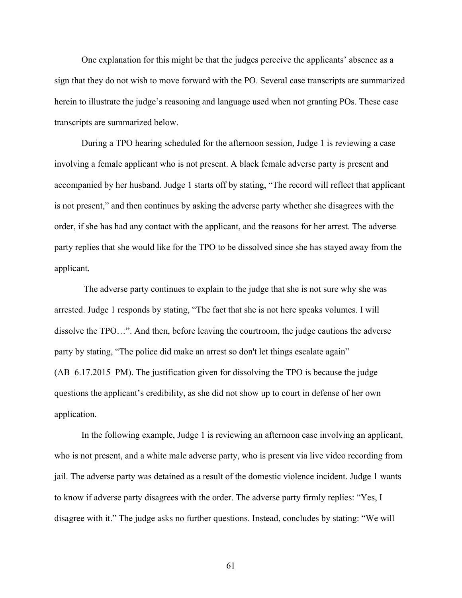One explanation for this might be that the judges perceive the applicants' absence as a sign that they do not wish to move forward with the PO. Several case transcripts are summarized herein to illustrate the judge's reasoning and language used when not granting POs. These case transcripts are summarized below.

During a TPO hearing scheduled for the afternoon session, Judge 1 is reviewing a case involving a female applicant who is not present. A black female adverse party is present and accompanied by her husband. Judge 1 starts off by stating, "The record will reflect that applicant is not present," and then continues by asking the adverse party whether she disagrees with the order, if she has had any contact with the applicant, and the reasons for her arrest. The adverse party replies that she would like for the TPO to be dissolved since she has stayed away from the applicant.

 The adverse party continues to explain to the judge that she is not sure why she was arrested. Judge 1 responds by stating, "The fact that she is not here speaks volumes. I will dissolve the TPO…". And then, before leaving the courtroom, the judge cautions the adverse party by stating, "The police did make an arrest so don't let things escalate again" (AB 6.17.2015 PM). The justification given for dissolving the TPO is because the judge questions the applicant's credibility, as she did not show up to court in defense of her own application.

In the following example, Judge 1 is reviewing an afternoon case involving an applicant, who is not present, and a white male adverse party, who is present via live video recording from jail. The adverse party was detained as a result of the domestic violence incident. Judge 1 wants to know if adverse party disagrees with the order. The adverse party firmly replies: "Yes, I disagree with it." The judge asks no further questions. Instead, concludes by stating: "We will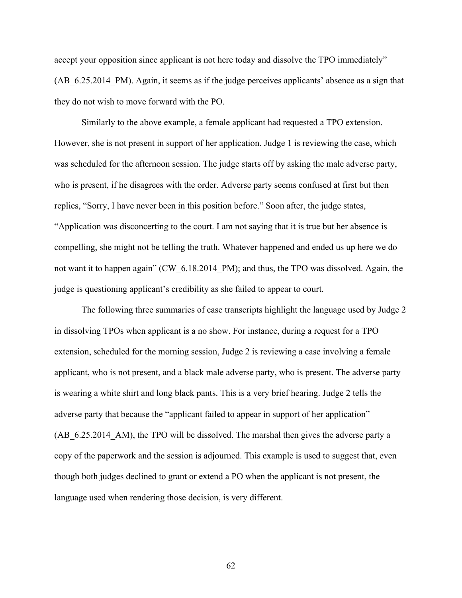accept your opposition since applicant is not here today and dissolve the TPO immediately" (AB\_6.25.2014\_PM). Again, it seems as if the judge perceives applicants' absence as a sign that they do not wish to move forward with the PO.

Similarly to the above example, a female applicant had requested a TPO extension. However, she is not present in support of her application. Judge 1 is reviewing the case, which was scheduled for the afternoon session. The judge starts off by asking the male adverse party, who is present, if he disagrees with the order. Adverse party seems confused at first but then replies, "Sorry, I have never been in this position before." Soon after, the judge states, "Application was disconcerting to the court. I am not saying that it is true but her absence is compelling, she might not be telling the truth. Whatever happened and ended us up here we do not want it to happen again" (CW\_6.18.2014\_PM); and thus, the TPO was dissolved. Again, the judge is questioning applicant's credibility as she failed to appear to court.

The following three summaries of case transcripts highlight the language used by Judge 2 in dissolving TPOs when applicant is a no show. For instance, during a request for a TPO extension, scheduled for the morning session, Judge 2 is reviewing a case involving a female applicant, who is not present, and a black male adverse party, who is present. The adverse party is wearing a white shirt and long black pants. This is a very brief hearing. Judge 2 tells the adverse party that because the "applicant failed to appear in support of her application" (AB 6.25.2014 AM), the TPO will be dissolved. The marshal then gives the adverse party a copy of the paperwork and the session is adjourned. This example is used to suggest that, even though both judges declined to grant or extend a PO when the applicant is not present, the language used when rendering those decision, is very different.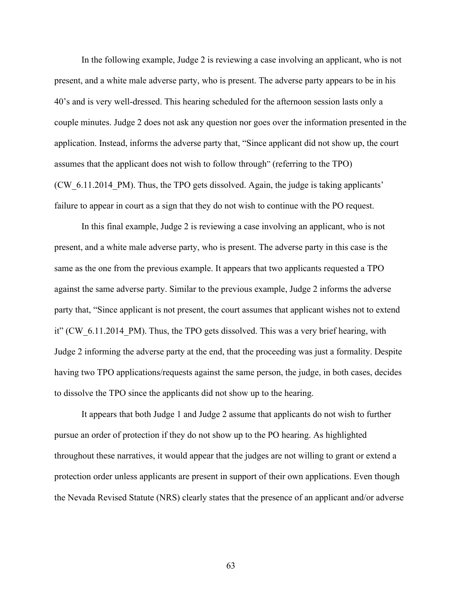In the following example, Judge 2 is reviewing a case involving an applicant, who is not present, and a white male adverse party, who is present. The adverse party appears to be in his 40's and is very well-dressed. This hearing scheduled for the afternoon session lasts only a couple minutes. Judge 2 does not ask any question nor goes over the information presented in the application. Instead, informs the adverse party that, "Since applicant did not show up, the court assumes that the applicant does not wish to follow through" (referring to the TPO) (CW\_6.11.2014\_PM). Thus, the TPO gets dissolved. Again, the judge is taking applicants' failure to appear in court as a sign that they do not wish to continue with the PO request.

In this final example, Judge 2 is reviewing a case involving an applicant, who is not present, and a white male adverse party, who is present. The adverse party in this case is the same as the one from the previous example. It appears that two applicants requested a TPO against the same adverse party. Similar to the previous example, Judge 2 informs the adverse party that, "Since applicant is not present, the court assumes that applicant wishes not to extend it" (CW 6.11.2014 PM). Thus, the TPO gets dissolved. This was a very brief hearing, with Judge 2 informing the adverse party at the end, that the proceeding was just a formality. Despite having two TPO applications/requests against the same person, the judge, in both cases, decides to dissolve the TPO since the applicants did not show up to the hearing.

It appears that both Judge 1 and Judge 2 assume that applicants do not wish to further pursue an order of protection if they do not show up to the PO hearing. As highlighted throughout these narratives, it would appear that the judges are not willing to grant or extend a protection order unless applicants are present in support of their own applications. Even though the Nevada Revised Statute (NRS) clearly states that the presence of an applicant and/or adverse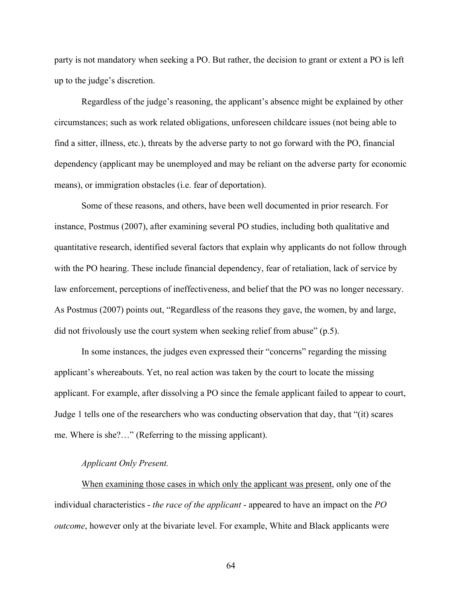party is not mandatory when seeking a PO. But rather, the decision to grant or extent a PO is left up to the judge's discretion.

Regardless of the judge's reasoning, the applicant's absence might be explained by other circumstances; such as work related obligations, unforeseen childcare issues (not being able to find a sitter, illness, etc.), threats by the adverse party to not go forward with the PO, financial dependency (applicant may be unemployed and may be reliant on the adverse party for economic means), or immigration obstacles (i.e. fear of deportation).

Some of these reasons, and others, have been well documented in prior research. For instance, Postmus (2007), after examining several PO studies, including both qualitative and quantitative research, identified several factors that explain why applicants do not follow through with the PO hearing. These include financial dependency, fear of retaliation, lack of service by law enforcement, perceptions of ineffectiveness, and belief that the PO was no longer necessary. As Postmus (2007) points out, "Regardless of the reasons they gave, the women, by and large, did not frivolously use the court system when seeking relief from abuse" (p.5).

In some instances, the judges even expressed their "concerns" regarding the missing applicant's whereabouts. Yet, no real action was taken by the court to locate the missing applicant. For example, after dissolving a PO since the female applicant failed to appear to court, Judge 1 tells one of the researchers who was conducting observation that day, that "(it) scares me. Where is she?…" (Referring to the missing applicant).

#### *Applicant Only Present.*

When examining those cases in which only the applicant was present, only one of the individual characteristics - *the race of the applicant* - appeared to have an impact on the *PO outcome*, however only at the bivariate level. For example, White and Black applicants were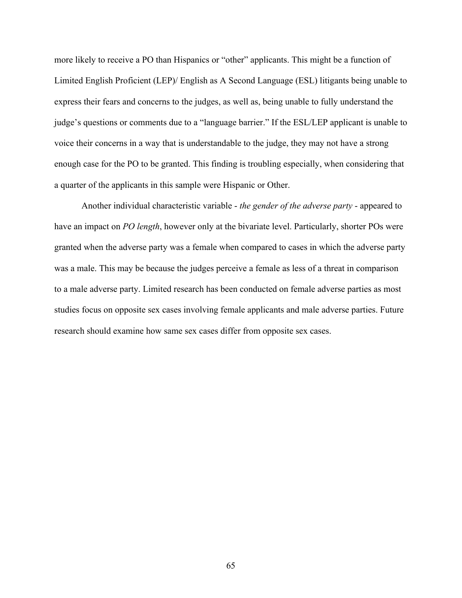more likely to receive a PO than Hispanics or "other" applicants. This might be a function of Limited English Proficient (LEP)/ English as A Second Language (ESL) litigants being unable to express their fears and concerns to the judges, as well as, being unable to fully understand the judge's questions or comments due to a "language barrier." If the ESL/LEP applicant is unable to voice their concerns in a way that is understandable to the judge, they may not have a strong enough case for the PO to be granted. This finding is troubling especially, when considering that a quarter of the applicants in this sample were Hispanic or Other.

Another individual characteristic variable - *the gender of the adverse party* - appeared to have an impact on *PO length*, however only at the bivariate level. Particularly, shorter POs were granted when the adverse party was a female when compared to cases in which the adverse party was a male. This may be because the judges perceive a female as less of a threat in comparison to a male adverse party. Limited research has been conducted on female adverse parties as most studies focus on opposite sex cases involving female applicants and male adverse parties. Future research should examine how same sex cases differ from opposite sex cases.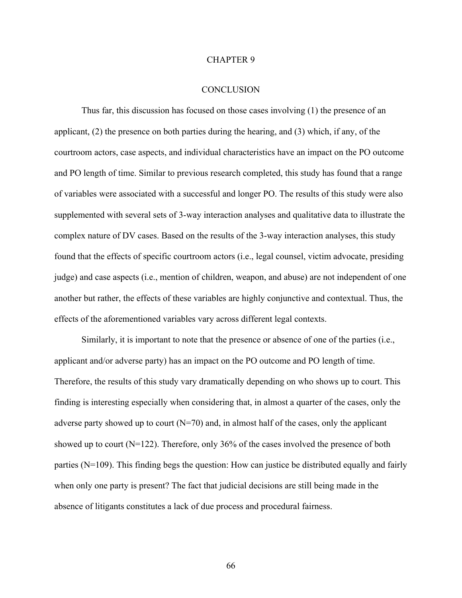#### CHAPTER 9

#### **CONCLUSION**

Thus far, this discussion has focused on those cases involving (1) the presence of an applicant, (2) the presence on both parties during the hearing, and (3) which, if any, of the courtroom actors, case aspects, and individual characteristics have an impact on the PO outcome and PO length of time. Similar to previous research completed, this study has found that a range of variables were associated with a successful and longer PO. The results of this study were also supplemented with several sets of 3-way interaction analyses and qualitative data to illustrate the complex nature of DV cases. Based on the results of the 3-way interaction analyses, this study found that the effects of specific courtroom actors (i.e., legal counsel, victim advocate, presiding judge) and case aspects (i.e., mention of children, weapon, and abuse) are not independent of one another but rather, the effects of these variables are highly conjunctive and contextual. Thus, the effects of the aforementioned variables vary across different legal contexts.

Similarly, it is important to note that the presence or absence of one of the parties (i.e., applicant and/or adverse party) has an impact on the PO outcome and PO length of time. Therefore, the results of this study vary dramatically depending on who shows up to court. This finding is interesting especially when considering that, in almost a quarter of the cases, only the adverse party showed up to court  $(N=70)$  and, in almost half of the cases, only the applicant showed up to court (N=122). Therefore, only 36% of the cases involved the presence of both parties (N=109). This finding begs the question: How can justice be distributed equally and fairly when only one party is present? The fact that judicial decisions are still being made in the absence of litigants constitutes a lack of due process and procedural fairness.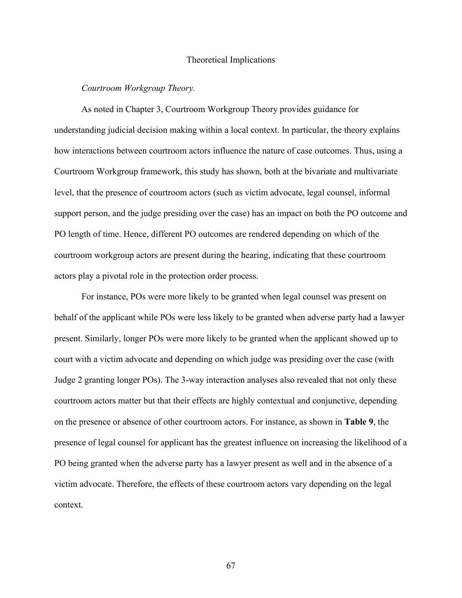### Theoretical Implications

#### *Courtroom Workgroup Theory.*

As noted in Chapter 3, Courtroom Workgroup Theory provides guidance for understanding judicial decision making within a local context. In particular, the theory explains how interactions between courtroom actors influence the nature of case outcomes. Thus, using a Courtroom Workgroup framework, this study has shown, both at the bivariate and multivariate level, that the presence of courtroom actors (such as victim advocate, legal counsel, informal support person, and the judge presiding over the case) has an impact on both the PO outcome and PO length of time. Hence, different PO outcomes are rendered depending on which of the courtroom workgroup actors are present during the hearing, indicating that these courtroom actors play a pivotal role in the protection order process.

For instance, POs were more likely to be granted when legal counsel was present on behalf of the applicant while POs were less likely to be granted when adverse party had a lawyer present. Similarly, longer POs were more likely to be granted when the applicant showed up to court with a victim advocate and depending on which judge was presiding over the case (with Judge 2 granting longer POs). The 3-way interaction analyses also revealed that not only these courtroom actors matter but that their effects are highly contextual and conjunctive, depending on the presence or absence of other courtroom actors. For instance, as shown in **Table 9**, the presence of legal counsel for applicant has the greatest influence on increasing the likelihood of a PO being granted when the adverse party has a lawyer present as well and in the absence of a victim advocate. Therefore, the effects of these courtroom actors vary depending on the legal context.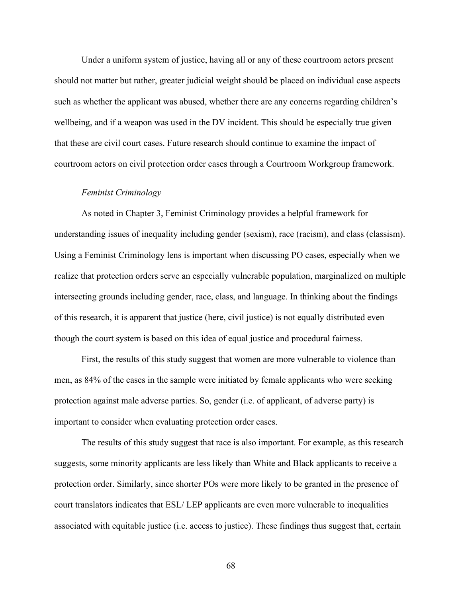Under a uniform system of justice, having all or any of these courtroom actors present should not matter but rather, greater judicial weight should be placed on individual case aspects such as whether the applicant was abused, whether there are any concerns regarding children's wellbeing, and if a weapon was used in the DV incident. This should be especially true given that these are civil court cases. Future research should continue to examine the impact of courtroom actors on civil protection order cases through a Courtroom Workgroup framework.

#### *Feminist Criminology*

As noted in Chapter 3, Feminist Criminology provides a helpful framework for understanding issues of inequality including gender (sexism), race (racism), and class (classism). Using a Feminist Criminology lens is important when discussing PO cases, especially when we realize that protection orders serve an especially vulnerable population, marginalized on multiple intersecting grounds including gender, race, class, and language. In thinking about the findings of this research, it is apparent that justice (here, civil justice) is not equally distributed even though the court system is based on this idea of equal justice and procedural fairness.

First, the results of this study suggest that women are more vulnerable to violence than men, as 84% of the cases in the sample were initiated by female applicants who were seeking protection against male adverse parties. So, gender (i.e. of applicant, of adverse party) is important to consider when evaluating protection order cases.

The results of this study suggest that race is also important. For example, as this research suggests, some minority applicants are less likely than White and Black applicants to receive a protection order. Similarly, since shorter POs were more likely to be granted in the presence of court translators indicates that ESL/ LEP applicants are even more vulnerable to inequalities associated with equitable justice (i.e. access to justice). These findings thus suggest that, certain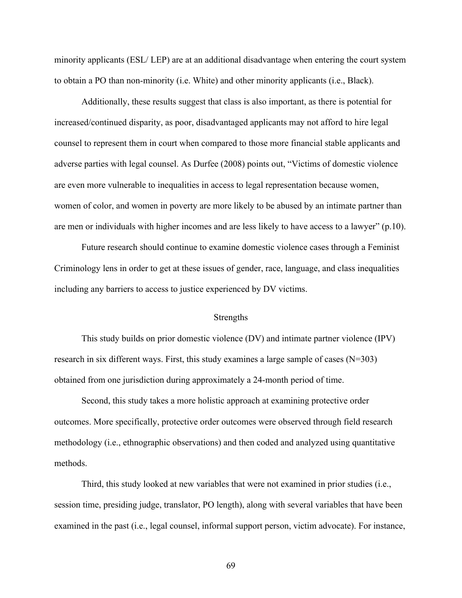minority applicants (ESL/ LEP) are at an additional disadvantage when entering the court system to obtain a PO than non-minority (i.e. White) and other minority applicants (i.e., Black).

Additionally, these results suggest that class is also important, as there is potential for increased/continued disparity, as poor, disadvantaged applicants may not afford to hire legal counsel to represent them in court when compared to those more financial stable applicants and adverse parties with legal counsel. As Durfee (2008) points out, "Victims of domestic violence are even more vulnerable to inequalities in access to legal representation because women, women of color, and women in poverty are more likely to be abused by an intimate partner than are men or individuals with higher incomes and are less likely to have access to a lawyer" (p.10).

Future research should continue to examine domestic violence cases through a Feminist Criminology lens in order to get at these issues of gender, race, language, and class inequalities including any barriers to access to justice experienced by DV victims.

### Strengths

This study builds on prior domestic violence (DV) and intimate partner violence (IPV) research in six different ways. First, this study examines a large sample of cases  $(N=303)$ obtained from one jurisdiction during approximately a 24-month period of time.

Second, this study takes a more holistic approach at examining protective order outcomes. More specifically, protective order outcomes were observed through field research methodology (i.e., ethnographic observations) and then coded and analyzed using quantitative methods.

Third, this study looked at new variables that were not examined in prior studies (i.e., session time, presiding judge, translator, PO length), along with several variables that have been examined in the past (i.e., legal counsel, informal support person, victim advocate). For instance,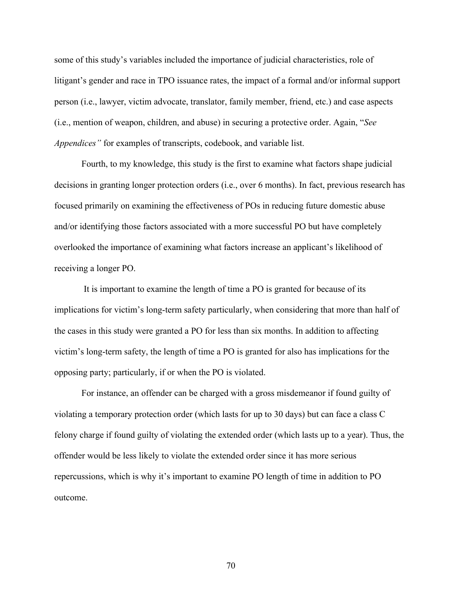some of this study's variables included the importance of judicial characteristics, role of litigant's gender and race in TPO issuance rates, the impact of a formal and/or informal support person (i.e., lawyer, victim advocate, translator, family member, friend, etc.) and case aspects (i.e., mention of weapon, children, and abuse) in securing a protective order. Again, "*See Appendices"* for examples of transcripts, codebook, and variable list.

Fourth, to my knowledge, this study is the first to examine what factors shape judicial decisions in granting longer protection orders (i.e., over 6 months). In fact, previous research has focused primarily on examining the effectiveness of POs in reducing future domestic abuse and/or identifying those factors associated with a more successful PO but have completely overlooked the importance of examining what factors increase an applicant's likelihood of receiving a longer PO.

 It is important to examine the length of time a PO is granted for because of its implications for victim's long-term safety particularly, when considering that more than half of the cases in this study were granted a PO for less than six months. In addition to affecting victim's long-term safety, the length of time a PO is granted for also has implications for the opposing party; particularly, if or when the PO is violated.

For instance, an offender can be charged with a gross misdemeanor if found guilty of violating a temporary protection order (which lasts for up to 30 days) but can face a class C felony charge if found guilty of violating the extended order (which lasts up to a year). Thus, the offender would be less likely to violate the extended order since it has more serious repercussions, which is why it's important to examine PO length of time in addition to PO outcome.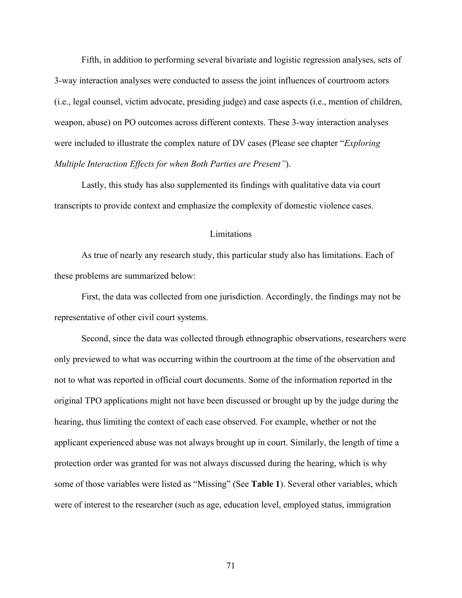Fifth, in addition to performing several bivariate and logistic regression analyses, sets of 3-way interaction analyses were conducted to assess the joint influences of courtroom actors (i.e., legal counsel, victim advocate, presiding judge) and case aspects (i.e., mention of children, weapon, abuse) on PO outcomes across different contexts. These 3-way interaction analyses were included to illustrate the complex nature of DV cases (Please see chapter "*Exploring Multiple Interaction Effects for when Both Parties are Present"*).

Lastly, this study has also supplemented its findings with qualitative data via court transcripts to provide context and emphasize the complexity of domestic violence cases.

### Limitations

As true of nearly any research study, this particular study also has limitations. Each of these problems are summarized below:

First, the data was collected from one jurisdiction. Accordingly, the findings may not be representative of other civil court systems.

Second, since the data was collected through ethnographic observations, researchers were only previewed to what was occurring within the courtroom at the time of the observation and not to what was reported in official court documents. Some of the information reported in the original TPO applications might not have been discussed or brought up by the judge during the hearing, thus limiting the context of each case observed. For example, whether or not the applicant experienced abuse was not always brought up in court. Similarly, the length of time a protection order was granted for was not always discussed during the hearing, which is why some of those variables were listed as "Missing" (See **Table 1**). Several other variables, which were of interest to the researcher (such as age, education level, employed status, immigration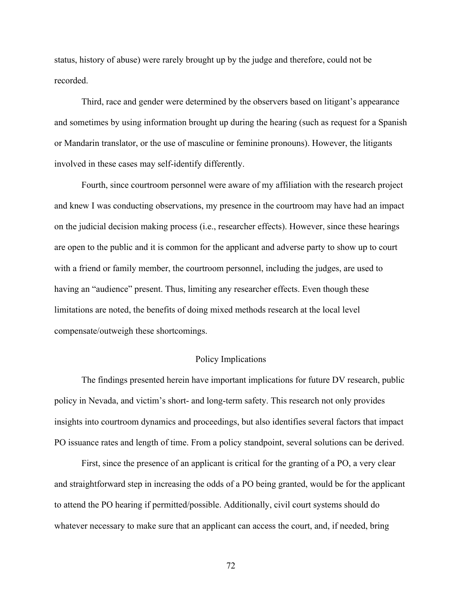status, history of abuse) were rarely brought up by the judge and therefore, could not be recorded.

Third, race and gender were determined by the observers based on litigant's appearance and sometimes by using information brought up during the hearing (such as request for a Spanish or Mandarin translator, or the use of masculine or feminine pronouns). However, the litigants involved in these cases may self-identify differently.

Fourth, since courtroom personnel were aware of my affiliation with the research project and knew I was conducting observations, my presence in the courtroom may have had an impact on the judicial decision making process (i.e., researcher effects). However, since these hearings are open to the public and it is common for the applicant and adverse party to show up to court with a friend or family member, the courtroom personnel, including the judges, are used to having an "audience" present. Thus, limiting any researcher effects. Even though these limitations are noted, the benefits of doing mixed methods research at the local level compensate/outweigh these shortcomings.

### Policy Implications

The findings presented herein have important implications for future DV research, public policy in Nevada, and victim's short- and long-term safety. This research not only provides insights into courtroom dynamics and proceedings, but also identifies several factors that impact PO issuance rates and length of time. From a policy standpoint, several solutions can be derived.

First, since the presence of an applicant is critical for the granting of a PO, a very clear and straightforward step in increasing the odds of a PO being granted, would be for the applicant to attend the PO hearing if permitted/possible. Additionally, civil court systems should do whatever necessary to make sure that an applicant can access the court, and, if needed, bring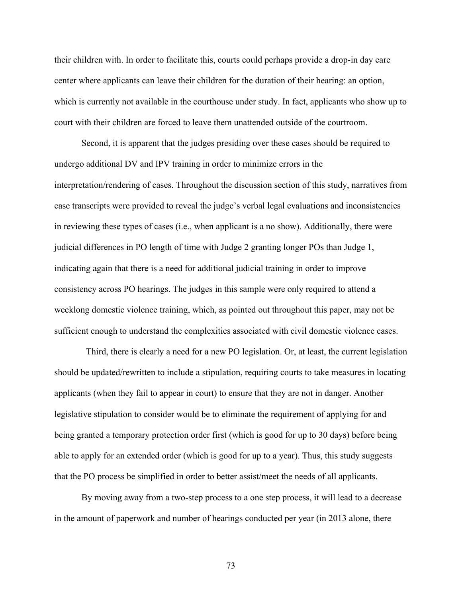their children with. In order to facilitate this, courts could perhaps provide a drop-in day care center where applicants can leave their children for the duration of their hearing: an option, which is currently not available in the courthouse under study. In fact, applicants who show up to court with their children are forced to leave them unattended outside of the courtroom.

Second, it is apparent that the judges presiding over these cases should be required to undergo additional DV and IPV training in order to minimize errors in the interpretation/rendering of cases. Throughout the discussion section of this study, narratives from case transcripts were provided to reveal the judge's verbal legal evaluations and inconsistencies in reviewing these types of cases (i.e., when applicant is a no show). Additionally, there were judicial differences in PO length of time with Judge 2 granting longer POs than Judge 1, indicating again that there is a need for additional judicial training in order to improve consistency across PO hearings. The judges in this sample were only required to attend a weeklong domestic violence training, which, as pointed out throughout this paper, may not be sufficient enough to understand the complexities associated with civil domestic violence cases.

 Third, there is clearly a need for a new PO legislation. Or, at least, the current legislation should be updated/rewritten to include a stipulation, requiring courts to take measures in locating applicants (when they fail to appear in court) to ensure that they are not in danger. Another legislative stipulation to consider would be to eliminate the requirement of applying for and being granted a temporary protection order first (which is good for up to 30 days) before being able to apply for an extended order (which is good for up to a year). Thus, this study suggests that the PO process be simplified in order to better assist/meet the needs of all applicants.

By moving away from a two-step process to a one step process, it will lead to a decrease in the amount of paperwork and number of hearings conducted per year (in 2013 alone, there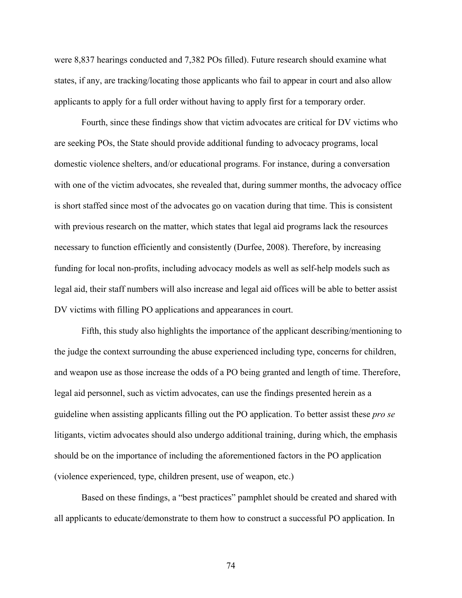were 8,837 hearings conducted and 7,382 POs filled). Future research should examine what states, if any, are tracking/locating those applicants who fail to appear in court and also allow applicants to apply for a full order without having to apply first for a temporary order.

Fourth, since these findings show that victim advocates are critical for DV victims who are seeking POs, the State should provide additional funding to advocacy programs, local domestic violence shelters, and/or educational programs. For instance, during a conversation with one of the victim advocates, she revealed that, during summer months, the advocacy office is short staffed since most of the advocates go on vacation during that time. This is consistent with previous research on the matter, which states that legal aid programs lack the resources necessary to function efficiently and consistently (Durfee, 2008). Therefore, by increasing funding for local non-profits, including advocacy models as well as self-help models such as legal aid, their staff numbers will also increase and legal aid offices will be able to better assist DV victims with filling PO applications and appearances in court.

Fifth, this study also highlights the importance of the applicant describing/mentioning to the judge the context surrounding the abuse experienced including type, concerns for children, and weapon use as those increase the odds of a PO being granted and length of time. Therefore, legal aid personnel, such as victim advocates, can use the findings presented herein as a guideline when assisting applicants filling out the PO application. To better assist these *pro se* litigants, victim advocates should also undergo additional training, during which, the emphasis should be on the importance of including the aforementioned factors in the PO application (violence experienced, type, children present, use of weapon, etc.)

Based on these findings, a "best practices" pamphlet should be created and shared with all applicants to educate/demonstrate to them how to construct a successful PO application. In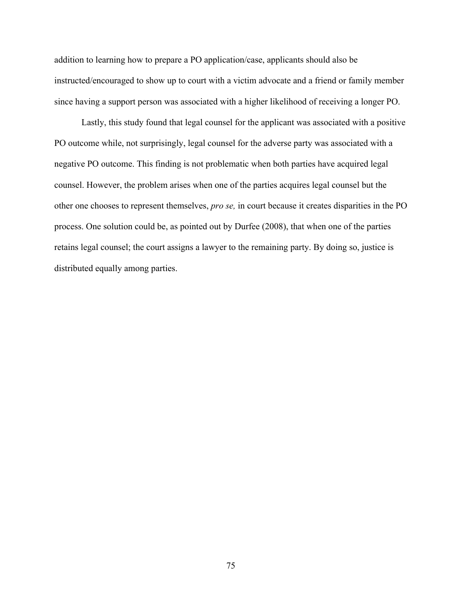addition to learning how to prepare a PO application/case, applicants should also be instructed/encouraged to show up to court with a victim advocate and a friend or family member since having a support person was associated with a higher likelihood of receiving a longer PO.

Lastly, this study found that legal counsel for the applicant was associated with a positive PO outcome while, not surprisingly, legal counsel for the adverse party was associated with a negative PO outcome. This finding is not problematic when both parties have acquired legal counsel. However, the problem arises when one of the parties acquires legal counsel but the other one chooses to represent themselves, *pro se,* in court because it creates disparities in the PO process. One solution could be, as pointed out by Durfee (2008), that when one of the parties retains legal counsel; the court assigns a lawyer to the remaining party. By doing so, justice is distributed equally among parties.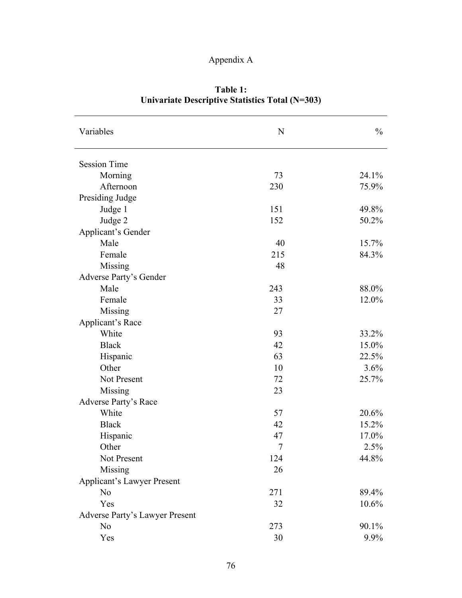# Appendix A

| Variables<br>N                        | $\frac{0}{0}$ |
|---------------------------------------|---------------|
|                                       |               |
| <b>Session Time</b>                   |               |
| Morning<br>73                         | 24.1%         |
| Afternoon<br>230                      | 75.9%         |
| Presiding Judge                       |               |
| Judge 1<br>151                        | 49.8%         |
| Judge 2<br>152                        | 50.2%         |
| Applicant's Gender                    |               |
| Male<br>40                            | 15.7%         |
| Female<br>215                         | 84.3%         |
| Missing<br>48                         |               |
| Adverse Party's Gender                |               |
| Male<br>243                           | 88.0%         |
| Female<br>33                          | 12.0%         |
| Missing<br>27                         |               |
| Applicant's Race                      |               |
| White<br>93                           | 33.2%         |
| <b>Black</b><br>42                    | 15.0%         |
| Hispanic<br>63                        | 22.5%         |
| Other<br>10                           | 3.6%          |
| Not Present<br>72                     | 25.7%         |
| Missing<br>23                         |               |
| <b>Adverse Party's Race</b>           |               |
| White<br>57                           | 20.6%         |
| <b>Black</b><br>42                    | 15.2%         |
| Hispanic<br>47                        | 17.0%         |
| Other<br>7                            | 2.5%          |
| Not Present<br>124                    | 44.8%         |
| Missing<br>26                         |               |
| <b>Applicant's Lawyer Present</b>     |               |
| N <sub>0</sub><br>271                 | 89.4%         |
| Yes<br>32                             | 10.6%         |
| <b>Adverse Party's Lawyer Present</b> |               |
| N <sub>0</sub><br>273                 | 90.1%         |
| 30<br>Yes                             | 9.9%          |

**Table 1: Univariate Descriptive Statistics Total (N=303)**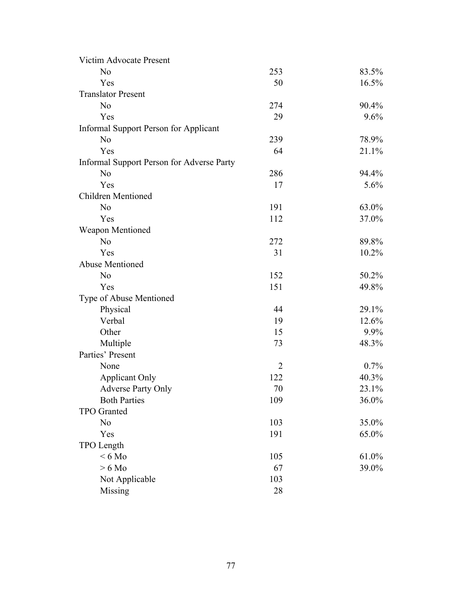| Victim Advocate Present                   |                |         |
|-------------------------------------------|----------------|---------|
| N <sub>o</sub>                            | 253            | 83.5%   |
| Yes                                       | 50             | 16.5%   |
| <b>Translator Present</b>                 |                |         |
| N <sub>o</sub>                            | 274            | 90.4%   |
| Yes                                       | 29             | 9.6%    |
| Informal Support Person for Applicant     |                |         |
| N <sub>o</sub>                            | 239            | 78.9%   |
| Yes                                       | 64             | 21.1%   |
| Informal Support Person for Adverse Party |                |         |
| N <sub>o</sub>                            | 286            | 94.4%   |
| Yes                                       | 17             | 5.6%    |
| <b>Children Mentioned</b>                 |                |         |
| N <sub>o</sub>                            | 191            | 63.0%   |
| Yes                                       | 112            | 37.0%   |
| <b>Weapon Mentioned</b>                   |                |         |
| N <sub>o</sub>                            | 272            | 89.8%   |
| Yes                                       | 31             | 10.2%   |
| <b>Abuse Mentioned</b>                    |                |         |
| N <sub>o</sub>                            | 152            | 50.2%   |
| Yes                                       | 151            | 49.8%   |
| Type of Abuse Mentioned                   |                |         |
| Physical                                  | 44             | 29.1%   |
| Verbal                                    | 19             | 12.6%   |
| Other                                     | 15             | 9.9%    |
| Multiple                                  | 73             | 48.3%   |
| Parties' Present                          |                |         |
| None                                      | $\overline{2}$ | $0.7\%$ |
| <b>Applicant Only</b>                     | 122            | 40.3%   |
| <b>Adverse Party Only</b>                 | 70             | 23.1%   |
| <b>Both Parties</b>                       | 109            | 36.0%   |
| TPO Granted                               |                |         |
| N <sub>o</sub>                            | 103            | 35.0%   |
| Yes                                       | 191            | 65.0%   |
| TPO Length                                |                |         |
| $< 6$ Mo                                  | 105            | 61.0%   |
| $> 6$ Mo                                  | 67             | 39.0%   |
| Not Applicable                            | 103            |         |
| Missing                                   | 28             |         |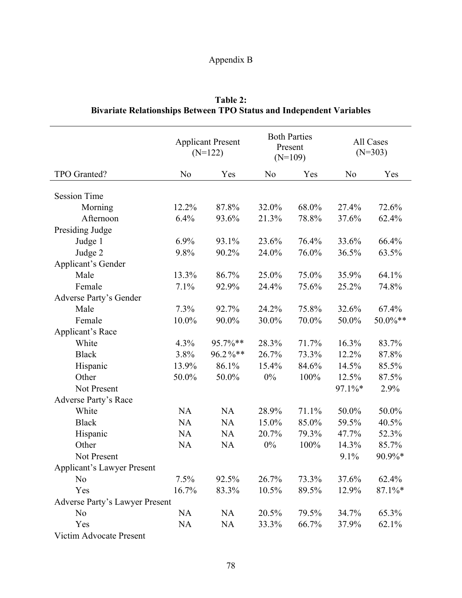# Appendix B

|                                       |                | <b>Applicant Present</b><br>$(N=122)$ |                | <b>Both Parties</b><br>Present<br>$(N=109)$ |                | All Cases<br>$(N=303)$ |
|---------------------------------------|----------------|---------------------------------------|----------------|---------------------------------------------|----------------|------------------------|
| TPO Granted?                          | N <sub>o</sub> | Yes                                   | N <sub>0</sub> | Yes                                         | N <sub>o</sub> | Yes                    |
|                                       |                |                                       |                |                                             |                |                        |
| <b>Session Time</b>                   |                |                                       |                |                                             |                |                        |
| Morning                               | 12.2%          | 87.8%                                 | 32.0%          | 68.0%                                       | 27.4%          | 72.6%                  |
| Afternoon                             | 6.4%           | 93.6%                                 | 21.3%          | 78.8%                                       | 37.6%          | 62.4%                  |
| Presiding Judge                       |                |                                       |                |                                             |                |                        |
| Judge 1                               | 6.9%           | 93.1%                                 | 23.6%          | 76.4%                                       | 33.6%          | 66.4%                  |
| Judge 2                               | 9.8%           | 90.2%                                 | 24.0%          | 76.0%                                       | 36.5%          | 63.5%                  |
| <b>Applicant's Gender</b>             |                |                                       |                |                                             |                |                        |
| Male                                  | 13.3%          | 86.7%                                 | 25.0%          | 75.0%                                       | 35.9%          | 64.1%                  |
| Female                                | 7.1%           | 92.9%                                 | 24.4%          | 75.6%                                       | 25.2%          | 74.8%                  |
| Adverse Party's Gender                |                |                                       |                |                                             |                |                        |
| Male                                  | 7.3%           | 92.7%                                 | 24.2%          | 75.8%                                       | 32.6%          | 67.4%                  |
| Female                                | 10.0%          | 90.0%                                 | 30.0%          | 70.0%                                       | 50.0%          | 50.0%**                |
| Applicant's Race                      |                |                                       |                |                                             |                |                        |
| White                                 | 4.3%           | 95.7%**                               | 28.3%          | 71.7%                                       | 16.3%          | 83.7%                  |
| <b>Black</b>                          | 3.8%           | 96.2%**                               | 26.7%          | 73.3%                                       | 12.2%          | 87.8%                  |
| Hispanic                              | 13.9%          | 86.1%                                 | 15.4%          | 84.6%                                       | 14.5%          | 85.5%                  |
| Other                                 | 50.0%          | 50.0%                                 | $0\%$          | 100%                                        | 12.5%          | 87.5%                  |
| Not Present                           |                |                                       |                |                                             | 97.1%*         | 2.9%                   |
| <b>Adverse Party's Race</b>           |                |                                       |                |                                             |                |                        |
| White                                 | <b>NA</b>      | <b>NA</b>                             | 28.9%          | 71.1%                                       | 50.0%          | 50.0%                  |
| <b>Black</b>                          | <b>NA</b>      | <b>NA</b>                             | 15.0%          | 85.0%                                       | 59.5%          | 40.5%                  |
| Hispanic                              | <b>NA</b>      | <b>NA</b>                             | 20.7%          | 79.3%                                       | 47.7%          | 52.3%                  |
| Other                                 | <b>NA</b>      | <b>NA</b>                             | $0\%$          | 100%                                        | 14.3%          | 85.7%                  |
| Not Present                           |                |                                       |                |                                             | 9.1%           | 90.9%*                 |
| <b>Applicant's Lawyer Present</b>     |                |                                       |                |                                             |                |                        |
| N <sub>0</sub>                        | 7.5%           | 92.5%                                 | 26.7%          | 73.3%                                       | 37.6%          | 62.4%                  |
| Yes                                   | 16.7%          | 83.3%                                 | 10.5%          | 89.5%                                       | 12.9%          | $87.1\%*$              |
| <b>Adverse Party's Lawyer Present</b> |                |                                       |                |                                             |                |                        |
| N <sub>0</sub>                        | <b>NA</b>      | <b>NA</b>                             | 20.5%          | 79.5%                                       | 34.7%          | 65.3%                  |
| Yes                                   | <b>NA</b>      | <b>NA</b>                             | 33.3%          | 66.7%                                       | 37.9%          | 62.1%                  |
| Victim Advocate Present               |                |                                       |                |                                             |                |                        |

**Table 2: Bivariate Relationships Between TPO Status and Independent Variables**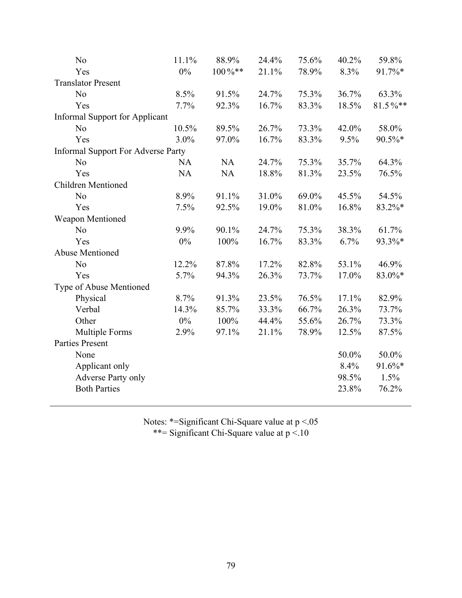| N <sub>0</sub>                            | 11.1%     | 88.9%  | 24.4% | 75.6% | 40.2% | 59.8%   |
|-------------------------------------------|-----------|--------|-------|-------|-------|---------|
| Yes                                       | $0\%$     | 100%** | 21.1% | 78.9% | 8.3%  | 91.7%*  |
| <b>Translator Present</b>                 |           |        |       |       |       |         |
| N <sub>o</sub>                            | 8.5%      | 91.5%  | 24.7% | 75.3% | 36.7% | 63.3%   |
| Yes                                       | 7.7%      | 92.3%  | 16.7% | 83.3% | 18.5% | 81.5%** |
| <b>Informal Support for Applicant</b>     |           |        |       |       |       |         |
| N <sub>0</sub>                            | 10.5%     | 89.5%  | 26.7% | 73.3% | 42.0% | 58.0%   |
| Yes                                       | 3.0%      | 97.0%  | 16.7% | 83.3% | 9.5%  | 90.5%*  |
| <b>Informal Support For Adverse Party</b> |           |        |       |       |       |         |
| N <sub>o</sub>                            | <b>NA</b> | NA     | 24.7% | 75.3% | 35.7% | 64.3%   |
| Yes                                       | <b>NA</b> | NA     | 18.8% | 81.3% | 23.5% | 76.5%   |
| <b>Children Mentioned</b>                 |           |        |       |       |       |         |
| N <sub>o</sub>                            | 8.9%      | 91.1%  | 31.0% | 69.0% | 45.5% | 54.5%   |
| Yes                                       | 7.5%      | 92.5%  | 19.0% | 81.0% | 16.8% | 83.2%*  |
| Weapon Mentioned                          |           |        |       |       |       |         |
| N <sub>0</sub>                            | 9.9%      | 90.1%  | 24.7% | 75.3% | 38.3% | 61.7%   |
| Yes                                       | 0%        | 100%   | 16.7% | 83.3% | 6.7%  | 93.3%*  |
| <b>Abuse Mentioned</b>                    |           |        |       |       |       |         |
| N <sub>0</sub>                            | 12.2%     | 87.8%  | 17.2% | 82.8% | 53.1% | 46.9%   |
| Yes                                       | 5.7%      | 94.3%  | 26.3% | 73.7% | 17.0% | 83.0%*  |
| Type of Abuse Mentioned                   |           |        |       |       |       |         |
| Physical                                  | 8.7%      | 91.3%  | 23.5% | 76.5% | 17.1% | 82.9%   |
| Verbal                                    | 14.3%     | 85.7%  | 33.3% | 66.7% | 26.3% | 73.7%   |
| Other                                     | $0\%$     | 100%   | 44.4% | 55.6% | 26.7% | 73.3%   |
| <b>Multiple Forms</b>                     | 2.9%      | 97.1%  | 21.1% | 78.9% | 12.5% | 87.5%   |
| <b>Parties Present</b>                    |           |        |       |       |       |         |
| None                                      |           |        |       |       | 50.0% | 50.0%   |
| Applicant only                            |           |        |       |       | 8.4%  | 91.6%*  |
| Adverse Party only                        |           |        |       |       | 98.5% | 1.5%    |
| <b>Both Parties</b>                       |           |        |       |       | 23.8% | 76.2%   |
|                                           |           |        |       |       |       |         |

Notes: \*=Significant Chi-Square value at  $p < 0.05$ 

\*\*= Significant Chi-Square value at p <.10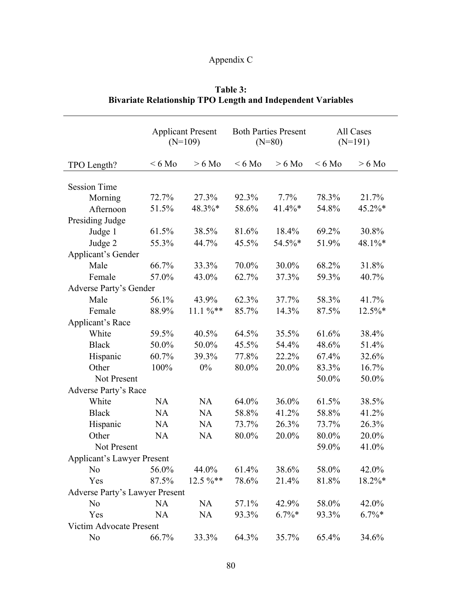# Appendix C

# **Table 3: Bivariate Relationship TPO Length and Independent Variables**

|                                       |           | <b>Applicant Present</b><br>$(N=109)$ |          | <b>Both Parties Present</b><br>All Cases<br>$(N=80)$<br>$(N=191)$ |          |           |
|---------------------------------------|-----------|---------------------------------------|----------|-------------------------------------------------------------------|----------|-----------|
| TPO Length?                           | $< 6$ Mo  | $> 6$ Mo                              | $< 6$ Mo | $> 6$ Mo                                                          | $< 6$ Mo | $> 6$ Mo  |
| <b>Session Time</b>                   |           |                                       |          |                                                                   |          |           |
| Morning                               | 72.7%     | 27.3%                                 | 92.3%    | 7.7%                                                              | 78.3%    | 21.7%     |
| Afternoon                             | 51.5%     | 48.3%*                                | 58.6%    | 41.4%*                                                            | 54.8%    | 45.2%*    |
| Presiding Judge                       |           |                                       |          |                                                                   |          |           |
| Judge 1                               | 61.5%     | 38.5%                                 | 81.6%    | 18.4%                                                             | 69.2%    | 30.8%     |
| Judge 2                               | 55.3%     | 44.7%                                 | 45.5%    | 54.5%*                                                            | 51.9%    | 48.1%*    |
| Applicant's Gender                    |           |                                       |          |                                                                   |          |           |
| Male                                  | 66.7%     | 33.3%                                 | 70.0%    | 30.0%                                                             | 68.2%    | 31.8%     |
| Female                                | 57.0%     | 43.0%                                 | 62.7%    | 37.3%                                                             | 59.3%    | 40.7%     |
| Adverse Party's Gender                |           |                                       |          |                                                                   |          |           |
| Male                                  | 56.1%     | 43.9%                                 | 62.3%    | 37.7%                                                             | 58.3%    | 41.7%     |
| Female                                | 88.9%     | $11.1 \%$ **                          | 85.7%    | 14.3%                                                             | 87.5%    | $12.5\%*$ |
| Applicant's Race                      |           |                                       |          |                                                                   |          |           |
| White                                 | 59.5%     | 40.5%                                 | 64.5%    | 35.5%                                                             | 61.6%    | 38.4%     |
| <b>Black</b>                          | 50.0%     | 50.0%                                 | 45.5%    | 54.4%                                                             | 48.6%    | 51.4%     |
| Hispanic                              | 60.7%     | 39.3%                                 | 77.8%    | 22.2%                                                             | 67.4%    | 32.6%     |
| Other                                 | 100%      | $0\%$                                 | 80.0%    | 20.0%                                                             | 83.3%    | 16.7%     |
| Not Present                           |           |                                       |          |                                                                   | 50.0%    | 50.0%     |
| <b>Adverse Party's Race</b>           |           |                                       |          |                                                                   |          |           |
| White                                 | <b>NA</b> | <b>NA</b>                             | 64.0%    | 36.0%                                                             | 61.5%    | 38.5%     |
| <b>Black</b>                          | <b>NA</b> | <b>NA</b>                             | 58.8%    | 41.2%                                                             | 58.8%    | 41.2%     |
| Hispanic                              | <b>NA</b> | <b>NA</b>                             | 73.7%    | 26.3%                                                             | 73.7%    | 26.3%     |
| Other                                 | <b>NA</b> | <b>NA</b>                             | 80.0%    | 20.0%                                                             | 80.0%    | 20.0%     |
| Not Present                           |           |                                       |          |                                                                   | 59.0%    | 41.0%     |
| <b>Applicant's Lawyer Present</b>     |           |                                       |          |                                                                   |          |           |
| N <sub>0</sub>                        | 56.0%     | 44.0%                                 | 61.4%    | 38.6%                                                             | 58.0%    | 42.0%     |
| Yes                                   | 87.5%     | $12.5 \%$ **                          | 78.6%    | 21.4%                                                             | 81.8%    | 18.2%*    |
| <b>Adverse Party's Lawyer Present</b> |           |                                       |          |                                                                   |          |           |
| N <sub>o</sub>                        | <b>NA</b> | <b>NA</b>                             | 57.1%    | 42.9%                                                             | 58.0%    | 42.0%     |
| Yes                                   | <b>NA</b> | <b>NA</b>                             | 93.3%    | $6.7\%*$                                                          | 93.3%    | $6.7\%*$  |
| Victim Advocate Present               |           |                                       |          |                                                                   |          |           |
| N <sub>0</sub>                        | 66.7%     | 33.3%                                 | 64.3%    | 35.7%                                                             | 65.4%    | 34.6%     |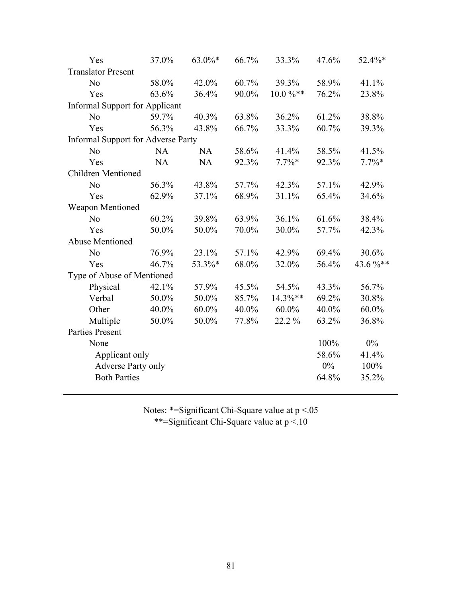| Yes                                       | 37.0%     | 63.0%*    | 66.7% | 33.3%        | 47.6% | 52.4%*   |
|-------------------------------------------|-----------|-----------|-------|--------------|-------|----------|
| <b>Translator Present</b>                 |           |           |       |              |       |          |
| N <sub>0</sub>                            | 58.0%     | 42.0%     | 60.7% | 39.3%        | 58.9% | 41.1%    |
| Yes                                       | 63.6%     | 36.4%     | 90.0% | $10.0\,\%**$ | 76.2% | 23.8%    |
| <b>Informal Support for Applicant</b>     |           |           |       |              |       |          |
| N <sub>0</sub>                            | 59.7%     | 40.3%     | 63.8% | 36.2%        | 61.2% | 38.8%    |
| Yes                                       | 56.3%     | 43.8%     | 66.7% | 33.3%        | 60.7% | 39.3%    |
| <b>Informal Support for Adverse Party</b> |           |           |       |              |       |          |
| N <sub>0</sub>                            | <b>NA</b> | <b>NA</b> | 58.6% | 41.4%        | 58.5% | 41.5%    |
| Yes                                       | <b>NA</b> | <b>NA</b> | 92.3% | $7.7\%*$     | 92.3% | $7.7\%*$ |
| Children Mentioned                        |           |           |       |              |       |          |
| N <sub>0</sub>                            | 56.3%     | 43.8%     | 57.7% | 42.3%        | 57.1% | 42.9%    |
| Yes                                       | 62.9%     | 37.1%     | 68.9% | 31.1%        | 65.4% | 34.6%    |
| Weapon Mentioned                          |           |           |       |              |       |          |
| N <sub>0</sub>                            | 60.2%     | 39.8%     | 63.9% | 36.1%        | 61.6% | 38.4%    |
| Yes                                       | 50.0%     | 50.0%     | 70.0% | 30.0%        | 57.7% | 42.3%    |
| <b>Abuse Mentioned</b>                    |           |           |       |              |       |          |
| N <sub>o</sub>                            | 76.9%     | 23.1%     | 57.1% | 42.9%        | 69.4% | 30.6%    |
| Yes                                       | 46.7%     | 53.3%*    | 68.0% | 32.0%        | 56.4% | 43.6%**  |
| Type of Abuse of Mentioned                |           |           |       |              |       |          |
| Physical                                  | 42.1%     | 57.9%     | 45.5% | 54.5%        | 43.3% | 56.7%    |
| Verbal                                    | 50.0%     | 50.0%     | 85.7% | 14.3%**      | 69.2% | 30.8%    |
| Other                                     | 40.0%     | $60.0\%$  | 40.0% | $60.0\%$     | 40.0% | $60.0\%$ |
| Multiple                                  | 50.0%     | 50.0%     | 77.8% | 22.2 %       | 63.2% | 36.8%    |
| <b>Parties Present</b>                    |           |           |       |              |       |          |
| None                                      |           |           |       |              | 100%  | $0\%$    |
| Applicant only                            |           |           |       |              | 58.6% | 41.4%    |
| <b>Adverse Party only</b>                 |           |           |       |              | 0%    | 100%     |
| <b>Both Parties</b>                       |           |           |       |              | 64.8% | 35.2%    |
|                                           |           |           |       |              |       |          |

Notes: \*=Significant Chi-Square value at  $p < 0.05$ \*\*=Significant Chi-Square value at p <.10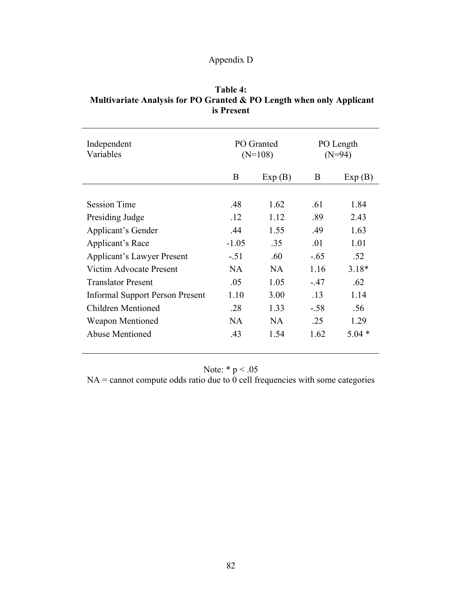# Appendix D

| Table 4:                                                             |
|----------------------------------------------------------------------|
| Multivariate Analysis for PO Granted & PO Length when only Applicant |
| is Present                                                           |

| Independent<br>Variables               | PO Granted<br>$(N=108)$ |        | PO Length<br>$(N=94)$ |         |  |
|----------------------------------------|-------------------------|--------|-----------------------|---------|--|
|                                        | B                       | Exp(B) | B                     | Exp(B)  |  |
|                                        |                         |        |                       |         |  |
| <b>Session Time</b>                    | .48                     | 1.62   | .61                   | 1.84    |  |
| Presiding Judge                        | .12                     | 1.12   | .89                   | 2.43    |  |
| Applicant's Gender                     | .44                     | 1.55   | .49                   | 1.63    |  |
| Applicant's Race                       | $-1.05$                 | .35    | .01                   | 1.01    |  |
| <b>Applicant's Lawyer Present</b>      | $-.51$                  | .60    | $-.65$                | .52     |  |
| Victim Advocate Present                | NA.                     | NA.    | 1.16                  | $3.18*$ |  |
| <b>Translator Present</b>              | .05                     | 1.05   | $-.47$                | .62     |  |
| <b>Informal Support Person Present</b> | 1.10                    | 3.00   | .13                   | 1.14    |  |
| Children Mentioned                     | .28                     | 1.33   | $-.58$                | .56     |  |
| <b>Weapon Mentioned</b>                | NA.                     | NA.    | .25                   | 1.29    |  |
| Abuse Mentioned                        | .43                     | 1.54   | 1.62                  | $5.04*$ |  |
|                                        |                         |        |                       |         |  |

Note:  $* p < .05$ 

 $NA =$  cannot compute odds ratio due to 0 cell frequencies with some categories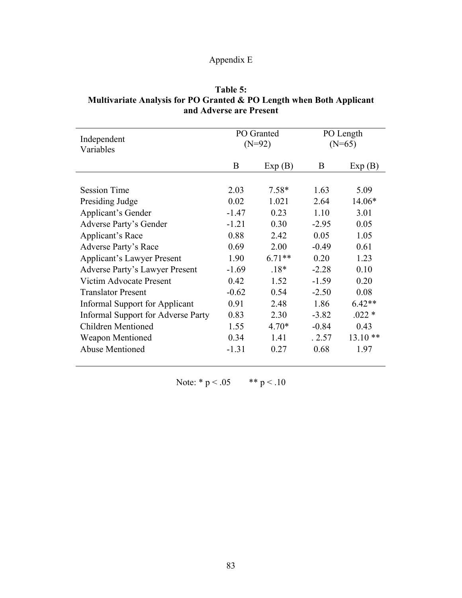# Appendix E

| Table 5:                                                             |
|----------------------------------------------------------------------|
| Multivariate Analysis for PO Granted & PO Length when Both Applicant |
| and Adverse are Present                                              |

| Independent<br>Variables                  | PO Granted<br>$(N=92)$ |          | PO Length<br>$(N=65)$ |           |
|-------------------------------------------|------------------------|----------|-----------------------|-----------|
|                                           | B                      | Exp(B)   | B                     | Exp(B)    |
| <b>Session Time</b>                       | 2.03                   | $7.58*$  | 1.63                  | 5.09      |
| Presiding Judge                           | 0.02                   | 1.021    | 2.64                  | $14.06*$  |
| Applicant's Gender                        | $-1.47$                | 0.23     | 1.10                  | 3.01      |
| Adverse Party's Gender                    | $-1.21$                | 0.30     | $-2.95$               | 0.05      |
| Applicant's Race                          | 0.88                   | 2.42     | 0.05                  | 1.05      |
| Adverse Party's Race                      | 0.69                   | 2.00     | $-0.49$               | 0.61      |
| <b>Applicant's Lawyer Present</b>         | 1.90                   | $6.71**$ | 0.20                  | 1.23      |
| <b>Adverse Party's Lawyer Present</b>     | $-1.69$                | $.18*$   | $-2.28$               | 0.10      |
| Victim Advocate Present                   | 0.42                   | 1.52     | $-1.59$               | 0.20      |
| <b>Translator Present</b>                 | $-0.62$                | 0.54     | $-2.50$               | 0.08      |
| Informal Support for Applicant            | 0.91                   | 2.48     | 1.86                  | $6.42**$  |
| <b>Informal Support for Adverse Party</b> | 0.83                   | 2.30     | $-3.82$               | $.022*$   |
| <b>Children Mentioned</b>                 | 1.55                   | $4.70*$  | $-0.84$               | 0.43      |
| <b>Weapon Mentioned</b>                   | 0.34                   | 1.41     | .2.57                 | $13.10**$ |
| <b>Abuse Mentioned</b>                    | $-1.31$                | 0.27     | 0.68                  | 1.97      |

Note: \*  $p < .05$  \* \*  $p < .10$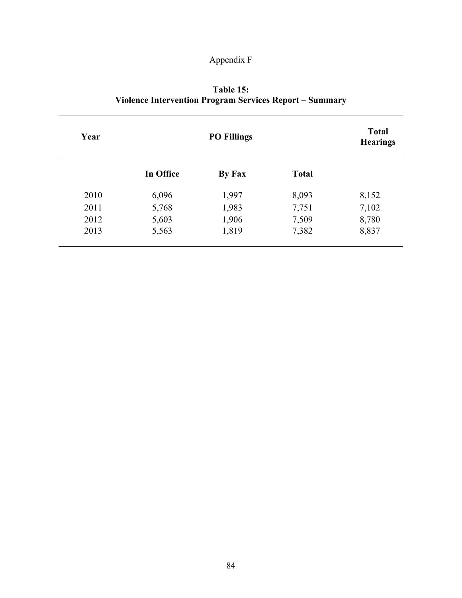# Appendix F

| Table 15:                                                      |
|----------------------------------------------------------------|
| <b>Violence Intervention Program Services Report – Summary</b> |

| Year |           | <b>Total</b><br><b>Hearings</b> |              |       |
|------|-----------|---------------------------------|--------------|-------|
|      | In Office | By Fax                          | <b>Total</b> |       |
| 2010 | 6,096     | 1,997                           | 8,093        | 8,152 |
| 2011 | 5,768     | 1,983                           | 7,751        | 7,102 |
| 2012 | 5,603     | 1,906                           | 7,509        | 8,780 |
| 2013 | 5,563     | 1,819                           | 7,382        | 8,837 |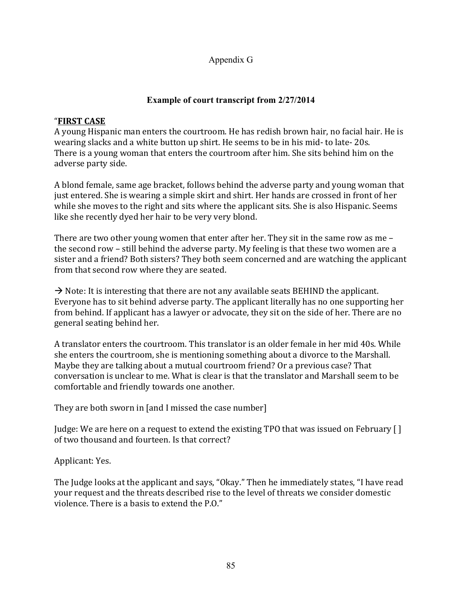### Appendix G

### **Example of court transcript from 2/27/2014**

### "**FIRST CASE**

A young Hispanic man enters the courtroom. He has redish brown hair, no facial hair. He is wearing slacks and a white button up shirt. He seems to be in his mid- to late- 20s. There is a young woman that enters the courtroom after him. She sits behind him on the adverse party side.

A blond female, same age bracket, follows behind the adverse party and young woman that just entered. She is wearing a simple skirt and shirt. Her hands are crossed in front of her while she moves to the right and sits where the applicant sits. She is also Hispanic. Seems like she recently dyed her hair to be very very blond.

There are two other young women that enter after her. They sit in the same row as me  $$ the second row – still behind the adverse party. My feeling is that these two women are a sister and a friend? Both sisters? They both seem concerned and are watching the applicant from that second row where they are seated.

 $\rightarrow$  Note: It is interesting that there are not any available seats BEHIND the applicant. Everyone has to sit behind adverse party. The applicant literally has no one supporting her from behind. If applicant has a lawyer or advocate, they sit on the side of her. There are no general seating behind her.

A translator enters the courtroom. This translator is an older female in her mid 40s. While she enters the courtroom, she is mentioning something about a divorce to the Marshall. Maybe they are talking about a mutual courtroom friend? Or a previous case? That conversation is unclear to me. What is clear is that the translator and Marshall seem to be comfortable and friendly towards one another.

They are both sworn in [and I missed the case number]

Judge: We are here on a request to extend the existing TPO that was issued on February  $[ \ ]$ of two thousand and fourteen. Is that correct?

## Applicant: Yes.

The Judge looks at the applicant and says, "Okay." Then he immediately states, "I have read your request and the threats described rise to the level of threats we consider domestic violence. There is a basis to extend the P.O."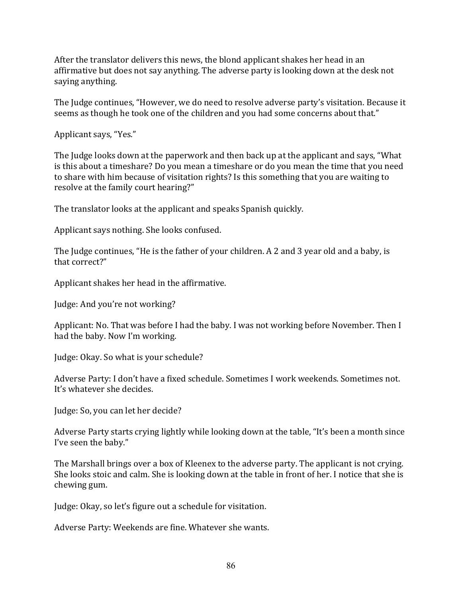After the translator delivers this news, the blond applicant shakes her head in an affirmative but does not say anything. The adverse party is looking down at the desk not saying anything.

The Judge continues, "However, we do need to resolve adverse party's visitation. Because it seems as though he took one of the children and you had some concerns about that."

Applicant says, "Yes."

The Judge looks down at the paperwork and then back up at the applicant and says, "What is this about a timeshare? Do you mean a timeshare or do you mean the time that you need to share with him because of visitation rights? Is this something that you are waiting to resolve at the family court hearing?"

The translator looks at the applicant and speaks Spanish quickly.

Applicant says nothing. She looks confused.

The Judge continues, "He is the father of your children. A 2 and 3 year old and a baby, is that correct?"

Applicant shakes her head in the affirmative.

Judge: And you're not working?

Applicant: No. That was before I had the baby. I was not working before November. Then I had the baby. Now I'm working.

Judge: Okay. So what is your schedule?

Adverse Party: I don't have a fixed schedule. Sometimes I work weekends. Sometimes not. It's whatever she decides.

Judge: So, you can let her decide?

Adverse Party starts crying lightly while looking down at the table, "It's been a month since I've seen the baby."

The Marshall brings over a box of Kleenex to the adverse party. The applicant is not crying. She looks stoic and calm. She is looking down at the table in front of her. I notice that she is chewing gum.

Judge: Okay, so let's figure out a schedule for visitation.

Adverse Party: Weekends are fine. Whatever she wants.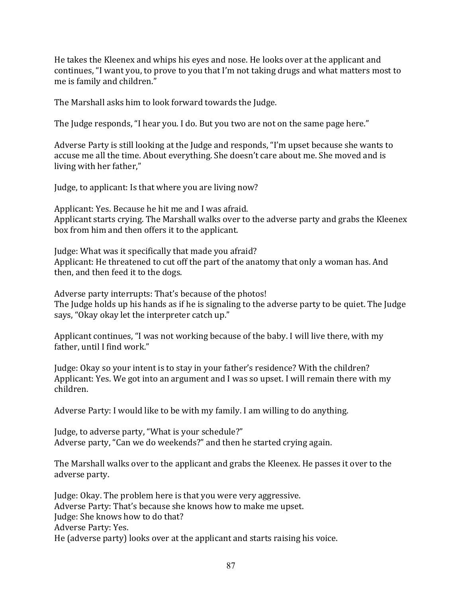He takes the Kleenex and whips his eyes and nose. He looks over at the applicant and continues, "I want you, to prove to you that I'm not taking drugs and what matters most to me is family and children."

The Marshall asks him to look forward towards the Judge.

The Judge responds, "I hear you. I do. But you two are not on the same page here."

Adverse Party is still looking at the Judge and responds, "I'm upset because she wants to accuse me all the time. About everything. She doesn't care about me. She moved and is living with her father,"

Judge, to applicant: Is that where you are living now?

Applicant: Yes. Because he hit me and I was afraid. Applicant starts crying. The Marshall walks over to the adverse party and grabs the Kleenex box from him and then offers it to the applicant.

Judge: What was it specifically that made you afraid? Applicant: He threatened to cut off the part of the anatomy that only a woman has. And then, and then feed it to the dogs.

Adverse party interrupts: That's because of the photos! The Judge holds up his hands as if he is signaling to the adverse party to be quiet. The Judge says, "Okay okay let the interpreter catch up."

Applicant continues, "I was not working because of the baby. I will live there, with my father, until I find work."

Judge: Okay so your intent is to stay in your father's residence? With the children? Applicant: Yes. We got into an argument and I was so upset. I will remain there with my children. 

Adverse Party: I would like to be with my family. I am willing to do anything.

Judge, to adverse party, "What is your schedule?" Adverse party, "Can we do weekends?" and then he started crying again.

The Marshall walks over to the applicant and grabs the Kleenex. He passes it over to the adverse party.

Judge: Okay. The problem here is that you were very aggressive. Adverse Party: That's because she knows how to make me upset. Judge: She knows how to do that? Adverse Party: Yes. He (adverse party) looks over at the applicant and starts raising his voice.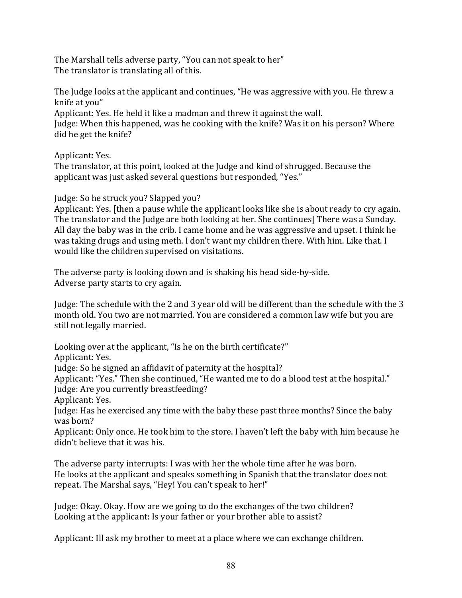The Marshall tells adverse party, "You can not speak to her" The translator is translating all of this.

The Judge looks at the applicant and continues, "He was aggressive with you. He threw a knife at you"

Applicant: Yes. He held it like a madman and threw it against the wall. Judge: When this happened, was he cooking with the knife? Was it on his person? Where did he get the knife?

Applicant: Yes.

The translator, at this point, looked at the Judge and kind of shrugged. Because the applicant was just asked several questions but responded, "Yes."

Judge: So he struck you? Slapped you?

Applicant: Yes. Ithen a pause while the applicant looks like she is about ready to cry again. The translator and the Judge are both looking at her. She continues] There was a Sunday. All day the baby was in the crib. I came home and he was aggressive and upset. I think he was taking drugs and using meth. I don't want my children there. With him. Like that. I would like the children supervised on visitations.

The adverse party is looking down and is shaking his head side-by-side. Adverse party starts to cry again.

Judge: The schedule with the 2 and 3 year old will be different than the schedule with the 3 month old. You two are not married. You are considered a common law wife but you are still not legally married.

Looking over at the applicant, "Is he on the birth certificate?"

Applicant: Yes.

Judge: So he signed an affidavit of paternity at the hospital?

Applicant: "Yes." Then she continued, "He wanted me to do a blood test at the hospital."

Judge: Are you currently breastfeeding?

Applicant: Yes.

Judge: Has he exercised any time with the baby these past three months? Since the baby was born?

Applicant: Only once. He took him to the store. I haven't left the baby with him because he didn't believe that it was his.

The adverse party interrupts: I was with her the whole time after he was born. He looks at the applicant and speaks something in Spanish that the translator does not repeat. The Marshal says, "Hey! You can't speak to her!"

Judge: Okay. Okay. How are we going to do the exchanges of the two children? Looking at the applicant: Is your father or your brother able to assist?

Applicant: Ill ask my brother to meet at a place where we can exchange children.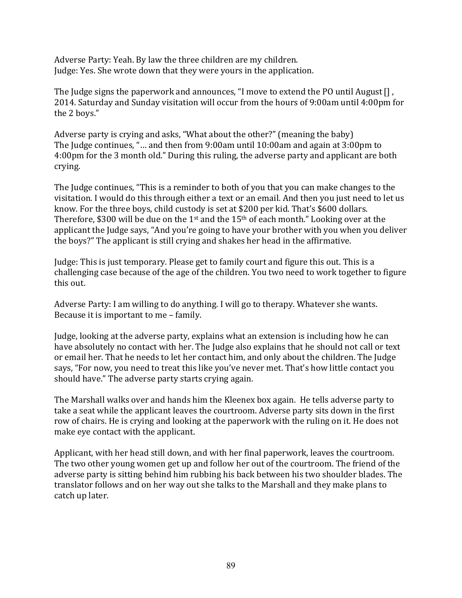Adverse Party: Yeah. By law the three children are my children. Judge: Yes. She wrote down that they were yours in the application.

The Judge signs the paperwork and announces, "I move to extend the PO until August  $[]$ , 2014. Saturday and Sunday visitation will occur from the hours of 9:00am until 4:00pm for the 2 boys."

Adverse party is crying and asks, "What about the other?" (meaning the baby) The Judge continues, "... and then from 9:00am until  $10:00$ am and again at  $3:00$ pm to 4:00pm for the 3 month old." During this ruling, the adverse party and applicant are both crying. 

The Judge continues, "This is a reminder to both of you that you can make changes to the visitation. I would do this through either a text or an email. And then you just need to let us know. For the three boys, child custody is set at \$200 per kid. That's \$600 dollars. Therefore, \$300 will be due on the 1<sup>st</sup> and the 15<sup>th</sup> of each month." Looking over at the applicant the Judge says, "And you're going to have your brother with you when you deliver the boys?" The applicant is still crying and shakes her head in the affirmative.

Judge: This is just temporary. Please get to family court and figure this out. This is a challenging case because of the age of the children. You two need to work together to figure this out.

Adverse Party: I am willing to do anything. I will go to therapy. Whatever she wants. Because it is important to me - family.

Judge, looking at the adverse party, explains what an extension is including how he can have absolutely no contact with her. The Judge also explains that he should not call or text or email her. That he needs to let her contact him, and only about the children. The Judge says, "For now, you need to treat this like you've never met. That's how little contact you should have." The adverse party starts crying again.

The Marshall walks over and hands him the Kleenex box again. He tells adverse party to take a seat while the applicant leaves the courtroom. Adverse party sits down in the first row of chairs. He is crying and looking at the paperwork with the ruling on it. He does not make eye contact with the applicant.

Applicant, with her head still down, and with her final paperwork, leaves the courtroom. The two other young women get up and follow her out of the courtroom. The friend of the adverse party is sitting behind him rubbing his back between his two shoulder blades. The translator follows and on her way out she talks to the Marshall and they make plans to catch up later.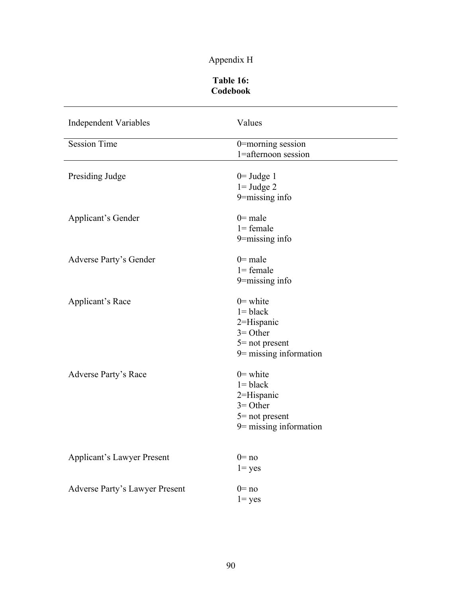# Appendix H

### **Table 16: Codebook**

| <b>Independent Variables</b>      | Values                                                                                                    |
|-----------------------------------|-----------------------------------------------------------------------------------------------------------|
| <b>Session Time</b>               | 0=morning session<br>1=afternoon session                                                                  |
| Presiding Judge                   | $0=$ Judge 1<br>$1 =$ Judge 2<br>9=missing info                                                           |
| Applicant's Gender                | $0$ = male<br>$l = female$<br>9=missing info                                                              |
| Adverse Party's Gender            | $0$ = male<br>$1 = female$<br>9=missing info                                                              |
| Applicant's Race                  | $0 =$ white<br>$l = black$<br>2=Hispanic<br>$3 =$ Other<br>$5$ = not present<br>$9$ = missing information |
| <b>Adverse Party's Race</b>       | $0$ = white<br>$l = black$<br>2=Hispanic<br>$3 =$ Other<br>$5$ = not present<br>$9$ = missing information |
| <b>Applicant's Lawyer Present</b> | $0 = nQ$<br>$1 = yes$                                                                                     |
| Adverse Party's Lawyer Present    | $0 = no$<br>$1 = yes$                                                                                     |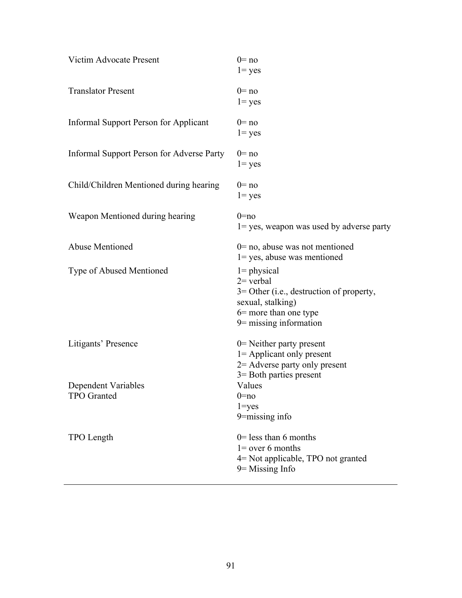| <b>Victim Advocate Present</b>            | $0 = no$<br>$1 = yes$                                                                                                                                     |
|-------------------------------------------|-----------------------------------------------------------------------------------------------------------------------------------------------------------|
| <b>Translator Present</b>                 | $0 = no$<br>$1 = yes$                                                                                                                                     |
| Informal Support Person for Applicant     | $0 = no$<br>$1 = yes$                                                                                                                                     |
| Informal Support Person for Adverse Party | $0 = no$<br>$1 = yes$                                                                                                                                     |
| Child/Children Mentioned during hearing   | $0 = no$<br>$1 = yes$                                                                                                                                     |
| Weapon Mentioned during hearing           | $0 = no$<br>$1 = yes$ , weapon was used by adverse party                                                                                                  |
| <b>Abuse Mentioned</b>                    | $0 = no$ , abuse was not mentioned<br>$1 = yes$ , abuse was mentioned                                                                                     |
| Type of Abused Mentioned                  | $1 = physical$<br>$2$ verbal<br>$3 =$ Other (i.e., destruction of property,<br>sexual, stalking)<br>$6$ = more than one type<br>$9$ = missing information |
| Litigants' Presence                       | $0$ = Neither party present<br>1= Applicant only present<br>$2$ = Adverse party only present<br>3 = Both parties present                                  |
| Dependent Variables<br>TPO Granted        | Values<br>$0 = no$<br>$1 = yes$<br>$9 = missing$ info                                                                                                     |
| TPO Length                                | $0$ = less than 6 months<br>$1 =$ over 6 months<br>4= Not applicable, TPO not granted<br>$9$ = Missing Info                                               |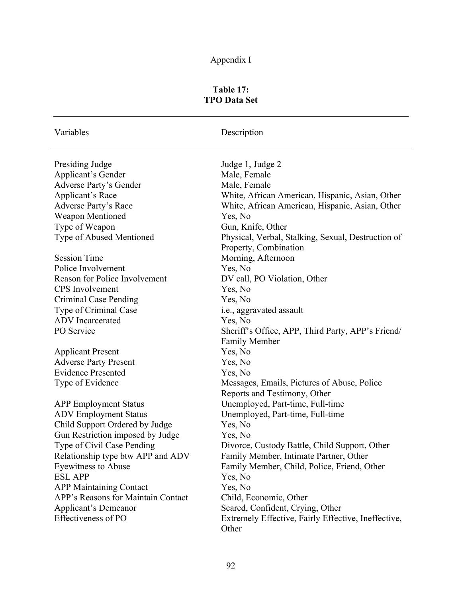# Appendix I

## **Table 17: TPO Data Set**

Variables Description

| Presiding Judge                      | Judge 1, Judge 2                                    |
|--------------------------------------|-----------------------------------------------------|
| <b>Applicant's Gender</b>            | Male, Female                                        |
| <b>Adverse Party's Gender</b>        | Male, Female                                        |
| <b>Applicant's Race</b>              | White, African American, Hispanic, Asian, Other     |
| <b>Adverse Party's Race</b>          | White, African American, Hispanic, Asian, Other     |
| Weapon Mentioned                     | Yes, No                                             |
| Type of Weapon                       | Gun, Knife, Other                                   |
| Type of Abused Mentioned             | Physical, Verbal, Stalking, Sexual, Destruction of  |
|                                      | Property, Combination                               |
| <b>Session Time</b>                  | Morning, Afternoon                                  |
| Police Involvement                   | Yes, No                                             |
| <b>Reason for Police Involvement</b> | DV call, PO Violation, Other                        |
| <b>CPS</b> Involvement               | Yes, No                                             |
| Criminal Case Pending                | Yes, No                                             |
| Type of Criminal Case                | i.e., aggravated assault                            |
| <b>ADV</b> Incarcerated              | Yes, No                                             |
| PO Service                           | Sheriff's Office, APP, Third Party, APP's Friend/   |
|                                      | <b>Family Member</b>                                |
| <b>Applicant Present</b>             | Yes, No                                             |
| <b>Adverse Party Present</b>         | Yes, No                                             |
| <b>Evidence Presented</b>            | Yes, No                                             |
| Type of Evidence                     | Messages, Emails, Pictures of Abuse, Police         |
|                                      | Reports and Testimony, Other                        |
| <b>APP Employment Status</b>         | Unemployed, Part-time, Full-time                    |
| <b>ADV Employment Status</b>         | Unemployed, Part-time, Full-time                    |
| Child Support Ordered by Judge       | Yes, No                                             |
| Gun Restriction imposed by Judge     | Yes, No                                             |
| Type of Civil Case Pending           | Divorce, Custody Battle, Child Support, Other       |
| Relationship type btw APP and ADV    | Family Member, Intimate Partner, Other              |
| <b>Eyewitness to Abuse</b>           | Family Member, Child, Police, Friend, Other         |
| <b>ESL APP</b>                       | Yes, No                                             |
| <b>APP Maintaining Contact</b>       | Yes, No                                             |
| APP's Reasons for Maintain Contact   | Child, Economic, Other                              |
| Applicant's Demeanor                 | Scared, Confident, Crying, Other                    |
| <b>Effectiveness of PO</b>           | Extremely Effective, Fairly Effective, Ineffective, |
|                                      | Other                                               |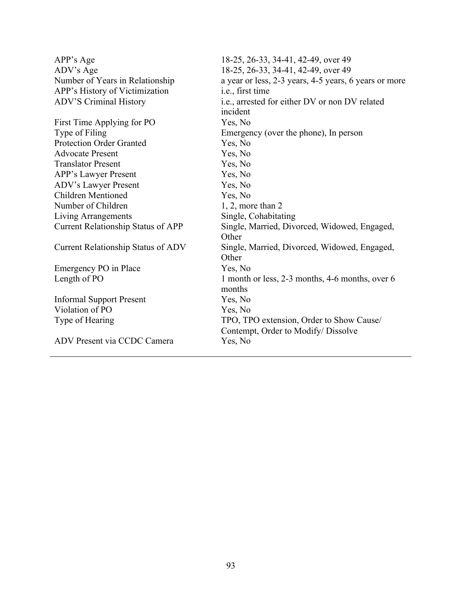| APP's Age                                 | 18-25, 26-33, 34-41, 42-49, over 49                        |
|-------------------------------------------|------------------------------------------------------------|
| ADV's Age                                 | 18-25, 26-33, 34-41, 42-49, over 49                        |
| Number of Years in Relationship           | a year or less, 2-3 years, 4-5 years, 6 years or more      |
| APP's History of Victimization            | i.e., first time                                           |
| <b>ADV'S Criminal History</b>             | i.e., arrested for either DV or non DV related<br>incident |
| First Time Applying for PO                | Yes, No                                                    |
| Type of Filing                            | Emergency (over the phone), In person                      |
| <b>Protection Order Granted</b>           | Yes, No                                                    |
| <b>Advocate Present</b>                   | Yes, No                                                    |
| <b>Translator Present</b>                 | Yes, No                                                    |
| APP's Lawyer Present                      | Yes, No                                                    |
| <b>ADV's Lawyer Present</b>               | Yes, No                                                    |
| <b>Children Mentioned</b>                 | Yes, No                                                    |
| Number of Children                        | $1, 2$ , more than $2$                                     |
| Living Arrangements                       | Single, Cohabitating                                       |
| <b>Current Relationship Status of APP</b> | Single, Married, Divorced, Widowed, Engaged,<br>Other      |
| <b>Current Relationship Status of ADV</b> | Single, Married, Divorced, Widowed, Engaged,<br>Other      |
| Emergency PO in Place                     | Yes, No                                                    |
| Length of PO                              | 1 month or less, 2-3 months, 4-6 months, over 6<br>months  |
| <b>Informal Support Present</b>           | Yes, No                                                    |
| Violation of PO                           | Yes, No                                                    |
| Type of Hearing                           | TPO, TPO extension, Order to Show Cause/                   |
| ADV Present via CCDC Camera               | Contempt, Order to Modify/ Dissolve<br>Yes, No             |
|                                           |                                                            |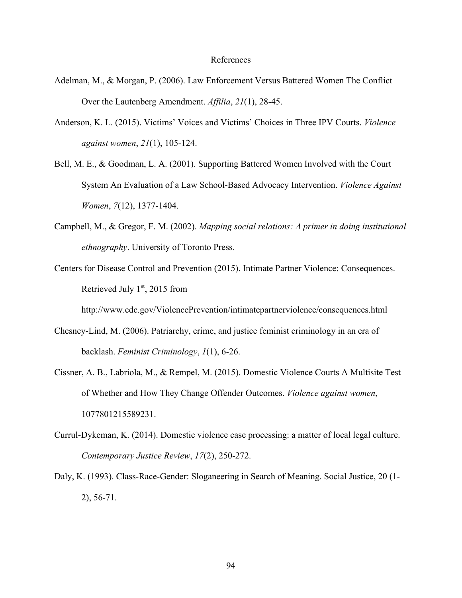#### References

- Adelman, M., & Morgan, P. (2006). Law Enforcement Versus Battered Women The Conflict Over the Lautenberg Amendment. *Affilia*, *21*(1), 28-45.
- Anderson, K. L. (2015). Victims' Voices and Victims' Choices in Three IPV Courts. *Violence against women*, *21*(1), 105-124.
- Bell, M. E., & Goodman, L. A. (2001). Supporting Battered Women Involved with the Court System An Evaluation of a Law School-Based Advocacy Intervention. *Violence Against Women*, *7*(12), 1377-1404.
- Campbell, M., & Gregor, F. M. (2002). *Mapping social relations: A primer in doing institutional ethnography*. University of Toronto Press.
- Centers for Disease Control and Prevention (2015). Intimate Partner Violence: Consequences. Retrieved July  $1<sup>st</sup>$ , 2015 from

http://www.cdc.gov/ViolencePrevention/intimatepartnerviolence/consequences.html

- Chesney-Lind, M. (2006). Patriarchy, crime, and justice feminist criminology in an era of backlash. *Feminist Criminology*, *1*(1), 6-26.
- Cissner, A. B., Labriola, M., & Rempel, M. (2015). Domestic Violence Courts A Multisite Test of Whether and How They Change Offender Outcomes. *Violence against women*, 1077801215589231.
- Currul-Dykeman, K. (2014). Domestic violence case processing: a matter of local legal culture. *Contemporary Justice Review*, *17*(2), 250-272.
- Daly, K. (1993). Class-Race-Gender: Sloganeering in Search of Meaning. Social Justice, 20 (1- 2), 56-71.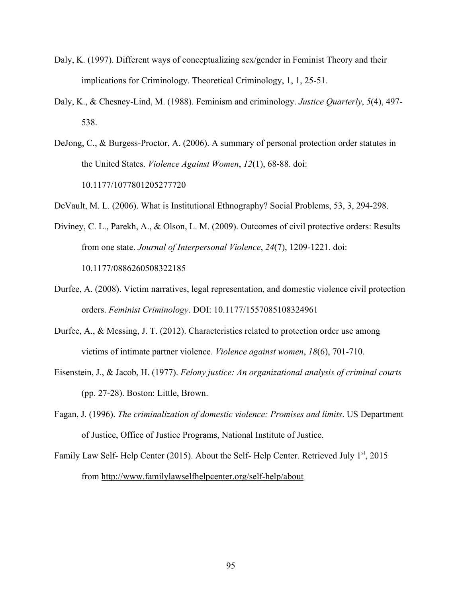- Daly, K. (1997). Different ways of conceptualizing sex/gender in Feminist Theory and their implications for Criminology. Theoretical Criminology, 1, 1, 25-51.
- Daly, K., & Chesney-Lind, M. (1988). Feminism and criminology. *Justice Quarterly*, *5*(4), 497- 538.
- DeJong, C., & Burgess-Proctor, A. (2006). A summary of personal protection order statutes in the United States. *Violence Against Women*, *12*(1), 68-88. doi: 10.1177/1077801205277720
- DeVault, M. L. (2006). What is Institutional Ethnography? Social Problems, 53, 3, 294-298.
- Diviney, C. L., Parekh, A., & Olson, L. M. (2009). Outcomes of civil protective orders: Results from one state. *Journal of Interpersonal Violence*, *24*(7), 1209-1221. doi: 10.1177/0886260508322185
- Durfee, A. (2008). Victim narratives, legal representation, and domestic violence civil protection orders. *Feminist Criminology*. DOI: 10.1177/1557085108324961
- Durfee, A., & Messing, J. T. (2012). Characteristics related to protection order use among victims of intimate partner violence. *Violence against women*, *18*(6), 701-710.
- Eisenstein, J., & Jacob, H. (1977). *Felony justice: An organizational analysis of criminal courts* (pp. 27-28). Boston: Little, Brown.
- Fagan, J. (1996). *The criminalization of domestic violence: Promises and limits*. US Department of Justice, Office of Justice Programs, National Institute of Justice.
- Family Law Self- Help Center (2015). About the Self- Help Center. Retrieved July  $1<sup>st</sup>$ , 2015 from http://www.familylawselfhelpcenter.org/self-help/about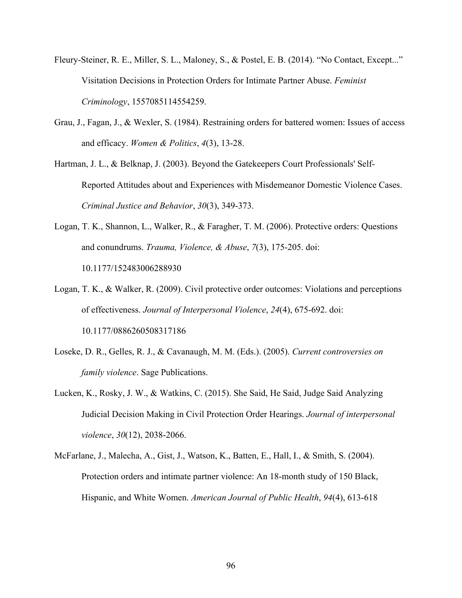- Fleury-Steiner, R. E., Miller, S. L., Maloney, S., & Postel, E. B. (2014). "No Contact, Except..." Visitation Decisions in Protection Orders for Intimate Partner Abuse. *Feminist Criminology*, 1557085114554259.
- Grau, J., Fagan, J., & Wexler, S. (1984). Restraining orders for battered women: Issues of access and efficacy. *Women & Politics*, *4*(3), 13-28.
- Hartman, J. L., & Belknap, J. (2003). Beyond the Gatekeepers Court Professionals' Self-Reported Attitudes about and Experiences with Misdemeanor Domestic Violence Cases. *Criminal Justice and Behavior*, *30*(3), 349-373.
- Logan, T. K., Shannon, L., Walker, R., & Faragher, T. M. (2006). Protective orders: Questions and conundrums. *Trauma, Violence, & Abuse*, *7*(3), 175-205. doi: 10.1177/152483006288930
- Logan, T. K., & Walker, R. (2009). Civil protective order outcomes: Violations and perceptions of effectiveness. *Journal of Interpersonal Violence*, *24*(4), 675-692. doi: 10.1177/0886260508317186
- Loseke, D. R., Gelles, R. J., & Cavanaugh, M. M. (Eds.). (2005). *Current controversies on family violence*. Sage Publications.
- Lucken, K., Rosky, J. W., & Watkins, C. (2015). She Said, He Said, Judge Said Analyzing Judicial Decision Making in Civil Protection Order Hearings. *Journal of interpersonal violence*, *30*(12), 2038-2066.
- McFarlane, J., Malecha, A., Gist, J., Watson, K., Batten, E., Hall, I., & Smith, S. (2004). Protection orders and intimate partner violence: An 18-month study of 150 Black, Hispanic, and White Women. *American Journal of Public Health*, *94*(4), 613-618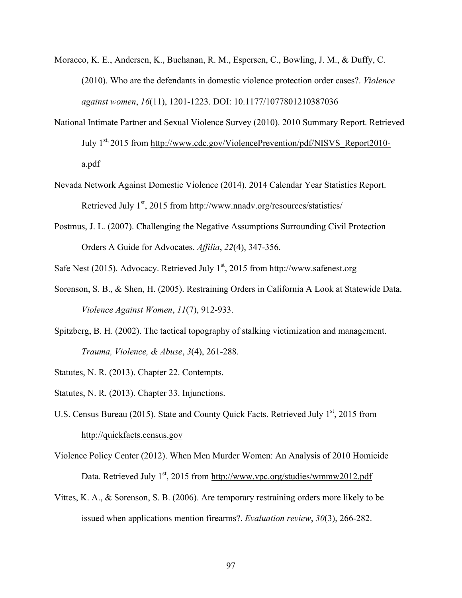- Moracco, K. E., Andersen, K., Buchanan, R. M., Espersen, C., Bowling, J. M., & Duffy, C. (2010). Who are the defendants in domestic violence protection order cases?. *Violence against women*, *16*(11), 1201-1223. DOI: 10.1177/1077801210387036
- National Intimate Partner and Sexual Violence Survey (2010). 2010 Summary Report. Retrieved July 1<sup>st,</sup> 2015 from http://www.cdc.gov/ViolencePrevention/pdf/NISVS\_Report2010a.pdf
- Nevada Network Against Domestic Violence (2014). 2014 Calendar Year Statistics Report. Retrieved July  $1<sup>st</sup>$ , 2015 from http://www.nnadv.org/resources/statistics/
- Postmus, J. L. (2007). Challenging the Negative Assumptions Surrounding Civil Protection Orders A Guide for Advocates. *Affilia*, *22*(4), 347-356.
- Safe Nest (2015). Advocacy. Retrieved July  $1<sup>st</sup>$ , 2015 from http://www.safenest.org
- Sorenson, S. B., & Shen, H. (2005). Restraining Orders in California A Look at Statewide Data. *Violence Against Women*, *11*(7), 912-933.
- Spitzberg, B. H. (2002). The tactical topography of stalking victimization and management. *Trauma, Violence, & Abuse*, *3*(4), 261-288.
- Statutes, N. R. (2013). Chapter 22. Contempts.
- Statutes, N. R. (2013). Chapter 33. Injunctions.
- U.S. Census Bureau (2015). State and County Quick Facts. Retrieved July  $1<sup>st</sup>$ , 2015 from http://quickfacts.census.gov
- Violence Policy Center (2012). When Men Murder Women: An Analysis of 2010 Homicide Data. Retrieved July  $1<sup>st</sup>$ , 2015 from http://www.vpc.org/studies/wmmw2012.pdf
- Vittes, K. A., & Sorenson, S. B. (2006). Are temporary restraining orders more likely to be issued when applications mention firearms?. *Evaluation review*, *30*(3), 266-282.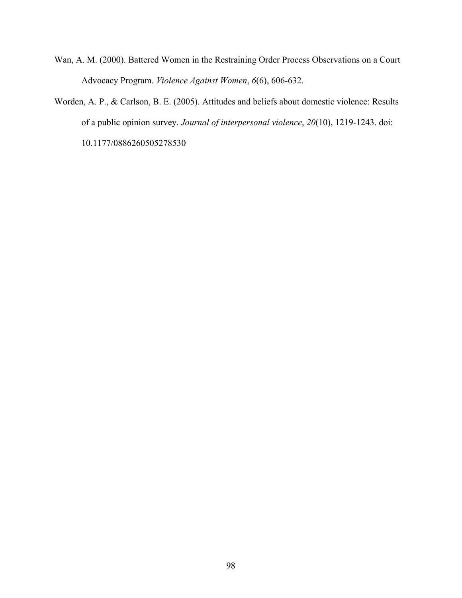- Wan, A. M. (2000). Battered Women in the Restraining Order Process Observations on a Court Advocacy Program. *Violence Against Women*, *6*(6), 606-632.
- Worden, A. P., & Carlson, B. E. (2005). Attitudes and beliefs about domestic violence: Results of a public opinion survey. *Journal of interpersonal violence*, *20*(10), 1219-1243. doi: 10.1177/0886260505278530